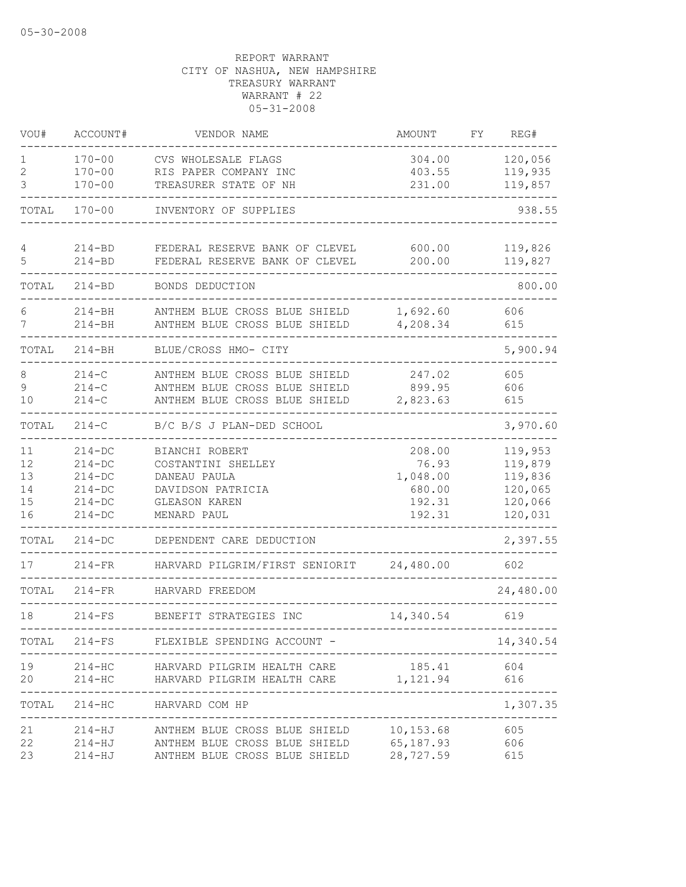| VOU#                             | ACCOUNT#                                                                   | VENDOR NAME                                                                                                                                        | AMOUNT                                                    | FΥ | REG#                                                           |
|----------------------------------|----------------------------------------------------------------------------|----------------------------------------------------------------------------------------------------------------------------------------------------|-----------------------------------------------------------|----|----------------------------------------------------------------|
| 1<br>2<br>3                      | $170 - 00$<br>$170 - 00$<br>$170 - 00$                                     | CVS WHOLESALE FLAGS<br>RIS PAPER COMPANY INC<br>TREASURER STATE OF NH                                                                              | 304.00<br>403.55<br>231.00                                |    | 120,056<br>119,935<br>119,857                                  |
| TOTAL                            | $170 - 00$                                                                 | INVENTORY OF SUPPLIES                                                                                                                              |                                                           |    | 938.55                                                         |
| 4<br>5                           | $214 - BD$<br>$214 - BD$                                                   | FEDERAL RESERVE BANK OF CLEVEL<br>FEDERAL RESERVE BANK OF CLEVEL                                                                                   | 600.00<br>200.00                                          |    | 119,826<br>119,827                                             |
| TOTAL                            | $214 - BD$                                                                 | BONDS DEDUCTION                                                                                                                                    |                                                           |    | 800.00                                                         |
| 6<br>7                           | $214 - BH$<br>$214 - BH$                                                   | ANTHEM BLUE CROSS BLUE SHIELD<br>ANTHEM BLUE CROSS BLUE SHIELD                                                                                     | 1,692.60<br>4,208.34                                      |    | 606<br>615                                                     |
| TOTAL                            | $214 - BH$                                                                 | BLUE/CROSS HMO- CITY                                                                                                                               |                                                           |    | 5,900.94                                                       |
| 8<br>9<br>10                     | $214 - C$<br>$214-C$<br>$214 - C$                                          | ANTHEM BLUE CROSS BLUE SHIELD<br>ANTHEM BLUE CROSS BLUE SHIELD<br>ANTHEM BLUE CROSS BLUE SHIELD                                                    | 247.02<br>899.95<br>2,823.63                              |    | 605<br>606<br>615                                              |
| TOTAL                            | $214-C$                                                                    | B/C B/S J PLAN-DED SCHOOL                                                                                                                          |                                                           |    | 3,970.60                                                       |
| 11<br>12<br>13<br>14<br>15<br>16 | $214 - DC$<br>$214-DC$<br>$214-DC$<br>$214 - DC$<br>$214-DC$<br>$214 - DC$ | BIANCHI ROBERT<br>COSTANTINI SHELLEY<br>DANEAU PAULA<br>DAVIDSON PATRICIA<br>GLEASON KAREN<br>MENARD PAUL                                          | 208.00<br>76.93<br>1,048.00<br>680.00<br>192.31<br>192.31 |    | 119,953<br>119,879<br>119,836<br>120,065<br>120,066<br>120,031 |
| TOTAL                            | $214-DC$                                                                   | DEPENDENT CARE DEDUCTION                                                                                                                           |                                                           |    | 2,397.55                                                       |
| 17                               | $214-FR$                                                                   | HARVARD PILGRIM/FIRST SENIORIT                                                                                                                     | 24,480.00                                                 |    | 602                                                            |
| TOTAL                            | $214-FR$                                                                   | HARVARD FREEDOM                                                                                                                                    |                                                           |    | 24,480.00                                                      |
| 18                               | $214-FS$                                                                   | BENEFIT STRATEGIES INC                                                                                                                             | 14,340.54                                                 |    | 619                                                            |
| TOTAL                            |                                                                            | 214-FS FLEXIBLE SPENDING ACCOUNT -                                                                                                                 |                                                           |    | 14,340.54                                                      |
| 19<br>20                         | $214 - HC$<br>$214 - HC$                                                   | HARVARD PILGRIM HEALTH CARE<br>HARVARD PILGRIM HEALTH CARE 1,121.94                                                                                | 185.41                                                    |    | 604<br>616                                                     |
| TOTAL                            |                                                                            | 214-HC HARVARD COM HP                                                                                                                              |                                                           |    | 1,307.35                                                       |
| 21<br>22<br>23                   |                                                                            | 214-HJ ANTHEM BLUE CROSS BLUE SHIELD 10,153.68<br>214-HJ ANTHEM BLUE CROSS BLUE SHIELD 65,187.93<br>214-HJ ANTHEM BLUE CROSS BLUE SHIELD 28,727.59 |                                                           |    | 605<br>606<br>615                                              |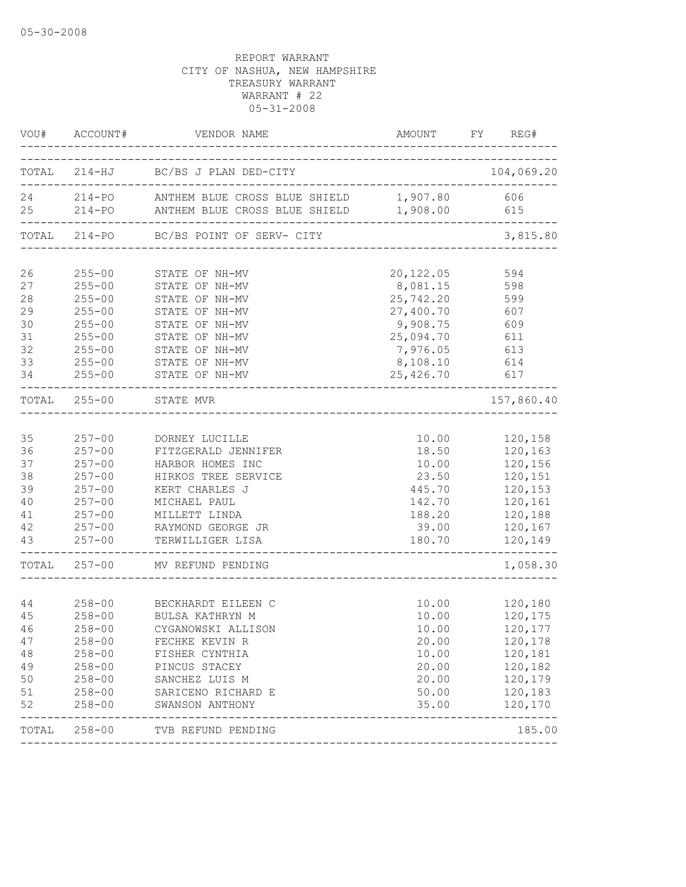|          | VOU# ACCOUNT#            | VENDOR NAME                                          | AMOUNT FY REG# |                    |
|----------|--------------------------|------------------------------------------------------|----------------|--------------------|
|          |                          | TOTAL 214-HJ BC/BS J PLAN DED-CITY                   |                | 104,069.20         |
|          |                          | 24 214-PO ANTHEM BLUE CROSS BLUE SHIELD 1,907.80 606 |                |                    |
|          |                          | 25 214-PO ANTHEM BLUE CROSS BLUE SHIELD 1,908.00     |                | 615                |
|          |                          | TOTAL 214-PO BC/BS POINT OF SERV- CITY               |                | 3,815.80           |
| 26       |                          | 255-00 STATE OF NH-MV                                | 20,122.05      | 594                |
| 27       | $255 - 00$               |                                                      | 8,081.15       | 598                |
| 28       | $255 - 00$               | STATE OF NH-MV<br>STATE OF NH-MV                     | 25,742.20      | 599                |
| 29       | $255 - 00$               | STATE OF NH-MV                                       | 27,400.70 607  |                    |
| 30       | $255 - 00$               | STATE OF NH-MV                                       | 9,908.75 609   |                    |
| 31       | $255 - 00$               | STATE OF NH-MV                                       | 25,094.70 611  |                    |
| 32       | $255 - 00$               | STATE OF NH-MV                                       | 7,976.05 613   |                    |
| 33       | $255 - 00$               | STATE OF NH-MV                                       | 8,108.10 614   |                    |
| 34       | $255 - 00$               | STATE OF NH-MV                                       | 25,426.70 617  |                    |
|          | TOTAL 255-00             | STATE MVR                                            | -----------    | 157,860.40         |
|          |                          |                                                      |                |                    |
| 35       |                          | 257-00 DORNEY LUCILLE                                |                | 10.00 120,158      |
| 36       |                          | 257-00 FITZGERALD JENNIFER                           |                | 18.50 120,163      |
| 37       | $257 - 00$               | HARBOR HOMES INC                                     | 10.00          | 120,156            |
| 38       | $257 - 00$               | HIRKOS TREE SERVICE                                  | 23.50          | 120,151            |
| 39       | $257 - 00$               | KERT CHARLES J                                       | 445.70         | 120,153            |
| 40       | $257 - 00$               | MICHAEL PAUL                                         | 142.70         | 120,161            |
| 41       | $257 - 00$               | MILLETT LINDA                                        | 188.20         | 120,188            |
| 42       | $257 - 00$               | --<br>RAYMOND GEORGE JR                              | 39.00          | 120,167            |
| 43       | $257 - 00$               | TERWILLIGER LISA                                     | 180.70         | 120,149            |
|          |                          | TOTAL 257-00 MV REFUND PENDING                       |                | 1,058.30           |
|          |                          |                                                      |                |                    |
| 44<br>45 | $258 - 00$               | 258-00 BECKHARDT EILEEN C<br>BULSA KATHRYN M         | 10.00<br>10.00 | 120,180            |
| 46       | $258 - 00$               |                                                      |                | 120,175            |
|          |                          | CYGANOWSKI ALLISON                                   | 10.00          | 120,177            |
| 47<br>48 | $258 - 00$               | FECHKE KEVIN R                                       | 20.00<br>10.00 | 120,178<br>120,181 |
| 49       | $258 - 00$<br>$258 - 00$ | FISHER CYNTHIA<br>PINCUS STACEY                      | 20.00          | 120,182            |
| 50       | $258 - 00$               | SANCHEZ LUIS M                                       | 20.00          | 120,179            |
| $51\,$   | $258 - 00$               | SARICENO RICHARD E                                   | 50.00          | 120,183            |
| 52       | $258 - 00$               | SWANSON ANTHONY                                      | 35.00          | 120,170            |
|          | TOTAL 258-00             | TVB REFUND PENDING                                   |                | 185.00             |
|          |                          |                                                      |                |                    |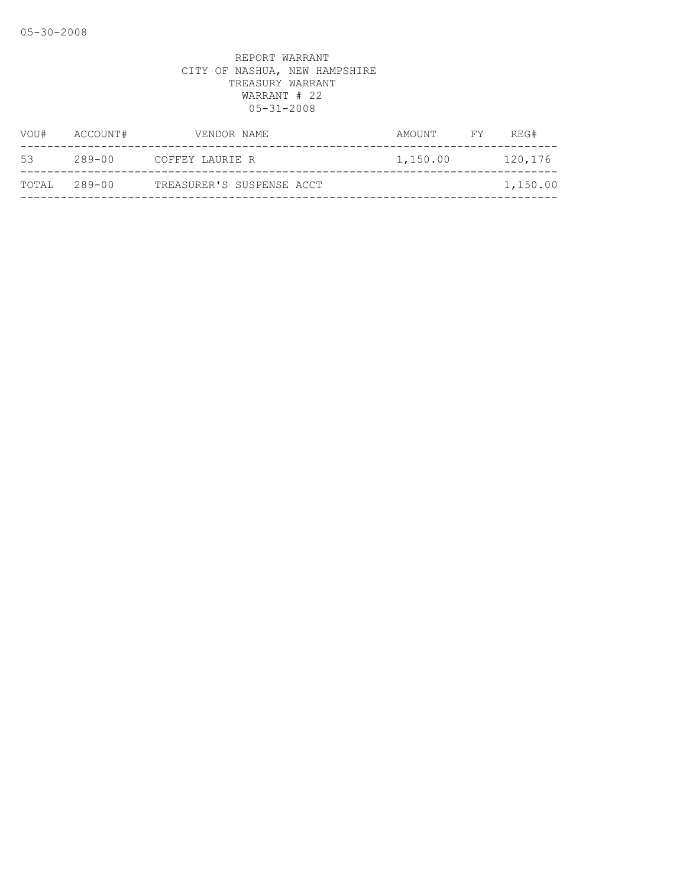| VOU#         | ACCOUNT# | VENDOR NAME               | AMOUNT   | FY | REG#     |
|--------------|----------|---------------------------|----------|----|----------|
| 53           | 289-00   | COFFEY LAURIE R           | 1,150.00 |    | 120,176  |
| TOTAL 289-00 |          | TREASURER'S SUSPENSE ACCT |          |    | 1,150.00 |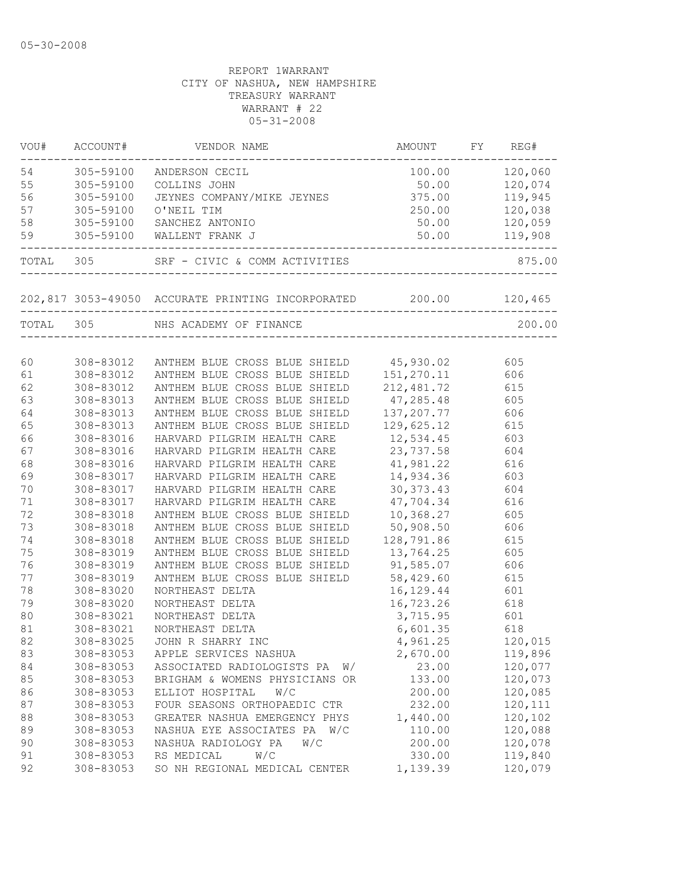| VOU# | ACCOUNT#  | VENDOR NAME                                                      | AMOUNT                                  | FY  | REG#           |
|------|-----------|------------------------------------------------------------------|-----------------------------------------|-----|----------------|
| 54   | 305-59100 | ANDERSON CECIL                                                   |                                         |     | 100.00 120,060 |
| 55   | 305-59100 | COLLINS JOHN                                                     |                                         |     |                |
| 56   | 305-59100 | JEYNES COMPANY/MIKE JEYNES 375.00 119,945                        |                                         |     |                |
| 57   | 305-59100 | O'NEIL TIM                                                       | 250.00                                  |     | 120,038        |
| 58   |           | 305-59100 SANCHEZ ANTONIO                                        | 50.00                                   |     | 120,059        |
| 59   |           | 305-59100 WALLENT FRANK J                                        |                                         |     |                |
|      |           | TOTAL 305 SRF - CIVIC & COMM ACTIVITIES                          | ---<br>-------------------------------- |     | 875.00         |
|      |           | 202,817 3053-49050 ACCURATE PRINTING INCORPORATED 200.00 120,465 |                                         |     |                |
|      |           | TOTAL 305 NHS ACADEMY OF FINANCE                                 | ---------------------------------       |     | 200.00         |
|      |           |                                                                  |                                         |     |                |
| 60   |           | 308-83012 ANTHEM BLUE CROSS BLUE SHIELD 45,930.02                |                                         |     | 605            |
| 61   |           | 308-83012 ANTHEM BLUE CROSS BLUE SHIELD                          | 151,270.11                              |     | 606            |
| 62   | 308-83012 | ANTHEM BLUE CROSS BLUE SHIELD                                    | 212,481.72                              |     | 615            |
| 63   | 308-83013 | ANTHEM BLUE CROSS BLUE SHIELD 47,285.48 605                      |                                         |     |                |
| 64   | 308-83013 | ANTHEM BLUE CROSS BLUE SHIELD                                    | 137, 207. 77                            |     | 606            |
| 65   | 308-83013 | ANTHEM BLUE CROSS BLUE SHIELD                                    | 129,625.12                              |     | 615            |
| 66   | 308-83016 | HARVARD PILGRIM HEALTH CARE                                      | 12,534.45                               |     | 603            |
| 67   | 308-83016 | HARVARD PILGRIM HEALTH CARE                                      | 23,737.58                               |     | 604            |
| 68   | 308-83016 | HARVARD PILGRIM HEALTH CARE                                      | 41,981.22                               |     | 616            |
| 69   | 308-83017 | HARVARD PILGRIM HEALTH CARE                                      | 14,934.36                               |     | 603            |
| 70   | 308-83017 | HARVARD PILGRIM HEALTH CARE                                      | 30, 373. 43                             |     | 604            |
| 71   | 308-83017 | HARVARD PILGRIM HEALTH CARE                                      | 47,704.34                               |     | 616            |
| 72   | 308-83018 | ANTHEM BLUE CROSS BLUE SHIELD 10,368.27                          |                                         |     | 605            |
| 73   | 308-83018 | ANTHEM BLUE CROSS BLUE SHIELD                                    | 50,908.50                               |     | 606            |
| 74   | 308-83018 | ANTHEM BLUE CROSS BLUE SHIELD                                    | 128,791.86                              |     | 615            |
| 75   | 308-83019 | ANTHEM BLUE CROSS BLUE SHIELD                                    | 13,764.25                               |     | 605            |
| 76   | 308-83019 | ANTHEM BLUE CROSS BLUE SHIELD                                    | 91,585.07                               |     | 606            |
| 77   | 308-83019 | ANTHEM BLUE CROSS BLUE SHIELD                                    | 58,429.60                               |     | 615            |
| 78   | 308-83020 | NORTHEAST DELTA                                                  | 16,129.44                               |     | 601            |
| 79   | 308-83020 | NORTHEAST DELTA                                                  | 16,723.26                               |     | 618            |
| 80   | 308-83021 | NORTHEAST DELTA                                                  | 3,715.95                                |     | 601            |
| 81   | 308-83021 | NORTHEAST DELTA                                                  | 6,601.35                                | 618 |                |
| 82   | 308-83025 | JOHN R SHARRY INC                                                | 4,961.25                                |     | 120,015        |
| 83   | 308-83053 | APPLE SERVICES NASHUA                                            | 2,670.00                                |     | 119,896        |
| 84   | 308-83053 | ASSOCIATED RADIOLOGISTS PA<br>W/                                 | 23.00                                   |     | 120,077        |
| 85   | 308-83053 | BRIGHAM & WOMENS PHYSICIANS OR                                   | 133.00                                  |     | 120,073        |
| 86   | 308-83053 | ELLIOT HOSPITAL<br>W/C                                           | 200.00                                  |     | 120,085        |
| 87   | 308-83053 | FOUR SEASONS ORTHOPAEDIC CTR                                     | 232.00                                  |     | 120,111        |
| 88   | 308-83053 | GREATER NASHUA EMERGENCY PHYS                                    | 1,440.00                                |     | 120,102        |
| 89   | 308-83053 | NASHUA EYE ASSOCIATES PA<br>W/C                                  | 110.00                                  |     | 120,088        |
| 90   | 308-83053 | NASHUA RADIOLOGY PA<br>W/C                                       | 200.00                                  |     | 120,078        |
| 91   | 308-83053 | RS MEDICAL<br>W/C                                                | 330.00                                  |     | 119,840        |
| 92   | 308-83053 | SO NH REGIONAL MEDICAL CENTER                                    | 1,139.39                                |     | 120,079        |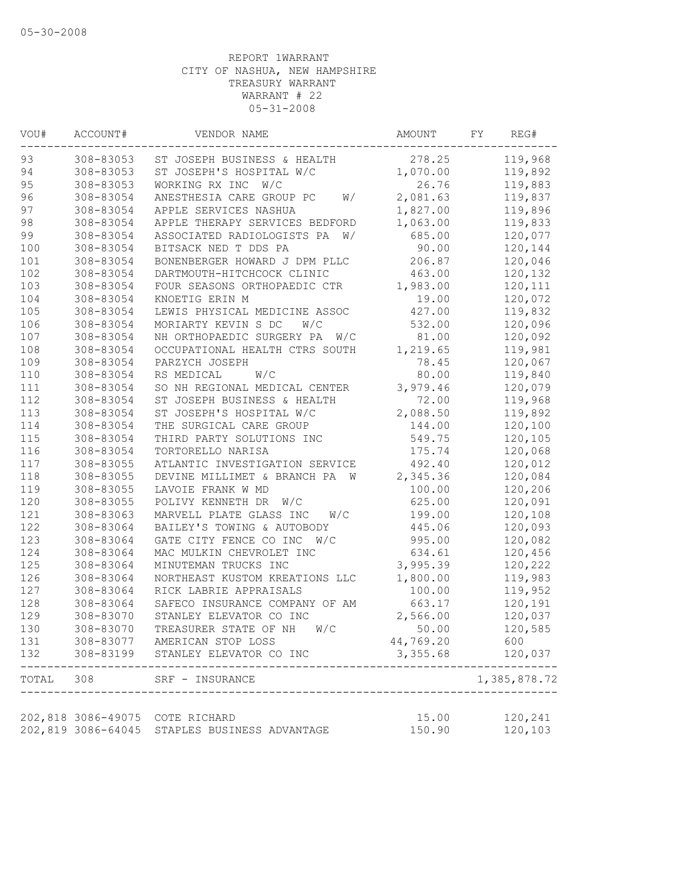| VOU#      | ACCOUNT#           | VENDOR NAME                      | AMOUNT    | FY<br>REG#   |
|-----------|--------------------|----------------------------------|-----------|--------------|
| 93        | 308-83053          | ST JOSEPH BUSINESS & HEALTH      | 278.25    | 119,968      |
| 94        | 308-83053          | ST JOSEPH'S HOSPITAL W/C         | 1,070.00  | 119,892      |
| 95        | 308-83053          | WORKING RX INC<br>W/C            | 26.76     | 119,883      |
| 96        | 308-83054          | ANESTHESIA CARE GROUP PC<br>W/   | 2,081.63  | 119,837      |
| 97        | 308-83054          | APPLE SERVICES NASHUA            | 1,827.00  | 119,896      |
| 98        | 308-83054          | APPLE THERAPY SERVICES BEDFORD   | 1,063.00  | 119,833      |
| 99        | 308-83054          | ASSOCIATED RADIOLOGISTS PA<br>W/ | 685.00    | 120,077      |
| 100       | 308-83054          | BITSACK NED T DDS PA             | 90.00     | 120,144      |
| 101       | 308-83054          | BONENBERGER HOWARD J DPM PLLC    | 206.87    | 120,046      |
| 102       | 308-83054          | DARTMOUTH-HITCHCOCK CLINIC       | 463.00    | 120,132      |
| 103       | 308-83054          | FOUR SEASONS ORTHOPAEDIC CTR     | 1,983.00  | 120,111      |
| 104       | 308-83054          | KNOETIG ERIN M                   | 19.00     | 120,072      |
| 105       | 308-83054          | LEWIS PHYSICAL MEDICINE ASSOC    | 427.00    | 119,832      |
| 106       | 308-83054          | MORIARTY KEVIN S DC<br>W/C       | 532.00    | 120,096      |
| 107       | 308-83054          | NH ORTHOPAEDIC SURGERY PA<br>W/C | 81.00     | 120,092      |
| 108       | 308-83054          | OCCUPATIONAL HEALTH CTRS SOUTH   | 1,219.65  | 119,981      |
| 109       | 308-83054          | PARZYCH JOSEPH                   | 78.45     | 120,067      |
| 110       | 308-83054          | W/C<br>RS MEDICAL                | 80.00     | 119,840      |
| 111       | 308-83054          | SO NH REGIONAL MEDICAL CENTER    | 3,979.46  | 120,079      |
| 112       | 308-83054          | ST JOSEPH BUSINESS & HEALTH      | 72.00     | 119,968      |
| 113       | 308-83054          | ST JOSEPH'S HOSPITAL W/C         | 2,088.50  | 119,892      |
| 114       | 308-83054          | THE SURGICAL CARE GROUP          | 144.00    | 120,100      |
| 115       | 308-83054          | THIRD PARTY SOLUTIONS INC        | 549.75    | 120,105      |
| 116       | 308-83054          | TORTORELLO NARISA                | 175.74    | 120,068      |
| 117       | 308-83055          | ATLANTIC INVESTIGATION SERVICE   | 492.40    | 120,012      |
| 118       | 308-83055          | DEVINE MILLIMET & BRANCH PA W    | 2,345.36  | 120,084      |
| 119       | 308-83055          | LAVOIE FRANK W MD                | 100.00    | 120,206      |
| 120       | 308-83055          | POLIVY KENNETH DR<br>W/C         | 625.00    | 120,091      |
| 121       | 308-83063          | MARVELL PLATE GLASS INC<br>W/C   | 199.00    | 120,108      |
| 122       | 308-83064          | BAILEY'S TOWING & AUTOBODY       | 445.06    | 120,093      |
| 123       | 308-83064          | GATE CITY FENCE CO INC<br>W/C    | 995.00    | 120,082      |
| 124       | 308-83064          | MAC MULKIN CHEVROLET INC         | 634.61    | 120,456      |
| 125       | 308-83064          | MINUTEMAN TRUCKS INC             | 3,995.39  | 120,222      |
| 126       | 308-83064          | NORTHEAST KUSTOM KREATIONS LLC   | 1,800.00  | 119,983      |
| 127       | 308-83064          | RICK LABRIE APPRAISALS           | 100.00    | 119,952      |
| 128       | 308-83064          | SAFECO INSURANCE COMPANY OF AM   | 663.17    | 120,191      |
| 129       | 308-83070          | STANLEY ELEVATOR CO INC          | 2,566.00  | 120,037      |
| 130       | 308-83070          | TREASURER STATE OF NH<br>W/C     | 50.00     | 120,585      |
| 131       |                    | 308-83077 AMERICAN STOP LOSS     | 44,769.20 | 600          |
| 132       | 308-83199          | STANLEY ELEVATOR CO INC          | 3,355.68  | 120,037      |
| TOTAL 308 |                    | SRF - INSURANCE                  |           | 1,385,878.72 |
|           |                    |                                  |           |              |
|           | 202,818 3086-49075 | COTE RICHARD                     | 15.00     | 120,241      |
|           | 202,819 3086-64045 | STAPLES BUSINESS ADVANTAGE       | 150.90    | 120,103      |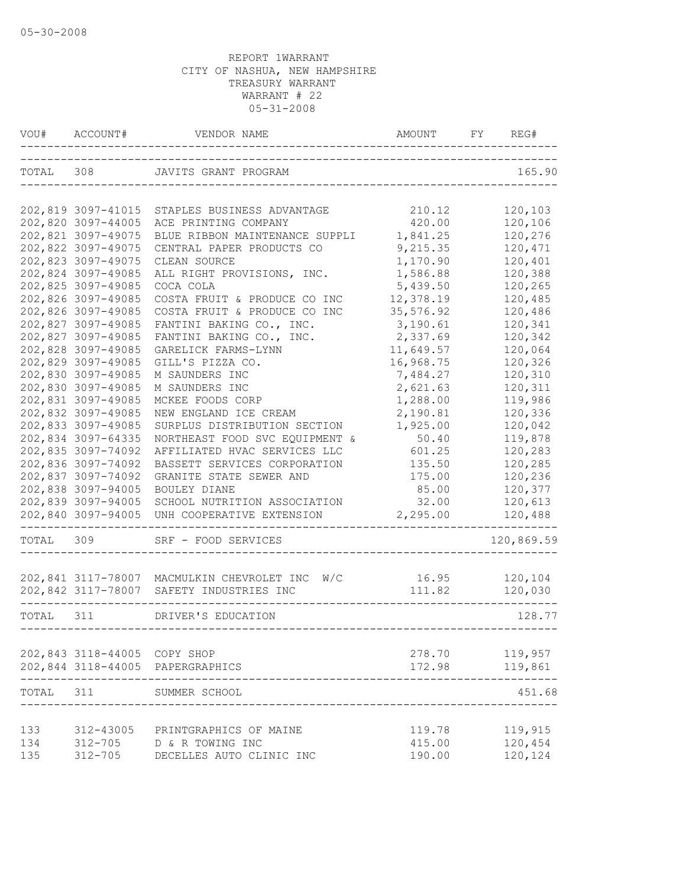| VOU#      | ACCOUNT#                     | VENDOR NAME                                    | AMOUNT           | FY | REG#               |
|-----------|------------------------------|------------------------------------------------|------------------|----|--------------------|
| TOTAL 308 |                              | JAVITS GRANT PROGRAM                           |                  |    | 165.90             |
|           | 202,819 3097-41015           | STAPLES BUSINESS ADVANTAGE                     | 210.12           |    | 120,103            |
|           | 202,820 3097-44005           | ACE PRINTING COMPANY                           | 420.00           |    | 120,106            |
|           | 202,821 3097-49075           | BLUE RIBBON MAINTENANCE SUPPLI                 | 1,841.25         |    | 120,276            |
|           | 202,822 3097-49075           | CENTRAL PAPER PRODUCTS CO                      | 9,215.35         |    | 120,471            |
|           | 202,823 3097-49075           | CLEAN SOURCE                                   | 1,170.90         |    | 120,401            |
|           | 202,824 3097-49085           | ALL RIGHT PROVISIONS, INC.                     | 1,586.88         |    | 120,388            |
|           | 202,825 3097-49085           | COCA COLA                                      | 5,439.50         |    | 120,265            |
|           | 202,826 3097-49085           | COSTA FRUIT & PRODUCE CO INC                   | 12,378.19        |    | 120,485            |
|           | 202,826 3097-49085           | COSTA FRUIT & PRODUCE CO INC                   | 35,576.92        |    | 120,486            |
|           | 202,827 3097-49085           | FANTINI BAKING CO., INC.                       | 3,190.61         |    | 120,341            |
|           | 202,827 3097-49085           | FANTINI BAKING CO., INC.                       | 2,337.69         |    | 120,342            |
|           | 202,828 3097-49085           | GARELICK FARMS-LYNN                            | 11,649.57        |    | 120,064            |
|           | 202,829 3097-49085           | GILL'S PIZZA CO.                               | 16,968.75        |    | 120,326            |
|           | 202,830 3097-49085           | M SAUNDERS INC                                 | 7,484.27         |    | 120,310            |
|           | 202,830 3097-49085           | M SAUNDERS INC                                 | 2,621.63         |    | 120,311            |
|           | 202,831 3097-49085           | MCKEE FOODS CORP                               | 1,288.00         |    | 119,986            |
|           | 202,832 3097-49085           | NEW ENGLAND ICE CREAM                          | 2,190.81         |    | 120,336            |
|           | 202,833 3097-49085           | SURPLUS DISTRIBUTION SECTION                   | 1,925.00         |    | 120,042            |
|           | 202,834 3097-64335           | NORTHEAST FOOD SVC EQUIPMENT &                 | 50.40            |    | 119,878            |
|           | 202,835 3097-74092           | AFFILIATED HVAC SERVICES LLC                   | 601.25           |    | 120,283            |
|           | 202,836 3097-74092           | BASSETT SERVICES CORPORATION                   | 135.50           |    | 120,285            |
|           | 202,837 3097-74092           | GRANITE STATE SEWER AND                        | 175.00           |    | 120,236            |
|           | 202,838 3097-94005           | BOULEY DIANE                                   | 85.00            |    | 120,377            |
|           | 202,839 3097-94005           | SCHOOL NUTRITION ASSOCIATION                   | 32.00            |    | 120,613            |
|           | 202,840 3097-94005           | UNH COOPERATIVE EXTENSION                      | 2,295.00         |    | 120,488            |
| TOTAL     | 309                          | SRF - FOOD SERVICES                            |                  |    | 120,869.59         |
|           |                              | 202,841 3117-78007 MACMULKIN CHEVROLET INC W/C | 16.95            |    | 120,104            |
|           |                              | 202,842 3117-78007 SAFETY INDUSTRIES INC       | 111.82           |    | 120,030            |
| TOTAL 311 |                              | DRIVER'S EDUCATION                             |                  |    | 128.77             |
|           |                              |                                                |                  |    |                    |
|           | 202,843 3118-44005 COPY SHOP | 202,844 3118-44005 PAPERGRAPHICS               | 278.70<br>172.98 |    | 119,957<br>119,861 |
| TOTAL     | 311                          | SUMMER SCHOOL                                  |                  |    | 451.68             |
|           |                              |                                                |                  |    |                    |
| 133       | 312-43005                    | PRINTGRAPHICS OF MAINE                         | 119.78           |    | 119,915            |
| 134       | 312-705                      | D & R TOWING INC                               | 415.00           |    | 120,454            |
| 135       | $312 - 705$                  | DECELLES AUTO CLINIC INC                       | 190.00           |    | 120,124            |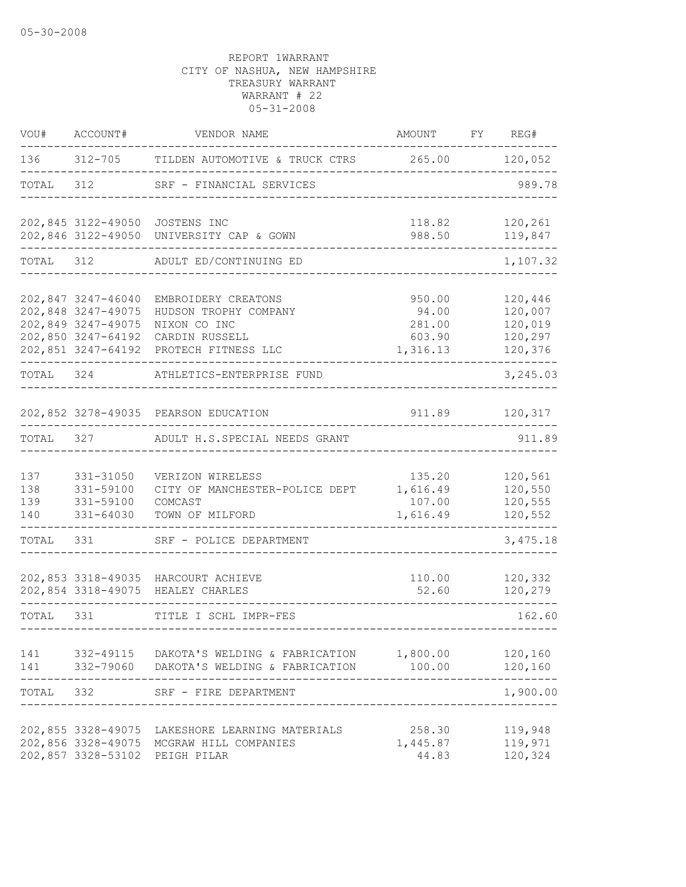| VOU#                     | ACCOUNT#                                                                                                   | VENDOR NAME                                                                                           | AMOUNT                                          | FY REG#                                             |
|--------------------------|------------------------------------------------------------------------------------------------------------|-------------------------------------------------------------------------------------------------------|-------------------------------------------------|-----------------------------------------------------|
| 136                      |                                                                                                            | 312-705 TILDEN AUTOMOTIVE & TRUCK CTRS 265.00 120,052                                                 |                                                 |                                                     |
| TOTAL                    | 312                                                                                                        | SRF - FINANCIAL SERVICES                                                                              |                                                 | 989.78                                              |
|                          |                                                                                                            | 202,845 3122-49050 JOSTENS INC<br>202,846 3122-49050 UNIVERSITY CAP & GOWN                            | 118.82<br>988.50                                | 120,261<br>119,847                                  |
| TOTAL 312                |                                                                                                            | ADULT ED/CONTINUING ED                                                                                |                                                 | 1,107.32                                            |
|                          | 202,847 3247-46040<br>202,848 3247-49075<br>202,849 3247-49075<br>202,850 3247-64192<br>202,851 3247-64192 | EMBROIDERY CREATONS<br>HUDSON TROPHY COMPANY<br>NIXON CO INC<br>CARDIN RUSSELL<br>PROTECH FITNESS LLC | 950.00<br>94.00<br>281.00<br>603.90<br>1,316.13 | 120,446<br>120,007<br>120,019<br>120,297<br>120,376 |
| TOTAL 324                |                                                                                                            | ATHLETICS-ENTERPRISE FUND                                                                             |                                                 | 3,245.03                                            |
|                          |                                                                                                            | 202,852 3278-49035 PEARSON EDUCATION                                                                  | 911.89                                          | 120,317                                             |
| TOTAL                    | 327                                                                                                        | ADULT H.S.SPECIAL NEEDS GRANT                                                                         |                                                 | 911.89                                              |
| 137<br>138<br>139<br>140 | 331-31050<br>331-59100<br>331-59100<br>331-64030                                                           | VERIZON WIRELESS<br>CITY OF MANCHESTER-POLICE DEPT<br>COMCAST<br>TOWN OF MILFORD                      | 135.20<br>1,616.49<br>107.00<br>1,616.49        | 120,561<br>120,550<br>120,555<br>120,552            |
| TOTAL                    | 331                                                                                                        | SRF - POLICE DEPARTMENT                                                                               |                                                 | 3,475.18                                            |
|                          |                                                                                                            | 202,853 3318-49035 HARCOURT ACHIEVE<br>202,854 3318-49075 HEALEY CHARLES                              | 110.00<br>52.60                                 | 120,332<br>120,279                                  |
| TOTAL 331                |                                                                                                            | TITLE I SCHL IMPR-FES                                                                                 |                                                 | 162.60                                              |
| 141                      |                                                                                                            | 332-49115 DAKOTA'S WELDING & FABRICATION<br>141 332-79060 DAKOTA'S WELDING & FABRICATION              | 1,800.00<br>100.00                              | 120,160<br>120,160<br>-----                         |
| TOTAL                    | 332                                                                                                        | SRF - FIRE DEPARTMENT                                                                                 |                                                 | 1,900.00                                            |
|                          | 202,855 3328-49075<br>202,856 3328-49075<br>202,857 3328-53102                                             | LAKESHORE LEARNING MATERIALS<br>MCGRAW HILL COMPANIES<br>PEIGH PILAR                                  | 258.30<br>1,445.87<br>44.83                     | 119,948<br>119,971<br>120,324                       |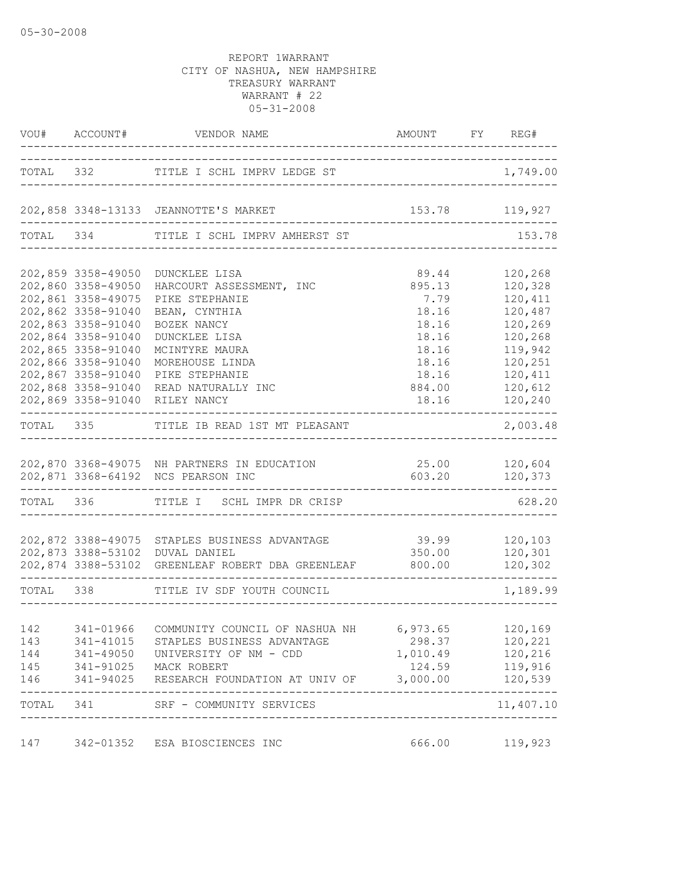|            |                              | VOU# ACCOUNT# VENDOR NAME AMOUNT FY RE                                                      | AMOUNT FY REG#                  |                      |
|------------|------------------------------|---------------------------------------------------------------------------------------------|---------------------------------|----------------------|
|            |                              | TOTAL 332 TITLE I SCHL IMPRV LEDGE ST                                                       |                                 | 1,749.00             |
|            |                              | 202,858 3348-13133 JEANNOTTE'S MARKET                                                       | 153.78 119,927                  |                      |
|            |                              | TOTAL 334 TITLE I SCHL IMPRV AMHERST ST                                                     |                                 | 153.78               |
|            | 202,859 3358-49050           | DUNCKLEE LISA                                                                               | 89.44                           | 120,268              |
|            | 202,860 3358-49050           | HARCOURT ASSESSMENT, INC                                                                    | 895.13                          | 120,328              |
|            | 202,861 3358-49075           | PIKE STEPHANIE                                                                              | 7.79                            | 120,411              |
|            | 202,862 3358-91040           | BEAN, CYNTHIA                                                                               | 18.16                           | 120,487              |
|            | 202,863 3358-91040           | BOZEK NANCY                                                                                 | 18.16                           | 120,269              |
|            | 202,864 3358-91040           | DUNCKLEE LISA                                                                               | 18.16                           | 120,268              |
|            | 202,865 3358-91040           | MCINTYRE MAURA                                                                              | 18.16                           | 119,942              |
|            | 202,866 3358-91040           | MOREHOUSE LINDA                                                                             | 18.16                           | 120,251              |
|            | 202,867 3358-91040           | PIKE STEPHANIE                                                                              | 18.16                           | 120,411              |
|            | 202,868 3358-91040           | READ NATURALLY INC                                                                          | 884.00                          | 120,612              |
|            |                              | 202,869 3358-91040 RILEY NANCY                                                              | 18.16                           | 120,240              |
|            | ---------------------------- | TOTAL 335 TITLE IB READ 1ST MT PLEASANT<br>-----------------------                          |                                 | ------<br>2,003.48   |
|            |                              |                                                                                             |                                 |                      |
|            |                              | 202,870 3368-49075 NH PARTNERS IN EDUCATION<br>202,871 3368-64192 NCS PEARSON INC           | 25.00 120,604<br>603.20 120,373 |                      |
| TOTAL 336  |                              | TITLE I SCHL IMPR DR CRISP                                                                  |                                 | 628.20               |
|            |                              |                                                                                             |                                 |                      |
|            |                              | 202,872 3388-49075 STAPLES BUSINESS ADVANTAGE                                               | 39.99 120,103                   |                      |
|            |                              | 202,873 3388-53102 DUVAL DANIEL<br>202,874 3388-53102 GREENLEAF ROBERT DBA GREENLEAF 800.00 | 350.00 120,301                  | 120,302              |
|            |                              | TOTAL 338 TITLE IV SDF YOUTH COUNCIL                                                        |                                 | 1,189.99             |
|            |                              |                                                                                             |                                 |                      |
|            |                              | 142 341-01966 COMMUNITY COUNCIL OF NASHUA NH 6,973.65 120,169                               |                                 |                      |
| 143        | 341-41015                    | STAPLES BUSINESS ADVANTAGE                                                                  | 298.37                          | 120,221              |
| 144<br>145 |                              | 341-49050 UNIVERSITY OF NM - CDD<br>341-91025 MACK ROBERT                                   | 1,010.49<br>124.59              | 120,216<br>119,916   |
| 146        |                              | 341-94025 RESEARCH FOUNDATION AT UNIV OF 3,000.00                                           |                                 | 120,539              |
| TOTAL 341  |                              | SRF - COMMUNITY SERVICES                                                                    |                                 | -------<br>11,407.10 |
|            |                              |                                                                                             |                                 |                      |
| 147        |                              | 342-01352 ESA BIOSCIENCES INC                                                               | 666.00                          | 119,923              |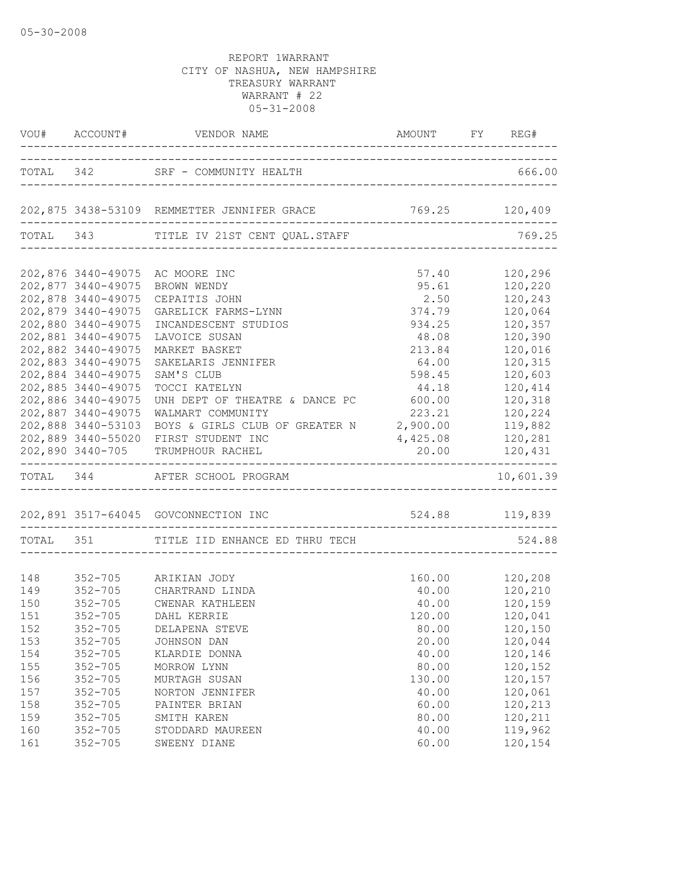|                                 |                                                                                                            | VOU# ACCOUNT# VENDOR NAME                                                                                                     | AMOUNT FY REG#                               |                                                      |
|---------------------------------|------------------------------------------------------------------------------------------------------------|-------------------------------------------------------------------------------------------------------------------------------|----------------------------------------------|------------------------------------------------------|
|                                 | ----------------                                                                                           | TOTAL 342 SRF - COMMUNITY HEALTH                                                                                              | -------------------------------------        | 666.00                                               |
|                                 |                                                                                                            | 202,875 3438-53109 REMMETTER JENNIFER GRACE 769.25 120,409                                                                    |                                              |                                                      |
|                                 |                                                                                                            | TOTAL 343 TITLE IV 21ST CENT QUAL.STAFF                                                                                       |                                              | 769.25                                               |
|                                 | 202,878 3440-49075                                                                                         | 202,876 3440-49075 AC MOORE INC<br>202,877 3440-49075 BROWN WENDY<br>CEPAITIS JOHN                                            | 57.40<br>95.61<br>2.50                       | 120,296<br>120,220<br>120,243                        |
|                                 | 202,879 3440-49075<br>202,880 3440-49075<br>202,881 3440-49075<br>202,882 3440-49075<br>202,883 3440-49075 | GARELICK FARMS-LYNN<br>INCANDESCENT STUDIOS<br>LAVOICE SUSAN<br>MARKET BASKET<br>SAKELARIS JENNIFER                           | 374.79<br>934.25<br>48.08<br>213.84<br>64.00 | 120,064<br>120,357<br>120,390<br>120,016<br>120,315  |
|                                 | 202,884 3440-49075<br>202,885 3440-49075<br>202,886 3440-49075<br>202,887 3440-49075<br>202,888 3440-53103 | SAM'S CLUB<br>TOCCI KATELYN<br>UNH DEPT OF THEATRE & DANCE PC<br>WALMART COMMUNITY<br>BOYS & GIRLS CLUB OF GREATER N 2,900.00 | 598.45<br>44.18<br>600.00<br>223.21          | 120,603<br>120,414<br>120,318<br>120,224<br>120, 882 |
|                                 |                                                                                                            | 202,889 3440-55020 FIRST STUDENT INC<br>202,890 3440-705 TRUMPHOUR RACHEL                                                     | 4,425.08<br>20.00 120,431                    | 120,281                                              |
|                                 |                                                                                                            | TOTAL 344 AFTER SCHOOL PROGRAM                                                                                                |                                              | 10,601.39                                            |
|                                 |                                                                                                            | 202,891 3517-64045 GOVCONNECTION INC 524.88 119,839                                                                           |                                              |                                                      |
|                                 |                                                                                                            | TOTAL 351 TITLE IID ENHANCE ED THRU TECH                                                                                      |                                              | 524.88                                               |
| 148<br>150<br>151               | $352 - 705$                                                                                                | 352-705 ARIKIAN JODY<br>149 352-705 CHARTRAND LINDA<br>352-705 CWENAR KATHLEEN<br>DAHL KERRIE                                 | 40.00    120,210<br>120.00                   | 160.00 120,208<br>40.00 120,159<br>120,041           |
| 152<br>153<br>154<br>155        | $352 - 705$<br>$352 - 705$<br>$352 - 705$<br>$352 - 705$                                                   | DELAPENA STEVE<br>JOHNSON DAN<br>KLARDIE DONNA<br>MORROW LYNN                                                                 | 80.00<br>20.00<br>40.00<br>80.00             | 120,150<br>120,044<br>120,146<br>120,152             |
| 156<br>157<br>158<br>159<br>160 | $352 - 705$<br>$352 - 705$<br>$352 - 705$<br>$352 - 705$<br>$352 - 705$                                    | MURTAGH SUSAN<br>NORTON JENNIFER<br>PAINTER BRIAN<br>SMITH KAREN<br>STODDARD MAUREEN                                          | 130.00<br>40.00<br>60.00<br>80.00<br>40.00   | 120,157<br>120,061<br>120,213<br>120,211<br>119,962  |
| 161                             | $352 - 705$                                                                                                | SWEENY DIANE                                                                                                                  | 60.00                                        | 120,154                                              |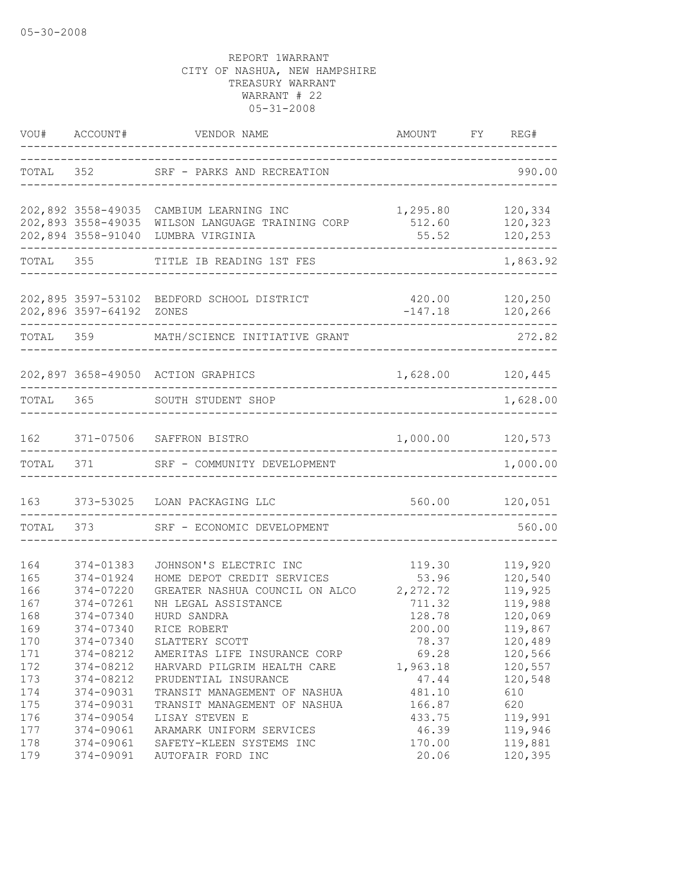|                                        |                                                                            | VOU# ACCOUNT# VENDOR NAME                                                                                                                                                                 | AMOUNT FY REG#                                            |                                                                |
|----------------------------------------|----------------------------------------------------------------------------|-------------------------------------------------------------------------------------------------------------------------------------------------------------------------------------------|-----------------------------------------------------------|----------------------------------------------------------------|
|                                        |                                                                            | TOTAL 352 SRF - PARKS AND RECREATION                                                                                                                                                      |                                                           | 990.00                                                         |
|                                        | 202,894 3558-91040                                                         | 202,892 3558-49035 CAMBIUM LEARNING INC<br>202,892 3558-49035 CAMBIUM LEARNING INC 1,295.80 120,334<br>202,893 3558-49035 WILSON LANGUAGE TRAINING CORP 512.60 120,323<br>LUMBRA VIRGINIA | 55.52                                                     | 120,253                                                        |
|                                        | TOTAL 355                                                                  | TITLE IB READING 1ST FES                                                                                                                                                                  |                                                           | 1,863.92                                                       |
|                                        | 202,896 3597-64192 ZONES                                                   | 202,895 3597-53102 BEDFORD SCHOOL DISTRICT                                                                                                                                                | 420.00<br>$-147.18$ 120,266                               | 120,250                                                        |
|                                        | TOTAL 359                                                                  | MATH/SCIENCE INITIATIVE GRANT                                                                                                                                                             |                                                           | 272.82                                                         |
|                                        |                                                                            | 202,897 3658-49050 ACTION GRAPHICS                                                                                                                                                        | 1,628.00 120,445                                          |                                                                |
|                                        |                                                                            | TOTAL 365 SOUTH STUDENT SHOP                                                                                                                                                              |                                                           | 1,628.00                                                       |
| 162                                    |                                                                            | 371-07506 SAFFRON BISTRO                                                                                                                                                                  | 1,000.00 120,573                                          |                                                                |
| TOTAL                                  | 371 — 200                                                                  | SRF - COMMUNITY DEVELOPMENT                                                                                                                                                               |                                                           | 1,000.00                                                       |
| 163                                    |                                                                            | 373-53025 LOAN PACKAGING LLC                                                                                                                                                              |                                                           | 560.00 120,051                                                 |
|                                        |                                                                            | TOTAL 373 SRF - ECONOMIC DEVELOPMENT                                                                                                                                                      |                                                           | 560.00                                                         |
| 164<br>165<br>166<br>167<br>168<br>169 | 374-01383<br>374-01924<br>374-07220<br>374-07261<br>374-07340<br>374-07340 | JOHNSON'S ELECTRIC INC<br>HOME DEPOT CREDIT SERVICES<br>GREATER NASHUA COUNCIL ON ALCO<br>NH LEGAL ASSISTANCE<br>HURD SANDRA                                                              | 119.30<br>53.96<br>2,272.72<br>711.32<br>128.78<br>200.00 | 119,920<br>120,540<br>119,925<br>119,988<br>120,069<br>119,867 |
| 170<br>171<br>172<br>173<br>174        | 374-07340<br>374-08212<br>374-08212<br>374-08212<br>374-09031              | RICE ROBERT<br>SLATTERY SCOTT<br>AMERITAS LIFE INSURANCE CORP<br>HARVARD PILGRIM HEALTH CARE<br>PRUDENTIAL INSURANCE<br>TRANSIT MANAGEMENT OF NASHUA                                      | 78.37<br>69.28<br>1,963.18<br>47.44<br>481.10             | 120,489<br>120,566<br>120,557<br>120,548<br>610                |
| 175<br>176<br>177<br>178<br>179        | 374-09031<br>374-09054<br>374-09061<br>374-09061<br>374-09091              | TRANSIT MANAGEMENT OF NASHUA<br>LISAY STEVEN E<br>ARAMARK UNIFORM SERVICES<br>SAFETY-KLEEN SYSTEMS INC<br>AUTOFAIR FORD INC                                                               | 166.87<br>433.75<br>46.39<br>170.00<br>20.06              | 620<br>119,991<br>119,946<br>119,881<br>120,395                |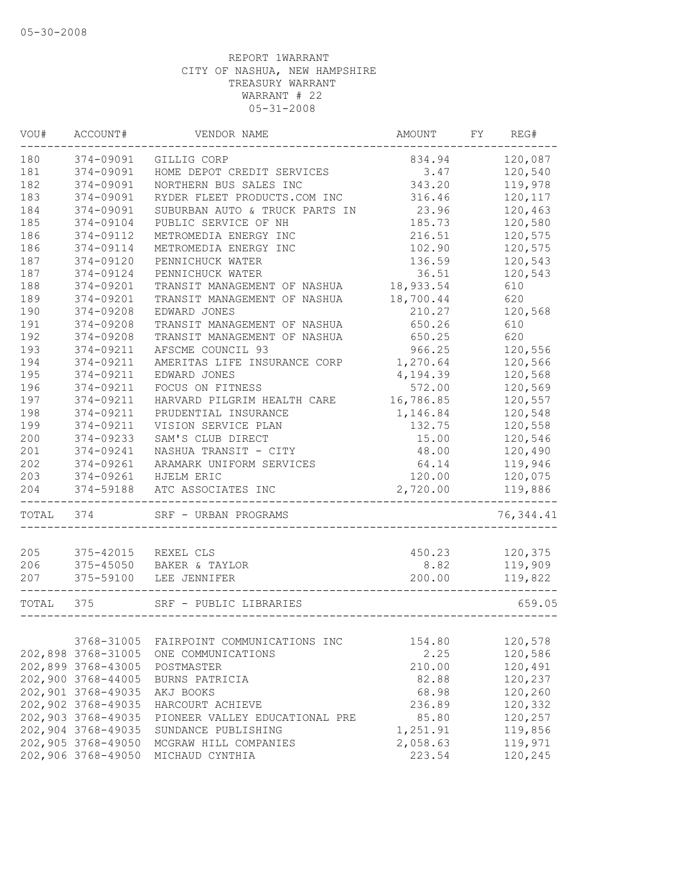| WOU#  | ACCOUNT#           | VENDOR NAME                    | AMOUNT    | FY | REG#       |
|-------|--------------------|--------------------------------|-----------|----|------------|
| 180   | 374-09091          | GILLIG CORP                    | 834.94    |    | 120,087    |
| 181   | 374-09091          | HOME DEPOT CREDIT SERVICES     | 3.47      |    | 120,540    |
| 182   | 374-09091          | NORTHERN BUS SALES INC         | 343.20    |    | 119,978    |
| 183   | 374-09091          | RYDER FLEET PRODUCTS.COM INC   | 316.46    |    | 120,117    |
| 184   | 374-09091          | SUBURBAN AUTO & TRUCK PARTS IN | 23.96     |    | 120,463    |
| 185   | 374-09104          | PUBLIC SERVICE OF NH           | 185.73    |    | 120,580    |
| 186   | 374-09112          | METROMEDIA ENERGY INC          | 216.51    |    | 120,575    |
| 186   | 374-09114          | METROMEDIA ENERGY INC          | 102.90    |    | 120,575    |
| 187   | 374-09120          | PENNICHUCK WATER               | 136.59    |    | 120,543    |
| 187   | 374-09124          | PENNICHUCK WATER               | 36.51     |    | 120,543    |
| 188   | 374-09201          | TRANSIT MANAGEMENT OF NASHUA   | 18,933.54 |    | 610        |
| 189   | 374-09201          | TRANSIT MANAGEMENT OF NASHUA   | 18,700.44 |    | 620        |
| 190   | 374-09208          | EDWARD JONES                   | 210.27    |    | 120,568    |
| 191   | 374-09208          | TRANSIT MANAGEMENT OF NASHUA   | 650.26    |    | 610        |
| 192   | 374-09208          | TRANSIT MANAGEMENT OF NASHUA   | 650.25    |    | 620        |
| 193   | 374-09211          | AFSCME COUNCIL 93              | 966.25    |    | 120,556    |
| 194   | 374-09211          | AMERITAS LIFE INSURANCE CORP   | 1,270.64  |    | 120,566    |
| 195   | 374-09211          | EDWARD JONES                   | 4,194.39  |    | 120,568    |
| 196   | 374-09211          | FOCUS ON FITNESS               | 572.00    |    | 120,569    |
| 197   | 374-09211          | HARVARD PILGRIM HEALTH CARE    | 16,786.85 |    | 120,557    |
| 198   | 374-09211          | PRUDENTIAL INSURANCE           | 1,146.84  |    | 120,548    |
| 199   | 374-09211          | VISION SERVICE PLAN            | 132.75    |    | 120,558    |
| 200   | 374-09233          | SAM'S CLUB DIRECT              | 15.00     |    | 120,546    |
| 201   | 374-09241          | NASHUA TRANSIT - CITY          | 48.00     |    | 120,490    |
| 202   | 374-09261          | ARAMARK UNIFORM SERVICES       | 64.14     |    | 119,946    |
| 203   | 374-09261          | HJELM ERIC                     | 120.00    |    | 120,075    |
| 204   | 374-59188          | ATC ASSOCIATES INC             | 2,720.00  |    | 119,886    |
| TOTAL | 374                | SRF - URBAN PROGRAMS           |           |    | 76, 344.41 |
|       |                    |                                |           |    |            |
| 205   | 375-42015          | REXEL CLS                      | 450.23    |    | 120,375    |
| 206   | 375-45050          | BAKER & TAYLOR                 | 8.82      |    | 119,909    |
| 207   | 375-59100          | LEE JENNIFER                   | 200.00    |    | 119,822    |
| TOTAL | 375                | SRF - PUBLIC LIBRARIES         |           |    | 659.05     |
|       |                    |                                |           |    |            |
|       | 3768-31005         | FAIRPOINT COMMUNICATIONS INC   | 154.80    |    | 120,578    |
|       | 202,898 3768-31005 | ONE COMMUNICATIONS             | 2.25      |    | 120,586    |
|       | 202,899 3768-43005 | POSTMASTER                     | 210.00    |    | 120,491    |
|       | 202,900 3768-44005 | BURNS PATRICIA                 | 82.88     |    | 120,237    |
|       | 202,901 3768-49035 | AKJ BOOKS                      | 68.98     |    | 120,260    |
|       | 202,902 3768-49035 | HARCOURT ACHIEVE               | 236.89    |    | 120,332    |
|       | 202,903 3768-49035 | PIONEER VALLEY EDUCATIONAL PRE | 85.80     |    | 120,257    |
|       | 202,904 3768-49035 | SUNDANCE PUBLISHING            | 1,251.91  |    | 119,856    |
|       | 202,905 3768-49050 | MCGRAW HILL COMPANIES          | 2,058.63  |    | 119,971    |
|       | 202,906 3768-49050 | MICHAUD CYNTHIA                | 223.54    |    | 120,245    |
|       |                    |                                |           |    |            |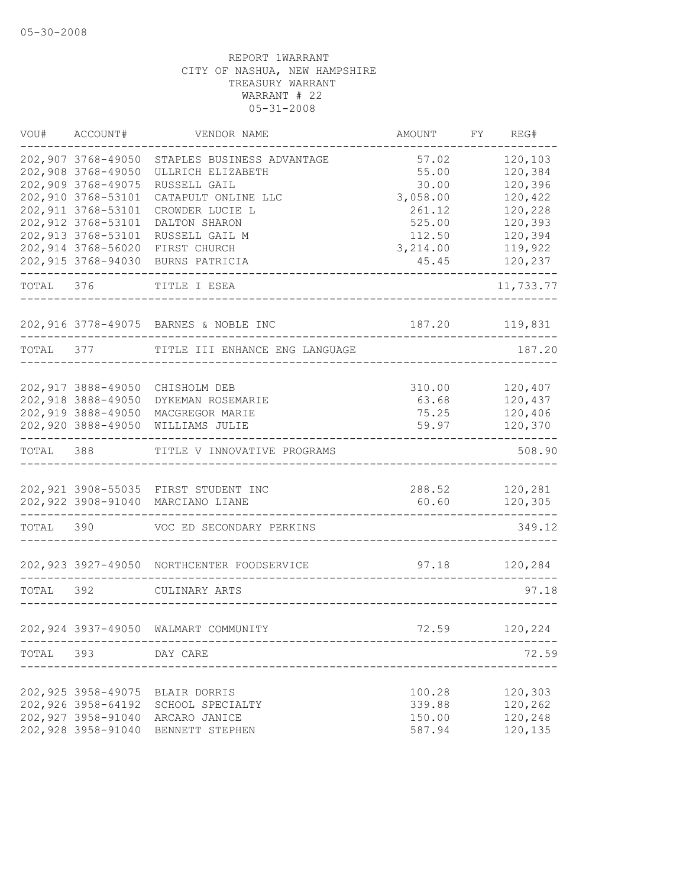| VOU#  | ACCOUNT#            | VENDOR NAME                                | AMOUNT   | FY | REG#      |
|-------|---------------------|--------------------------------------------|----------|----|-----------|
|       | 202,907 3768-49050  | STAPLES BUSINESS ADVANTAGE                 | 57.02    |    | 120,103   |
|       | 202,908 3768-49050  | ULLRICH ELIZABETH                          | 55.00    |    | 120,384   |
|       | 202,909 3768-49075  | RUSSELL GAIL                               | 30.00    |    | 120,396   |
|       | 202,910 3768-53101  | CATAPULT ONLINE LLC                        | 3,058.00 |    | 120,422   |
|       | 202, 911 3768-53101 | CROWDER LUCIE L                            | 261.12   |    | 120,228   |
|       | 202, 912 3768-53101 | DALTON SHARON                              | 525.00   |    | 120,393   |
|       | 202, 913 3768-53101 | RUSSELL GAIL M                             | 112.50   |    | 120,394   |
|       | 202,914 3768-56020  | FIRST CHURCH                               | 3,214.00 |    | 119,922   |
|       | 202,915 3768-94030  | BURNS PATRICIA                             | 45.45    |    | 120,237   |
| TOTAL | 376                 | TITLE I ESEA                               |          |    | 11,733.77 |
|       |                     | 202,916 3778-49075 BARNES & NOBLE INC      | 187.20   |    | 119,831   |
| TOTAL | 377                 | TITLE III ENHANCE ENG LANGUAGE             |          |    | 187.20    |
|       |                     |                                            |          |    |           |
|       | 202, 917 3888-49050 | CHISHOLM DEB                               | 310.00   |    | 120,407   |
|       | 202,918 3888-49050  | DYKEMAN ROSEMARIE                          | 63.68    |    | 120,437   |
|       | 202,919 3888-49050  | MACGREGOR MARIE                            | 75.25    |    | 120,406   |
|       | 202,920 3888-49050  | WILLIAMS JULIE                             | 59.97    |    | 120,370   |
| TOTAL | 388                 | TITLE V INNOVATIVE PROGRAMS                |          |    | 508.90    |
|       |                     | 202,921 3908-55035 FIRST STUDENT INC       | 288.52   |    | 120,281   |
|       | 202,922 3908-91040  | MARCIANO LIANE                             | 60.60    |    | 120,305   |
| TOTAL | 390                 | VOC ED SECONDARY PERKINS                   |          |    | 349.12    |
|       |                     | 202,923 3927-49050 NORTHCENTER FOODSERVICE | 97.18    |    | 120,284   |
|       |                     |                                            |          |    |           |
| TOTAL | 392                 | CULINARY ARTS                              |          |    | 97.18     |
|       |                     | 202,924 3937-49050 WALMART COMMUNITY       | 72.59    |    | 120,224   |
|       | TOTAL 393 DAY CARE  |                                            |          |    | 72.59     |
|       |                     |                                            |          |    |           |
|       | 202,925 3958-49075  | BLAIR DORRIS                               | 100.28   |    | 120,303   |
|       | 202,926 3958-64192  | SCHOOL SPECIALTY                           | 339.88   |    | 120,262   |
|       | 202,927 3958-91040  | ARCARO JANICE                              | 150.00   |    | 120,248   |
|       | 202,928 3958-91040  | BENNETT STEPHEN                            | 587.94   |    | 120,135   |
|       |                     |                                            |          |    |           |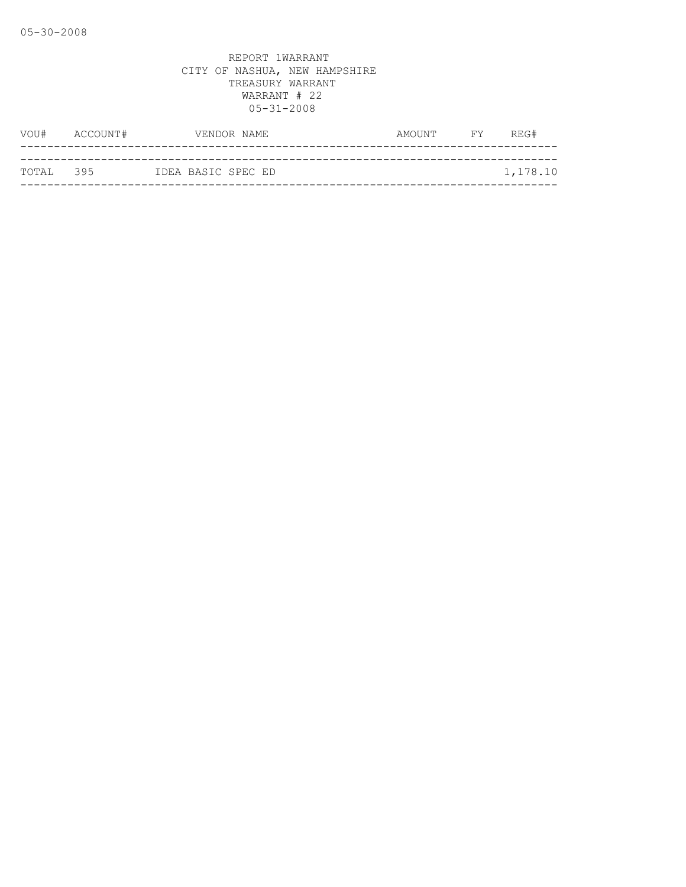| VOU#      | ACCOUNT# | VENDOR NAME        | AMOUNT | <b>EXECUTE</b> | REG#     |
|-----------|----------|--------------------|--------|----------------|----------|
|           |          |                    |        |                |          |
| TOTAL 395 |          | IDEA BASIC SPEC ED |        |                | 1,178.10 |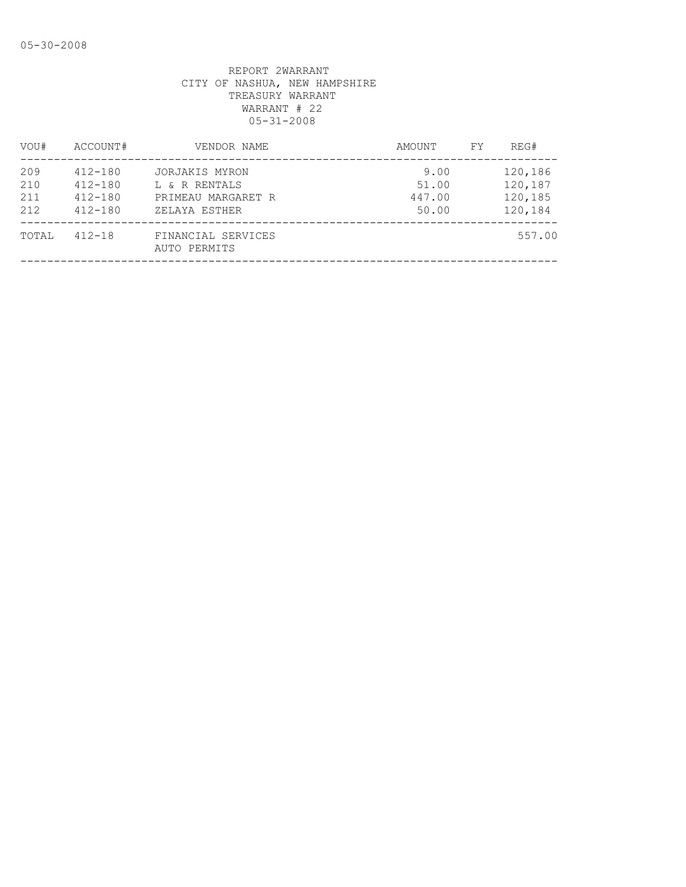| VOU#                     | ACCOUNT#                                                 | VENDOR NAME                                                            | AMOUNT                           | FY. | REG#                                     |
|--------------------------|----------------------------------------------------------|------------------------------------------------------------------------|----------------------------------|-----|------------------------------------------|
| 209<br>210<br>211<br>212 | $412 - 180$<br>$412 - 180$<br>$412 - 180$<br>$412 - 180$ | JORJAKIS MYRON<br>L & R RENTALS<br>PRIMEAU MARGARET R<br>ZELAYA ESTHER | 9.00<br>51.00<br>447.00<br>50.00 |     | 120,186<br>120,187<br>120,185<br>120,184 |
| TOTAL                    | $412 - 18$                                               | FINANCIAL SERVICES<br>AUTO PERMITS                                     |                                  |     | 557.00                                   |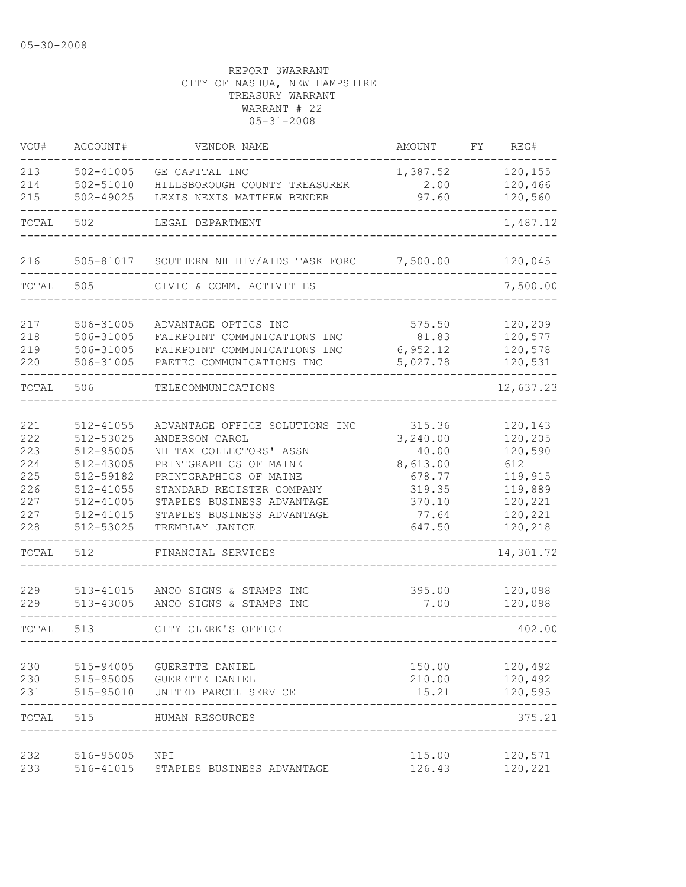| VOU#                                                        | ACCOUNT#                                                                                                          | VENDOR NAME                                                                                                                                                                                                                                 | AMOUNT                                                                                   | FΥ | REG#                                                                                        |
|-------------------------------------------------------------|-------------------------------------------------------------------------------------------------------------------|---------------------------------------------------------------------------------------------------------------------------------------------------------------------------------------------------------------------------------------------|------------------------------------------------------------------------------------------|----|---------------------------------------------------------------------------------------------|
| 213<br>214<br>215                                           | 502-41005<br>502-51010<br>$502 - 49025$                                                                           | GE CAPITAL INC<br>HILLSBOROUGH COUNTY TREASURER<br>LEXIS NEXIS MATTHEW BENDER                                                                                                                                                               | 1,387.52<br>2.00<br>97.60                                                                |    | 120,155<br>120,466<br>120,560                                                               |
| TOTAL                                                       | 502                                                                                                               | LEGAL DEPARTMENT                                                                                                                                                                                                                            |                                                                                          |    | 1,487.12                                                                                    |
| 216                                                         | 505-81017                                                                                                         | SOUTHERN NH HIV/AIDS TASK FORC 7,500.00                                                                                                                                                                                                     |                                                                                          |    | 120,045                                                                                     |
| TOTAL                                                       | 505                                                                                                               | CIVIC & COMM. ACTIVITIES                                                                                                                                                                                                                    |                                                                                          |    | 7,500.00                                                                                    |
| 217<br>218<br>219<br>220                                    | 506-31005<br>506-31005<br>506-31005<br>506-31005                                                                  | ADVANTAGE OPTICS INC<br>FAIRPOINT COMMUNICATIONS INC<br>FAIRPOINT COMMUNICATIONS INC<br>PAETEC COMMUNICATIONS INC                                                                                                                           | 575.50<br>81.83<br>6,952.12<br>5,027.78                                                  |    | 120,209<br>120,577<br>120,578<br>120,531                                                    |
| TOTAL                                                       | 506                                                                                                               | TELECOMMUNICATIONS                                                                                                                                                                                                                          |                                                                                          |    | 12,637.23                                                                                   |
| 221<br>222<br>223<br>224<br>225<br>226<br>227<br>227<br>228 | 512-41055<br>512-53025<br>512-95005<br>512-43005<br>512-59182<br>512-41055<br>512-41005<br>512-41015<br>512-53025 | ADVANTAGE OFFICE SOLUTIONS INC<br>ANDERSON CAROL<br>NH TAX COLLECTORS' ASSN<br>PRINTGRAPHICS OF MAINE<br>PRINTGRAPHICS OF MAINE<br>STANDARD REGISTER COMPANY<br>STAPLES BUSINESS ADVANTAGE<br>STAPLES BUSINESS ADVANTAGE<br>TREMBLAY JANICE | 315.36<br>3,240.00<br>40.00<br>8,613.00<br>678.77<br>319.35<br>370.10<br>77.64<br>647.50 |    | 120,143<br>120,205<br>120,590<br>612<br>119,915<br>119,889<br>120,221<br>120,221<br>120,218 |
| TOTAL                                                       | 512                                                                                                               | FINANCIAL SERVICES                                                                                                                                                                                                                          |                                                                                          |    | 14,301.72                                                                                   |
| 229<br>229                                                  | 513-41015<br>513-43005                                                                                            | ANCO SIGNS & STAMPS INC<br>ANCO SIGNS & STAMPS INC                                                                                                                                                                                          | 395.00<br>7.00                                                                           |    | 120,098<br>120,098                                                                          |
| TOTAL                                                       | 513                                                                                                               | CITY CLERK'S OFFICE                                                                                                                                                                                                                         |                                                                                          |    | 402.00                                                                                      |
| 230<br>230<br>231                                           | 515-94005<br>515-95005<br>515-95010                                                                               | GUERETTE DANIEL<br>GUERETTE DANIEL<br>UNITED PARCEL SERVICE                                                                                                                                                                                 | 150.00<br>210.00<br>15.21                                                                |    | 120,492<br>120,492<br>120,595                                                               |
| TOTAL                                                       | 515                                                                                                               | HUMAN RESOURCES                                                                                                                                                                                                                             |                                                                                          |    | 375.21                                                                                      |
| 232<br>233                                                  | 516-95005<br>516-41015                                                                                            | NPI<br>STAPLES BUSINESS ADVANTAGE                                                                                                                                                                                                           | 115.00<br>126.43                                                                         |    | 120,571<br>120,221                                                                          |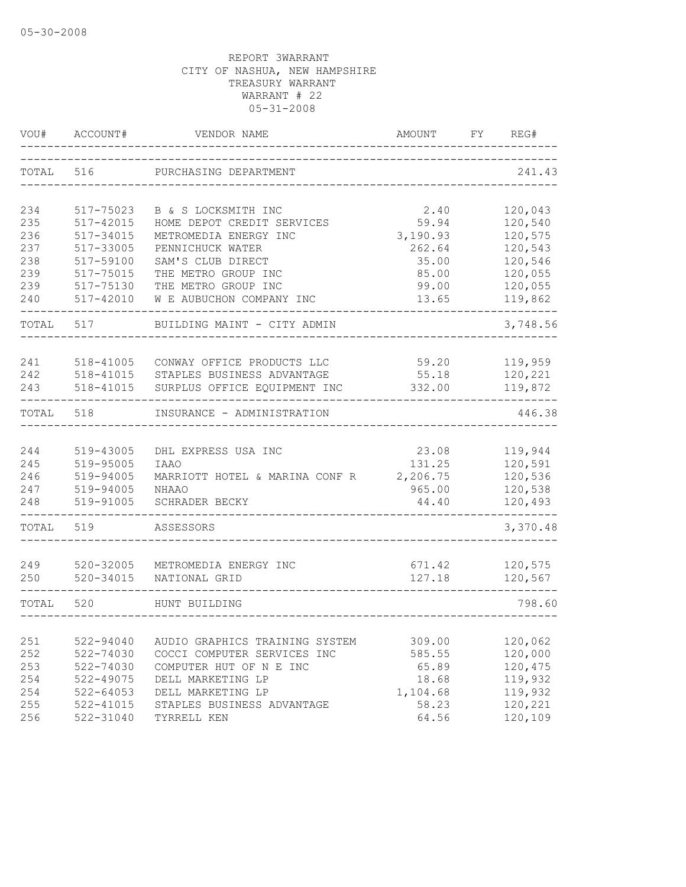| VOU#       | ACCOUNT#                       | VENDOR NAME                                                   | AMOUNT           | FY. | REG#               |
|------------|--------------------------------|---------------------------------------------------------------|------------------|-----|--------------------|
| TOTAL      | 516                            | PURCHASING DEPARTMENT                                         |                  |     | 241.43             |
| 234        | 517-75023                      | B & S LOCKSMITH INC                                           | 2.40             |     | 120,043            |
| 235        | 517-42015                      | HOME DEPOT CREDIT SERVICES                                    | 59.94            |     | 120,540            |
| 236        | 517-34015                      | METROMEDIA ENERGY INC                                         | 3,190.93         |     | 120,575            |
| 237        | 517-33005                      | PENNICHUCK WATER                                              | 262.64           |     | 120,543            |
| 238        | 517-59100                      | SAM'S CLUB DIRECT                                             | 35.00            |     | 120,546            |
| 239        | 517-75015                      | THE METRO GROUP INC                                           | 85.00            |     | 120,055            |
| 239        | 517-75130                      | THE METRO GROUP INC                                           | 99.00            |     | 120,055            |
| 240        | 517-42010                      | W E AUBUCHON COMPANY INC                                      | 13.65            |     | 119,862            |
| TOTAL      | 517                            | BUILDING MAINT - CITY ADMIN                                   |                  |     | 3,748.56           |
|            |                                | CONWAY OFFICE PRODUCTS LLC                                    |                  |     |                    |
| 241<br>242 | 518-41005<br>518-41015         | STAPLES BUSINESS ADVANTAGE                                    | 59.20<br>55.18   |     | 119,959<br>120,221 |
| 243        | 518-41015                      | SURPLUS OFFICE EQUIPMENT INC                                  | 332.00           |     | 119,872            |
|            |                                |                                                               |                  |     |                    |
| TOTAL      | 518                            | INSURANCE - ADMINISTRATION                                    |                  |     | 446.38             |
|            |                                |                                                               |                  |     |                    |
| 244        | 519-43005                      | DHL EXPRESS USA INC                                           | 23.08            |     | 119,944            |
| 245        | 519-95005                      | <b>IAAO</b>                                                   | 131.25           |     | 120,591            |
| 246        | 519-94005                      | MARRIOTT HOTEL & MARINA CONF R                                | 2,206.75         |     | 120,536            |
| 247        | 519-94005                      | NHAAO                                                         | 965.00           |     | 120,538            |
| 248        | 519-91005                      | SCHRADER BECKY                                                | 44.40            |     | 120,493            |
| TOTAL      | 519                            | ASSESSORS                                                     |                  |     | 3,370.48           |
|            |                                |                                                               |                  |     |                    |
| 249<br>250 | $520 - 32005$<br>$520 - 34015$ | METROMEDIA ENERGY INC<br>NATIONAL GRID                        | 671.42<br>127.18 |     | 120,575<br>120,567 |
|            |                                |                                                               |                  |     |                    |
| TOTAL      | 520                            | HUNT BUILDING                                                 |                  |     | 798.60             |
|            |                                |                                                               |                  |     |                    |
| 251<br>252 | 522-94040<br>522-74030         | AUDIO GRAPHICS TRAINING SYSTEM<br>COCCI COMPUTER SERVICES INC | 309.00<br>585.55 |     | 120,062<br>120,000 |
| 253        | 522-74030                      | COMPUTER HUT OF N E INC                                       | 65.89            |     | 120,475            |
| 254        | 522-49075                      | DELL MARKETING LP                                             | 18.68            |     | 119,932            |
| 254        | $522 - 64053$                  | DELL MARKETING LP                                             | 1,104.68         |     | 119,932            |
| 255        | $522 - 41015$                  | STAPLES BUSINESS ADVANTAGE                                    | 58.23            |     | 120,221            |
| 256        | $522 - 31040$                  | TYRRELL KEN                                                   | 64.56            |     | 120,109            |
|            |                                |                                                               |                  |     |                    |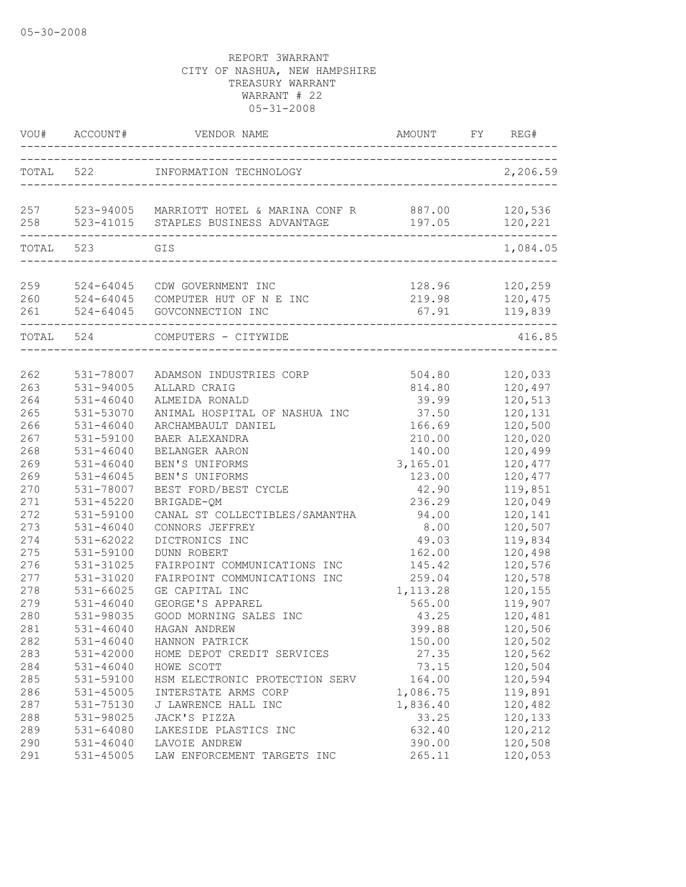| VOU#              | ACCOUNT#                   | VENDOR NAME                                                                             | <b>AMOUNT</b>                      | REG#<br>FY                    |
|-------------------|----------------------------|-----------------------------------------------------------------------------------------|------------------------------------|-------------------------------|
|                   | TOTAL 522                  | INFORMATION TECHNOLOGY                                                                  | __________________________________ | 2,206.59                      |
| 257<br>258        |                            | 523-94005 MARRIOTT HOTEL & MARINA CONF R 887.00<br>523-41015 STAPLES BUSINESS ADVANTAGE | 197.05                             | 120,536<br>120,221            |
| TOTAL 523         |                            | GIS<br>______________________                                                           |                                    | 1,084.05                      |
| 259<br>260<br>261 | 524-64045<br>$524 - 64045$ | CDW GOVERNMENT INC<br>524-64045 COMPUTER HUT OF N E INC<br>GOVCONNECTION INC            | 128.96<br>219.98<br>67.91          | 120,259<br>120,475<br>119,839 |
| TOTAL 524         |                            | COMPUTERS - CITYWIDE                                                                    |                                    | 416.85                        |
| 262               | 531-78007                  | ADAMSON INDUSTRIES CORP                                                                 | 504.80                             | 120,033                       |
| 263               | 531-94005                  | ALLARD CRAIG                                                                            | 814.80                             | 120,497                       |
| 264               | $531 - 46040$              | ALMEIDA RONALD                                                                          | 39.99                              | 120,513                       |
| 265               | 531-53070                  | ANIMAL HOSPITAL OF NASHUA INC                                                           | 37.50                              | 120,131                       |
| 266               | $531 - 46040$              | ARCHAMBAULT DANIEL                                                                      | 166.69                             | 120,500                       |
| 267               | 531-59100                  | BAER ALEXANDRA                                                                          | 210.00                             | 120,020                       |
| 268               | $531 - 46040$              | BELANGER AARON                                                                          | 140.00                             | 120,499                       |
| 269               | $531 - 46040$              | BEN'S UNIFORMS                                                                          | 3,165.01                           | 120,477                       |
| 269               | $531 - 46045$              | BEN'S UNIFORMS                                                                          | 123.00                             | 120,477                       |
| 270               | 531-78007                  | BEST FORD/BEST CYCLE                                                                    | 42.90                              | 119,851                       |
| 271               | 531-45220                  | BRIGADE-QM                                                                              | 236.29                             | 120,049                       |
| 272               | 531-59100                  | CANAL ST COLLECTIBLES/SAMANTHA                                                          | 94.00                              | 120,141                       |
| 273               | $531 - 46040$              | CONNORS JEFFREY                                                                         | 8.00                               | 120,507                       |
| 274               | 531-62022                  | DICTRONICS INC                                                                          | 49.03                              | 119,834                       |
| 275               | 531-59100                  | <b>DUNN ROBERT</b>                                                                      | 162.00                             | 120,498                       |
| 276               | 531-31025                  | FAIRPOINT COMMUNICATIONS INC                                                            | 145.42                             | 120,576                       |
| 277               | 531-31020                  | FAIRPOINT COMMUNICATIONS INC                                                            | 259.04                             | 120,578                       |
| 278               | $531 - 66025$              | GE CAPITAL INC                                                                          | 1, 113.28                          | 120,155                       |
| 279               | 531-46040                  | GEORGE'S APPAREL                                                                        | 565.00                             | 119,907                       |
| 280               | 531-98035                  | GOOD MORNING SALES INC                                                                  | 43.25                              | 120,481                       |
| 281               | 531-46040                  | HAGAN ANDREW                                                                            | 399.88                             | 120,506                       |
| 282               | $531 - 46040$              | HANNON PATRICK                                                                          | 150.00                             | 120,502                       |
| 283               | $531 - 42000$              | HOME DEPOT CREDIT SERVICES                                                              | 27.35                              | 120,562                       |
| 284               | $531 - 46040$              | HOWE SCOTT                                                                              | 73.15                              | 120,504                       |
| 285               | 531-59100                  | HSM ELECTRONIC PROTECTION SERV                                                          | 164.00                             | 120,594                       |
| 286               | 531-45005                  | INTERSTATE ARMS CORP                                                                    | 1,086.75                           | 119,891                       |
| 287               | 531-75130                  | J LAWRENCE HALL INC                                                                     | 1,836.40                           | 120,482                       |
| 288               | 531-98025                  | JACK'S PIZZA                                                                            | 33.25                              | 120,133                       |
| 289               | 531-64080                  | LAKESIDE PLASTICS INC                                                                   | 632.40                             | 120,212                       |
| 290               | 531-46040                  | LAVOIE ANDREW                                                                           | 390.00                             | 120,508                       |
| 291               | 531-45005                  | LAW ENFORCEMENT TARGETS INC                                                             | 265.11                             | 120,053                       |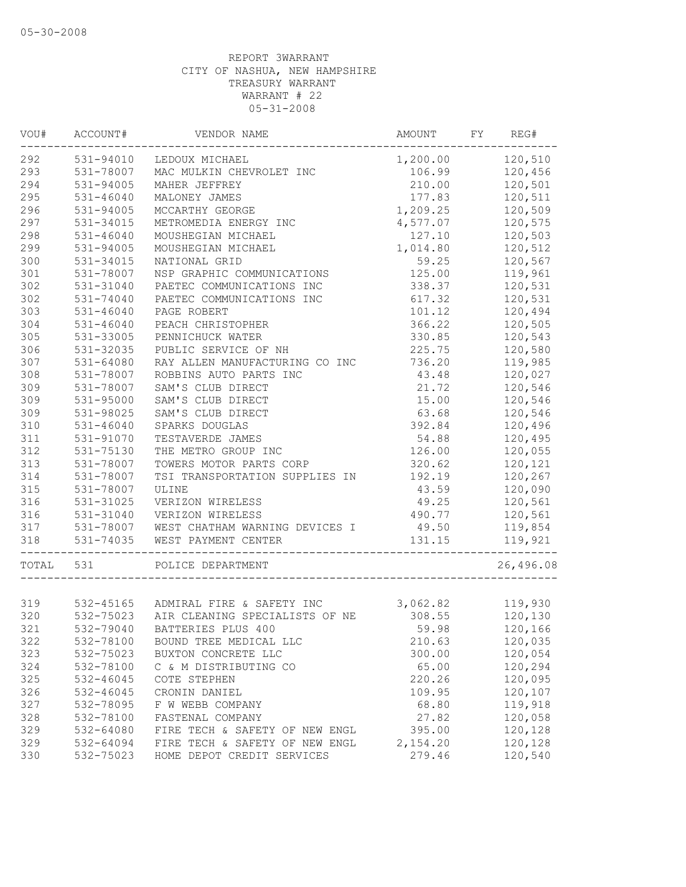| WOU#  | ACCOUNT#      | VENDOR NAME                         | AMOUNT   | FY | REG#      |
|-------|---------------|-------------------------------------|----------|----|-----------|
| 292   | 531-94010     | LEDOUX MICHAEL                      | 1,200.00 |    | 120,510   |
| 293   | 531-78007     | MAC MULKIN CHEVROLET INC            | 106.99   |    | 120,456   |
| 294   | 531-94005     | MAHER JEFFREY                       | 210.00   |    | 120,501   |
| 295   | $531 - 46040$ | MALONEY JAMES                       | 177.83   |    | 120,511   |
| 296   | 531-94005     | MCCARTHY GEORGE                     | 1,209.25 |    | 120,509   |
| 297   | 531-34015     | METROMEDIA ENERGY INC               | 4,577.07 |    | 120,575   |
| 298   | $531 - 46040$ | MOUSHEGIAN MICHAEL                  | 127.10   |    | 120,503   |
| 299   | 531-94005     | MOUSHEGIAN MICHAEL                  | 1,014.80 |    | 120,512   |
| 300   | 531-34015     | NATIONAL GRID                       | 59.25    |    | 120,567   |
| 301   | 531-78007     | NSP GRAPHIC COMMUNICATIONS          | 125.00   |    | 119,961   |
| 302   | 531-31040     | PAETEC COMMUNICATIONS INC           | 338.37   |    | 120,531   |
| 302   | 531-74040     | PAETEC COMMUNICATIONS INC           | 617.32   |    | 120,531   |
| 303   | $531 - 46040$ | PAGE ROBERT                         | 101.12   |    | 120,494   |
| 304   | $531 - 46040$ | PEACH CHRISTOPHER                   | 366.22   |    | 120,505   |
| 305   | 531-33005     | PENNICHUCK WATER                    | 330.85   |    | 120,543   |
| 306   | 531-32035     | PUBLIC SERVICE OF NH                | 225.75   |    | 120,580   |
| 307   | 531-64080     | RAY ALLEN MANUFACTURING CO INC      | 736.20   |    | 119,985   |
| 308   | 531-78007     | ROBBINS AUTO PARTS INC              | 43.48    |    | 120,027   |
| 309   | 531-78007     | SAM'S CLUB DIRECT                   | 21.72    |    | 120,546   |
| 309   | 531-95000     | SAM'S CLUB DIRECT                   | 15.00    |    | 120,546   |
| 309   | 531-98025     | SAM'S CLUB DIRECT                   | 63.68    |    | 120,546   |
| 310   | $531 - 46040$ | SPARKS DOUGLAS                      | 392.84   |    | 120,496   |
| 311   | 531-91070     | TESTAVERDE JAMES                    | 54.88    |    | 120,495   |
| 312   | 531-75130     | THE METRO GROUP INC                 | 126.00   |    | 120,055   |
| 313   | 531-78007     | TOWERS MOTOR PARTS CORP             | 320.62   |    | 120,121   |
| 314   | 531-78007     | TSI TRANSPORTATION SUPPLIES IN      | 192.19   |    | 120,267   |
| 315   | 531-78007     | ULINE                               | 43.59    |    | 120,090   |
| 316   | 531-31025     | VERIZON WIRELESS                    | 49.25    |    | 120,561   |
| 316   | 531-31040     | VERIZON WIRELESS                    | 490.77   |    | 120,561   |
| 317   | 531-78007     | WEST CHATHAM WARNING DEVICES I      | 49.50    |    | 119,854   |
| 318   | 531-74035     | WEST PAYMENT CENTER                 | 131.15   |    | 119,921   |
| TOTAL | 531           | POLICE DEPARTMENT                   |          |    | 26,496.08 |
|       |               |                                     |          |    |           |
| 319   |               | 532-45165 ADMIRAL FIRE & SAFETY INC | 3,062.82 |    | 119,930   |
| 320   | 532-75023     | AIR CLEANING SPECIALISTS OF NE      | 308.55   |    | 120,130   |
| 321   | 532-79040     | BATTERIES PLUS 400                  | 59.98    |    | 120,166   |
| 322   | 532-78100     | BOUND TREE MEDICAL LLC              | 210.63   |    | 120,035   |
| 323   | 532-75023     | BUXTON CONCRETE LLC                 | 300.00   |    | 120,054   |
| 324   | 532-78100     | C & M DISTRIBUTING CO               | 65.00    |    | 120,294   |
| 325   | 532-46045     | COTE STEPHEN                        | 220.26   |    | 120,095   |
| 326   | 532-46045     | CRONIN DANIEL                       | 109.95   |    | 120,107   |
| 327   | 532-78095     | F W WEBB COMPANY                    | 68.80    |    | 119,918   |
| 328   | 532-78100     | FASTENAL COMPANY                    | 27.82    |    | 120,058   |
| 329   | 532-64080     | FIRE TECH & SAFETY OF NEW ENGL      | 395.00   |    | 120,128   |
| 329   | 532-64094     | FIRE TECH & SAFETY OF NEW ENGL      | 2,154.20 |    | 120,128   |
| 330   | 532-75023     | HOME DEPOT CREDIT SERVICES          | 279.46   |    | 120,540   |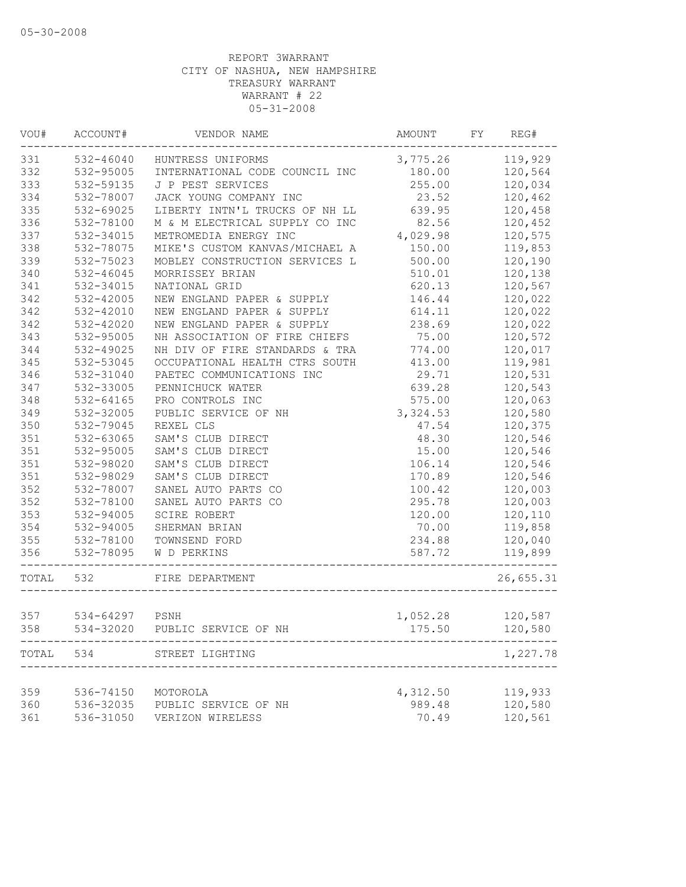| WOU#      | ACCOUNT#               | VENDOR NAME                    | AMOUNT             | FY | REG#               |
|-----------|------------------------|--------------------------------|--------------------|----|--------------------|
| 331       | 532-46040              | HUNTRESS UNIFORMS              | 3,775.26 119,929   |    |                    |
| 332       | 532-95005              | INTERNATIONAL CODE COUNCIL INC | 180.00             |    | 120,564            |
| 333       | 532-59135              | J P PEST SERVICES              | 255.00             |    | 120,034            |
| 334       | 532-78007              | JACK YOUNG COMPANY INC         | 23.52              |    | 120,462            |
| 335       | 532-69025              | LIBERTY INTN'L TRUCKS OF NH LL | 639.95             |    | 120,458            |
| 336       | 532-78100              | M & M ELECTRICAL SUPPLY CO INC | 82.56              |    | 120,452            |
| 337       | 532-34015              | METROMEDIA ENERGY INC          | 4,029.98           |    | 120,575            |
| 338       | 532-78075              | MIKE'S CUSTOM KANVAS/MICHAEL A | 150.00             |    | 119,853            |
| 339       | 532-75023              | MOBLEY CONSTRUCTION SERVICES L | 500.00             |    | 120,190            |
| 340       | 532-46045              | MORRISSEY BRIAN                | 510.01             |    | 120,138            |
| 341       | 532-34015              | NATIONAL GRID                  | 620.13             |    | 120,567            |
| 342       | 532-42005              | NEW ENGLAND PAPER & SUPPLY     | 146.44             |    | 120,022            |
| 342       | 532-42010              | NEW ENGLAND PAPER & SUPPLY     | 614.11             |    | 120,022            |
| 342       | 532-42020              | NEW ENGLAND PAPER & SUPPLY     | 238.69             |    | 120,022            |
| 343       | 532-95005              | NH ASSOCIATION OF FIRE CHIEFS  | 75.00              |    | 120,572            |
| 344       | 532-49025              | NH DIV OF FIRE STANDARDS & TRA | 774.00             |    | 120,017            |
| 345       | 532-53045              | OCCUPATIONAL HEALTH CTRS SOUTH | 413.00             |    | 119,981            |
| 346       | 532-31040              | PAETEC COMMUNICATIONS INC      | 29.71              |    | 120,531            |
| 347       | 532-33005              | PENNICHUCK WATER               | 639.28             |    | 120,543            |
| 348       | 532-64165              | PRO CONTROLS INC               | 575.00             |    | 120,063            |
| 349       | 532-32005              | PUBLIC SERVICE OF NH           | 3,324.53           |    | 120,580            |
| 350       | 532-79045              | REXEL CLS                      | 47.54              |    | 120,375            |
| 351       | 532-63065              | SAM'S CLUB DIRECT              | 48.30              |    | 120,546            |
| 351       | 532-95005              | SAM'S CLUB DIRECT              | 15.00              |    | 120,546            |
| 351       | 532-98020              | SAM'S CLUB DIRECT              | 106.14             |    | 120,546            |
| 351       | 532-98029              | SAM'S CLUB DIRECT              | 170.89             |    | 120,546            |
| 352       | 532-78007              | SANEL AUTO PARTS CO            | 100.42             |    | 120,003            |
| 352       | 532-78100              | SANEL AUTO PARTS CO            | 295.78             |    | 120,003            |
| 353       | 532-94005              | SCIRE ROBERT                   | 120.00             |    | 120,110            |
| 354       | 532-94005              | SHERMAN BRIAN                  | 70.00              |    | 119,858            |
| 355       | 532-78100              | TOWNSEND FORD                  | 234.88             |    | 120,040            |
| 356       | 532-78095              | W D PERKINS                    | 587.72             |    | 119,899            |
| TOTAL 532 |                        | FIRE DEPARTMENT                |                    |    | 26,655.31          |
|           |                        |                                |                    |    |                    |
| 357       | 534-64297 PSNH         |                                | 1,052.28           |    | 120,587            |
| 358       | 534-32020              | PUBLIC SERVICE OF NH           | 175.50             |    | 120,580            |
| TOTAL     | 534                    | STREET LIGHTING                |                    |    | 1,227.78           |
| 359       |                        | MOTOROLA                       |                    |    |                    |
| 360       | 536-74150<br>536-32035 |                                | 4,312.50<br>989.48 |    | 119,933<br>120,580 |
| 361       |                        | PUBLIC SERVICE OF NH           | 70.49              |    | 120,561            |
|           | 536-31050              | VERIZON WIRELESS               |                    |    |                    |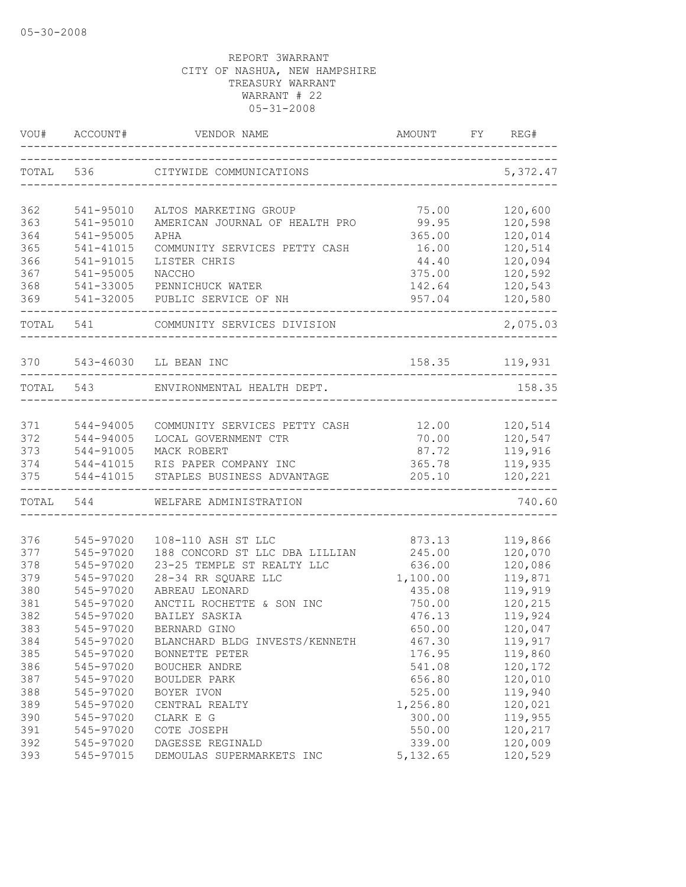| VOU#      | ACCOUNT#  | VENDOR NAME                    | AMOUNT<br>________________       | FY | REG#           |
|-----------|-----------|--------------------------------|----------------------------------|----|----------------|
| TOTAL     | 536       | CITYWIDE COMMUNICATIONS        | ________________________________ |    | 5,372.47       |
| 362       | 541-95010 | ALTOS MARKETING GROUP          | 75.00                            |    | 120,600        |
| 363       | 541-95010 | AMERICAN JOURNAL OF HEALTH PRO | 99.95                            |    | 120,598        |
| 364       | 541-95005 | APHA                           | 365.00                           |    | 120,014        |
| 365       | 541-41015 | COMMUNITY SERVICES PETTY CASH  | 16.00                            |    | 120,514        |
| 366       | 541-91015 | LISTER CHRIS                   | 44.40                            |    | 120,094        |
| 367       | 541-95005 | NACCHO                         | 375.00                           |    | 120,592        |
| 368       | 541-33005 | PENNICHUCK WATER               | 142.64                           |    | 120,543        |
| 369       | 541-32005 | PUBLIC SERVICE OF NH           | 957.04                           |    | 120,580        |
| TOTAL     | 541       | COMMUNITY SERVICES DIVISION    | _________________                |    | 2,075.03       |
| 370       |           | 543-46030 LL BEAN INC          |                                  |    | 158.35 119,931 |
| TOTAL 543 |           | ENVIRONMENTAL HEALTH DEPT.     |                                  |    | 158.35         |
|           |           |                                |                                  |    |                |
| 371       | 544-94005 | COMMUNITY SERVICES PETTY CASH  | 12.00                            |    | 120,514        |
| 372       | 544-94005 | LOCAL GOVERNMENT CTR           | 70.00                            |    | 120,547        |
| 373       | 544-91005 | MACK ROBERT                    | 87.72                            |    | 119,916        |
| 374       | 544-41015 | RIS PAPER COMPANY INC          | 365.78                           |    | 119,935        |
| 375       | 544-41015 | STAPLES BUSINESS ADVANTAGE     | 205.10<br>_______________        |    | 120,221        |
|           | TOTAL 544 | WELFARE ADMINISTRATION         |                                  |    | 740.60         |
| 376       | 545-97020 | 108-110 ASH ST LLC             | 873.13                           |    | 119,866        |
| 377       | 545-97020 | 188 CONCORD ST LLC DBA LILLIAN | 245.00                           |    | 120,070        |
| 378       | 545-97020 | 23-25 TEMPLE ST REALTY LLC     | 636.00                           |    | 120,086        |
| 379       | 545-97020 | 28-34 RR SQUARE LLC            | 1,100.00                         |    | 119,871        |
| 380       | 545-97020 | ABREAU LEONARD                 | 435.08                           |    | 119,919        |
| 381       | 545-97020 | ANCTIL ROCHETTE & SON INC      | 750.00                           |    | 120,215        |
| 382       | 545-97020 | BAILEY SASKIA                  | 476.13                           |    | 119,924        |
| 383       | 545-97020 | BERNARD GINO                   | 650.00                           |    | 120,047        |
| 384       | 545-97020 | BLANCHARD BLDG INVESTS/KENNETH | 467.30                           |    | 119,917        |
| 385       | 545-97020 | BONNETTE PETER                 | 176.95                           |    | 119,860        |
| 386       | 545-97020 | BOUCHER ANDRE                  | 541.08                           |    | 120,172        |
| 387       | 545-97020 | <b>BOULDER PARK</b>            | 656.80                           |    | 120,010        |
| 388       | 545-97020 | BOYER IVON                     | 525.00                           |    | 119,940        |
| 389       | 545-97020 | CENTRAL REALTY                 | 1,256.80                         |    | 120,021        |
| 390       | 545-97020 | CLARK E G                      | 300.00                           |    | 119,955        |
| 391       | 545-97020 | COTE JOSEPH                    | 550.00                           |    | 120,217        |
| 392       | 545-97020 | DAGESSE REGINALD               | 339.00                           |    | 120,009        |
| 393       | 545-97015 | DEMOULAS SUPERMARKETS INC      | 5, 132.65                        |    | 120,529        |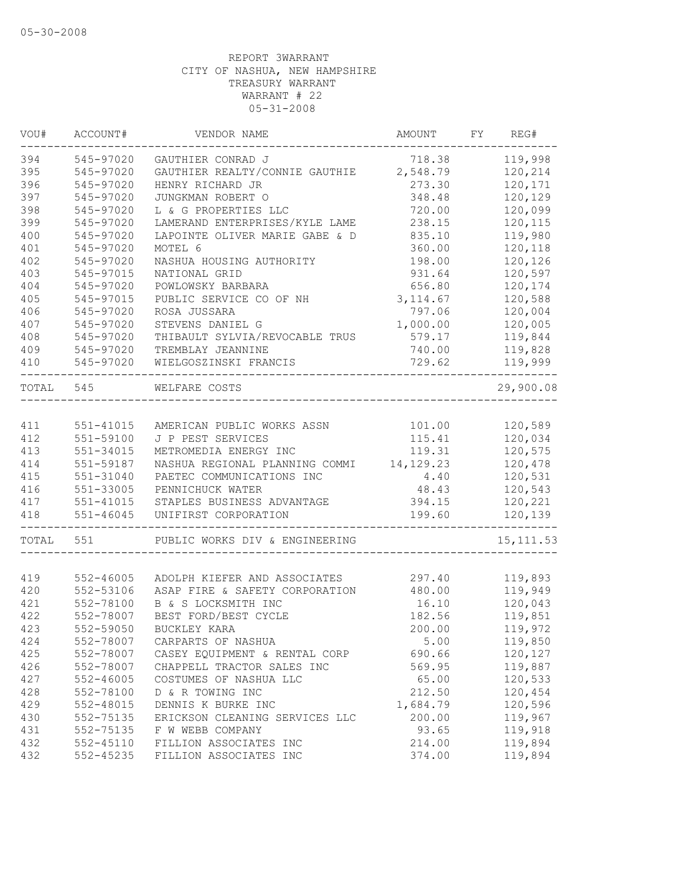| VOU#  | ACCOUNT#      | VENDOR NAME                               | AMOUNT    | FY | REG#       |
|-------|---------------|-------------------------------------------|-----------|----|------------|
| 394   | 545-97020     | GAUTHIER CONRAD J                         | 718.38    |    | 119,998    |
| 395   | 545-97020     | GAUTHIER REALTY/CONNIE GAUTHIE            | 2,548.79  |    | 120,214    |
| 396   | 545-97020     | HENRY RICHARD JR                          | 273.30    |    | 120,171    |
| 397   | 545-97020     | JUNGKMAN ROBERT O                         | 348.48    |    | 120,129    |
| 398   | 545-97020     | L & G PROPERTIES LLC                      | 720.00    |    | 120,099    |
| 399   | 545-97020     | LAMERAND ENTERPRISES/KYLE LAME            | 238.15    |    | 120,115    |
| 400   | 545-97020     | LAPOINTE OLIVER MARIE GABE & D            | 835.10    |    | 119,980    |
| 401   | 545-97020     | MOTEL 6                                   | 360.00    |    | 120,118    |
| 402   | 545-97020     | NASHUA HOUSING AUTHORITY                  | 198.00    |    | 120,126    |
| 403   | 545-97015     | NATIONAL GRID                             | 931.64    |    | 120,597    |
| 404   | 545-97020     | POWLOWSKY BARBARA                         | 656.80    |    | 120,174    |
| 405   | 545-97015     | PUBLIC SERVICE CO OF NH                   | 3, 114.67 |    | 120,588    |
| 406   | 545-97020     | ROSA JUSSARA                              | 797.06    |    | 120,004    |
| 407   | 545-97020     | STEVENS DANIEL G                          | 1,000.00  |    | 120,005    |
| 408   | 545-97020     | THIBAULT SYLVIA/REVOCABLE TRUS            | 579.17    |    | 119,844    |
| 409   | 545-97020     | TREMBLAY JEANNINE                         | 740.00    |    | 119,828    |
| 410   | 545-97020     | WIELGOSZINSKI FRANCIS                     | 729.62    |    | 119,999    |
| TOTAL | 545           | WELFARE COSTS                             |           |    | 29,900.08  |
|       |               |                                           |           |    |            |
| 411   | 551-41015     | AMERICAN PUBLIC WORKS ASSN                | 101.00    |    | 120,589    |
| 412   | 551-59100     | J P PEST SERVICES                         | 115.41    |    | 120,034    |
| 413   | 551-34015     | METROMEDIA ENERGY INC                     | 119.31    |    | 120,575    |
| 414   | 551-59187     | NASHUA REGIONAL PLANNING COMMI 14, 129.23 |           |    | 120,478    |
| 415   | 551-31040     | PAETEC COMMUNICATIONS INC                 | 4.40      |    | 120,531    |
| 416   | 551-33005     | PENNICHUCK WATER                          | 48.43     |    | 120,543    |
| 417   | 551-41015     | STAPLES BUSINESS ADVANTAGE                | 394.15    |    | 120,221    |
| 418   | $551 - 46045$ | UNIFIRST CORPORATION                      | 199.60    |    | 120,139    |
| TOTAL | 551           | PUBLIC WORKS DIV & ENGINEERING            |           |    | 15, 111.53 |
|       |               |                                           |           |    |            |
| 419   | 552-46005     | ADOLPH KIEFER AND ASSOCIATES              | 297.40    |    | 119,893    |
| 420   | 552-53106     | ASAP FIRE & SAFETY CORPORATION            | 480.00    |    | 119,949    |
| 421   | 552-78100     | B & S LOCKSMITH INC                       | 16.10     |    | 120,043    |
| 422   | 552-78007     | BEST FORD/BEST CYCLE                      | 182.56    |    | 119,851    |
| 423   | 552-59050     | BUCKLEY KARA                              | 200.00    |    | 119,972    |
| 424   | 552-78007     | CARPARTS OF NASHUA                        | 5.00      |    | 119,850    |
| 425   | 552-78007     | CASEY EQUIPMENT & RENTAL CORP             | 690.66    |    | 120,127    |
| 426   | 552-78007     | CHAPPELL TRACTOR SALES INC                | 569.95    |    | 119,887    |
| 427   | 552-46005     | COSTUMES OF NASHUA LLC                    | 65.00     |    | 120,533    |
| 428   | 552-78100     | D & R TOWING INC                          | 212.50    |    | 120,454    |
| 429   | 552-48015     | DENNIS K BURKE INC                        | 1,684.79  |    | 120,596    |
| 430   | 552-75135     | ERICKSON CLEANING SERVICES LLC            | 200.00    |    | 119,967    |
| 431   | 552-75135     | F W WEBB COMPANY                          | 93.65     |    | 119,918    |
| 432   | 552-45110     | FILLION ASSOCIATES INC                    | 214.00    |    | 119,894    |
| 432   | 552-45235     | FILLION ASSOCIATES INC                    | 374.00    |    | 119,894    |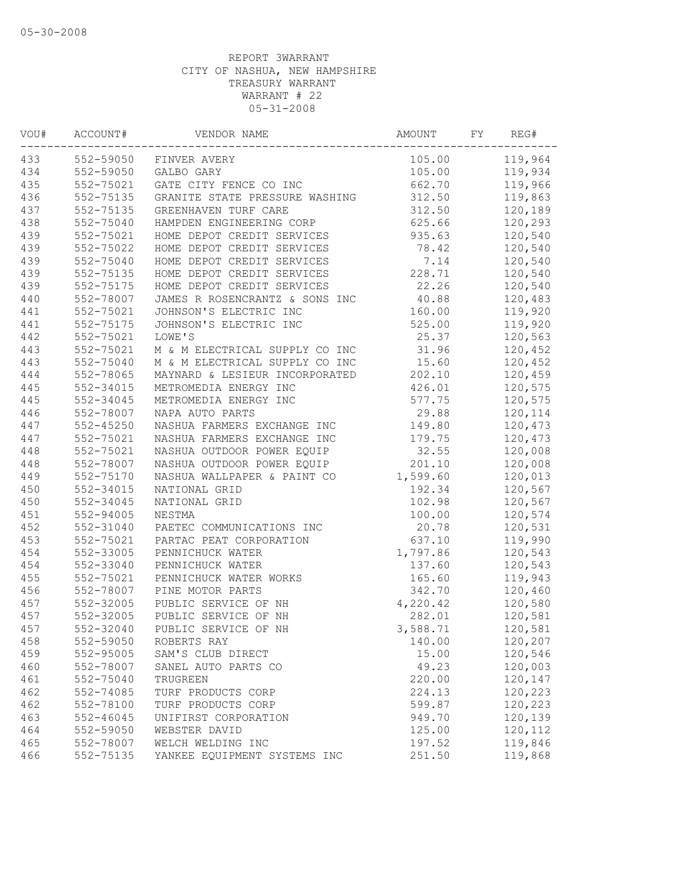| VOU# | ACCOUNT#      | VENDOR NAME                    | AMOUNT   | FY | REG#    |
|------|---------------|--------------------------------|----------|----|---------|
| 433  | 552-59050     | FINVER AVERY                   | 105.00   |    | 119,964 |
| 434  | 552-59050     | GALBO GARY                     | 105.00   |    | 119,934 |
| 435  | 552-75021     | GATE CITY FENCE CO INC         | 662.70   |    | 119,966 |
| 436  | 552-75135     | GRANITE STATE PRESSURE WASHING | 312.50   |    | 119,863 |
| 437  | 552-75135     | GREENHAVEN TURF CARE           | 312.50   |    | 120,189 |
| 438  | 552-75040     | HAMPDEN ENGINEERING CORP       | 625.66   |    | 120,293 |
| 439  | 552-75021     | HOME DEPOT CREDIT SERVICES     | 935.63   |    | 120,540 |
| 439  | 552-75022     | HOME DEPOT CREDIT SERVICES     | 78.42    |    | 120,540 |
| 439  | 552-75040     | HOME DEPOT CREDIT SERVICES     | 7.14     |    | 120,540 |
| 439  | 552-75135     | HOME DEPOT CREDIT SERVICES     | 228.71   |    | 120,540 |
| 439  | 552-75175     | HOME DEPOT CREDIT SERVICES     | 22.26    |    | 120,540 |
| 440  | 552-78007     | JAMES R ROSENCRANTZ & SONS INC | 40.88    |    | 120,483 |
| 441  | 552-75021     | JOHNSON'S ELECTRIC INC         | 160.00   |    | 119,920 |
| 441  | 552-75175     | JOHNSON'S ELECTRIC INC         | 525.00   |    | 119,920 |
| 442  | 552-75021     | LOWE'S                         | 25.37    |    | 120,563 |
| 443  | 552-75021     | M & M ELECTRICAL SUPPLY CO INC | 31.96    |    | 120,452 |
| 443  | 552-75040     | M & M ELECTRICAL SUPPLY CO INC | 15.60    |    | 120,452 |
| 444  | 552-78065     | MAYNARD & LESIEUR INCORPORATED | 202.10   |    | 120,459 |
| 445  | 552-34015     | METROMEDIA ENERGY INC          | 426.01   |    | 120,575 |
| 445  | 552-34045     | METROMEDIA ENERGY INC          | 577.75   |    | 120,575 |
| 446  | 552-78007     | NAPA AUTO PARTS                | 29.88    |    | 120,114 |
| 447  | $552 - 45250$ | NASHUA FARMERS EXCHANGE INC    | 149.80   |    | 120,473 |
| 447  | 552-75021     | NASHUA FARMERS EXCHANGE INC    | 179.75   |    | 120,473 |
| 448  | 552-75021     | NASHUA OUTDOOR POWER EQUIP     | 32.55    |    | 120,008 |
| 448  | 552-78007     | NASHUA OUTDOOR POWER EQUIP     | 201.10   |    | 120,008 |
| 449  | 552-75170     | NASHUA WALLPAPER & PAINT CO    | 1,599.60 |    | 120,013 |
| 450  | 552-34015     | NATIONAL GRID                  | 192.34   |    | 120,567 |
| 450  | 552-34045     | NATIONAL GRID                  | 102.98   |    | 120,567 |
| 451  | 552-94005     | NESTMA                         | 100.00   |    | 120,574 |
| 452  | 552-31040     | PAETEC COMMUNICATIONS INC      | 20.78    |    | 120,531 |
| 453  | 552-75021     | PARTAC PEAT CORPORATION        | 637.10   |    | 119,990 |
| 454  | 552-33005     | PENNICHUCK WATER               | 1,797.86 |    | 120,543 |
| 454  | 552-33040     | PENNICHUCK WATER               | 137.60   |    | 120,543 |
| 455  | 552-75021     | PENNICHUCK WATER WORKS         | 165.60   |    | 119,943 |
| 456  | 552-78007     | PINE MOTOR PARTS               | 342.70   |    | 120,460 |
| 457  | 552-32005     | PUBLIC SERVICE OF NH           | 4,220.42 |    | 120,580 |
| 457  | 552-32005     | PUBLIC SERVICE OF NH           | 282.01   |    | 120,581 |
| 457  | 552-32040     | PUBLIC SERVICE OF NH           | 3,588.71 |    | 120,581 |
| 458  | 552-59050     | ROBERTS RAY                    | 140.00   |    | 120,207 |
| 459  | 552-95005     | SAM'S CLUB DIRECT              | 15.00    |    | 120,546 |
| 460  | 552-78007     | SANEL AUTO PARTS CO            | 49.23    |    | 120,003 |
| 461  | 552-75040     | TRUGREEN                       | 220.00   |    | 120,147 |
| 462  | 552-74085     | TURF PRODUCTS CORP             | 224.13   |    | 120,223 |
| 462  | 552-78100     | TURF PRODUCTS CORP             | 599.87   |    | 120,223 |
| 463  | $552 - 46045$ | UNIFIRST CORPORATION           | 949.70   |    | 120,139 |
| 464  | 552-59050     | WEBSTER DAVID                  | 125.00   |    | 120,112 |
| 465  | 552-78007     | WELCH WELDING INC              | 197.52   |    | 119,846 |
| 466  | 552-75135     | YANKEE EQUIPMENT SYSTEMS INC   | 251.50   |    | 119,868 |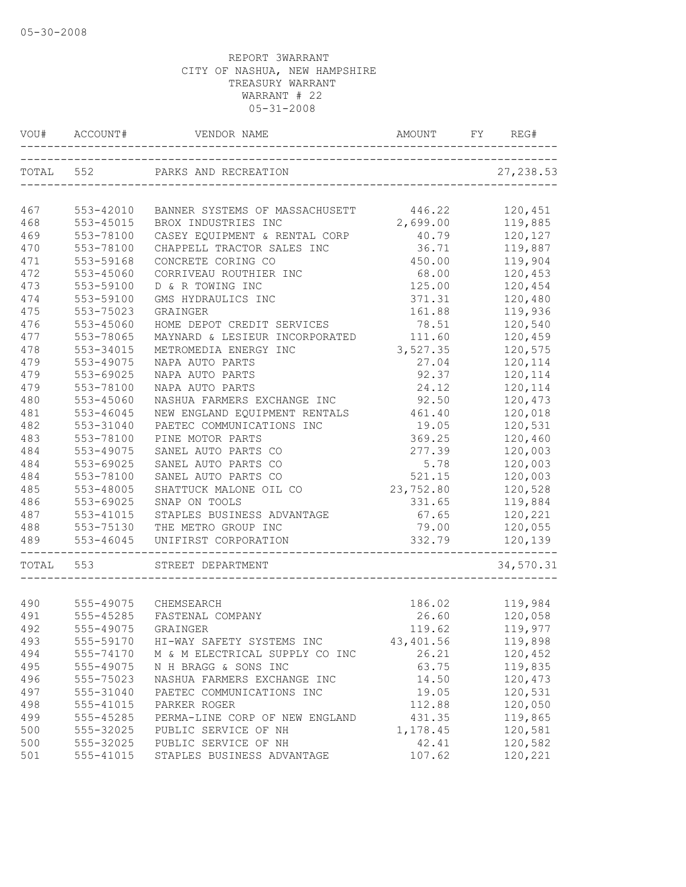| VOU#      | ACCOUNT#  | VENDOR NAME                                           | AMOUNT    | FΥ | REG#       |
|-----------|-----------|-------------------------------------------------------|-----------|----|------------|
| TOTAL 552 |           | PARKS AND RECREATION<br>_____________________________ |           |    | 27, 238.53 |
| 467       | 553-42010 | BANNER SYSTEMS OF MASSACHUSETT                        | 446.22    |    | 120,451    |
| 468       | 553-45015 | BROX INDUSTRIES INC                                   | 2,699.00  |    | 119,885    |
| 469       | 553-78100 | CASEY EQUIPMENT & RENTAL CORP                         | 40.79     |    | 120,127    |
| 470       | 553-78100 | CHAPPELL TRACTOR SALES INC                            | 36.71     |    | 119,887    |
| 471       | 553-59168 | CONCRETE CORING CO                                    | 450.00    |    | 119,904    |
| 472       | 553-45060 | CORRIVEAU ROUTHIER INC                                | 68.00     |    | 120,453    |
| 473       | 553-59100 | D & R TOWING INC                                      | 125.00    |    | 120,454    |
| 474       | 553-59100 | GMS HYDRAULICS INC                                    | 371.31    |    | 120,480    |
| 475       | 553-75023 | GRAINGER                                              | 161.88    |    | 119,936    |
| 476       | 553-45060 | HOME DEPOT CREDIT SERVICES                            | 78.51     |    | 120,540    |
| 477       | 553-78065 | MAYNARD & LESIEUR INCORPORATED                        | 111.60    |    | 120,459    |
| 478       | 553-34015 | METROMEDIA ENERGY INC                                 | 3,527.35  |    | 120,575    |
| 479       | 553-49075 | NAPA AUTO PARTS                                       | 27.04     |    | 120,114    |
| 479       | 553-69025 | NAPA AUTO PARTS                                       | 92.37     |    | 120,114    |
| 479       | 553-78100 | NAPA AUTO PARTS                                       | 24.12     |    | 120,114    |
| 480       | 553-45060 | NASHUA FARMERS EXCHANGE INC                           | 92.50     |    | 120,473    |
| 481       | 553-46045 | NEW ENGLAND EQUIPMENT RENTALS                         | 461.40    |    | 120,018    |
| 482       | 553-31040 | PAETEC COMMUNICATIONS INC                             | 19.05     |    | 120,531    |
| 483       | 553-78100 | PINE MOTOR PARTS                                      | 369.25    |    | 120,460    |
| 484       | 553-49075 | SANEL AUTO PARTS CO                                   | 277.39    |    | 120,003    |
| 484       | 553-69025 | SANEL AUTO PARTS CO                                   | 5.78      |    | 120,003    |
| 484       | 553-78100 | SANEL AUTO PARTS CO                                   | 521.15    |    | 120,003    |
| 485       | 553-48005 | SHATTUCK MALONE OIL CO                                | 23,752.80 |    | 120,528    |
| 486       | 553-69025 | SNAP ON TOOLS                                         | 331.65    |    | 119,884    |
| 487       | 553-41015 | STAPLES BUSINESS ADVANTAGE                            | 67.65     |    | 120,221    |
| 488       | 553-75130 | THE METRO GROUP INC                                   | 79.00     |    | 120,055    |
| 489       | 553-46045 | UNIFIRST CORPORATION                                  | 332.79    |    | 120,139    |
| TOTAL     | 553       | STREET DEPARTMENT                                     |           |    | 34,570.31  |
|           |           |                                                       |           |    |            |
| 490       |           | 555-49075 CHEMSEARCH                                  | 186.02    |    | 119,984    |
| 491       | 555-45285 | FASTENAL COMPANY                                      | 26.60     |    | 120,058    |
| 492       |           | 555-49075 GRAINGER                                    | 119.62    |    | 119,977    |
| 493       | 555-59170 | HI-WAY SAFETY SYSTEMS INC                             | 43,401.56 |    | 119,898    |
| 494       | 555-74170 | M & M ELECTRICAL SUPPLY CO INC                        | 26.21     |    | 120,452    |
| 495       | 555-49075 | N H BRAGG & SONS INC                                  | 63.75     |    | 119,835    |
| 496       | 555-75023 | NASHUA FARMERS EXCHANGE INC                           | 14.50     |    | 120,473    |
| 497       | 555-31040 | PAETEC COMMUNICATIONS INC                             | 19.05     |    | 120,531    |
| 498       | 555-41015 | PARKER ROGER                                          | 112.88    |    | 120,050    |
| 499       | 555-45285 | PERMA-LINE CORP OF NEW ENGLAND                        | 431.35    |    | 119,865    |
| 500       | 555-32025 | PUBLIC SERVICE OF NH                                  | 1,178.45  |    | 120,581    |
| 500       | 555-32025 | PUBLIC SERVICE OF NH                                  | 42.41     |    | 120,582    |
| 501       | 555-41015 | STAPLES BUSINESS ADVANTAGE                            | 107.62    |    | 120,221    |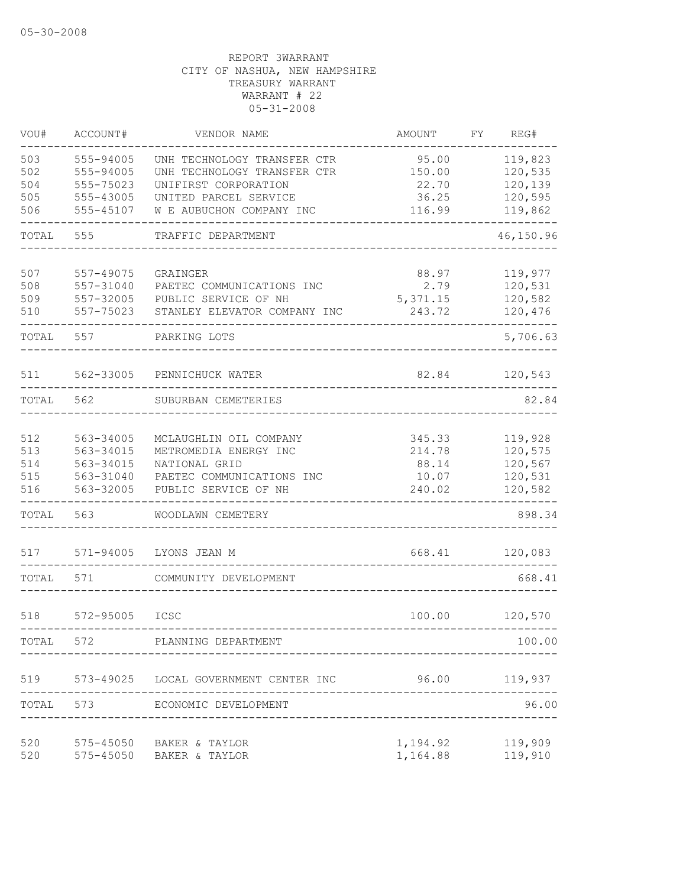| VOU#  | ACCOUNT#               | VENDOR NAME                                       | AMOUNT          | FΥ | REG#               |
|-------|------------------------|---------------------------------------------------|-----------------|----|--------------------|
| 503   | 555-94005              | UNH TECHNOLOGY TRANSFER CTR                       | 95.00           |    | 119,823            |
| 502   | 555-94005              | UNH TECHNOLOGY TRANSFER CTR                       | 150.00          |    | 120,535            |
| 504   | 555-75023              | UNIFIRST CORPORATION                              | 22.70           |    | 120,139            |
| 505   | 555-43005              | UNITED PARCEL SERVICE                             | 36.25           |    | 120,595            |
| 506   | 555-45107              | W E AUBUCHON COMPANY INC                          | 116.99          |    | 119,862            |
| TOTAL | 555                    | TRAFFIC DEPARTMENT                                |                 |    | 46,150.96          |
| 507   | 557-49075              | GRAINGER                                          | 88.97           |    | 119,977            |
| 508   | 557-31040              | PAETEC COMMUNICATIONS INC                         | 2.79            |    | 120,531            |
| 509   | 557-32005              | PUBLIC SERVICE OF NH                              | 5,371.15        |    | 120,582            |
| 510   | 557-75023              | STANLEY ELEVATOR COMPANY INC                      | 243.72          |    | 120,476            |
|       |                        |                                                   |                 |    |                    |
| TOTAL | 557                    | PARKING LOTS                                      |                 |    | 5,706.63           |
| 511   | 562-33005              | PENNICHUCK WATER                                  | 82.84           |    | 120,543            |
| TOTAL | 562                    | SUBURBAN CEMETERIES                               |                 |    | 82.84              |
| 512   | 563-34005              | MCLAUGHLIN OIL COMPANY                            | 345.33          |    | 119,928            |
| 513   | 563-34015              | METROMEDIA ENERGY INC                             | 214.78          |    | 120,575            |
| 514   | 563-34015              | NATIONAL GRID                                     |                 |    | 120,567            |
| 515   |                        |                                                   | 88.14           |    |                    |
| 516   | 563-31040<br>563-32005 | PAETEC COMMUNICATIONS INC<br>PUBLIC SERVICE OF NH | 10.07<br>240.02 |    | 120,531<br>120,582 |
|       |                        |                                                   |                 |    |                    |
| TOTAL | 563                    | WOODLAWN CEMETERY                                 |                 |    | 898.34             |
| 517   | $571 - 94005$          | LYONS JEAN M                                      | 668.41          |    | 120,083            |
| TOTAL | 571                    | COMMUNITY DEVELOPMENT                             |                 |    | 668.41             |
| 518   | 572-95005              | ICSC                                              | 100.00          |    | 120,570            |
| TOTAL | 572                    | PLANNING DEPARTMENT                               |                 |    | 100.00             |
|       |                        |                                                   |                 |    |                    |
|       |                        | 519 573-49025 LOCAL GOVERNMENT CENTER INC         |                 |    | 96.00 119,937      |
| TOTAL | 573                    | ECONOMIC DEVELOPMENT                              |                 |    | 96.00              |
| 520   |                        | 575-45050 BAKER & TAYLOR                          | 1,194.92        |    | 119,909            |
| 520   |                        | 575-45050 BAKER & TAYLOR                          | 1,164.88        |    | 119,910            |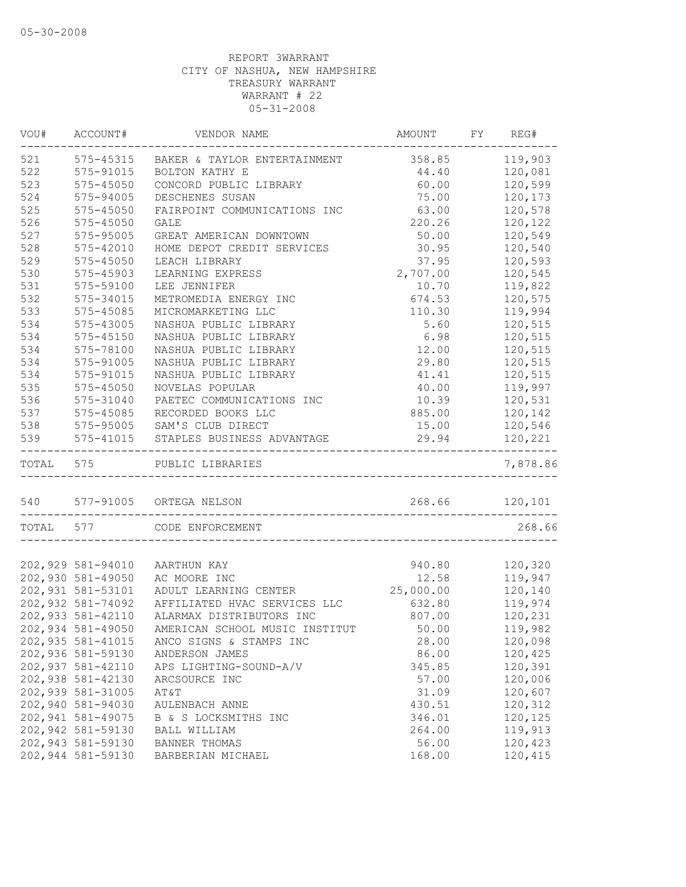| VOU#      | ACCOUNT#          | VENDOR NAME                    | AMOUNT    | FY | REG#           |
|-----------|-------------------|--------------------------------|-----------|----|----------------|
| 521       | 575-45315         | BAKER & TAYLOR ENTERTAINMENT   | 358.85    |    | 119,903        |
| 522       | 575-91015         | BOLTON KATHY E                 | 44.40     |    | 120,081        |
| 523       | 575-45050         | CONCORD PUBLIC LIBRARY         | 60.00     |    | 120,599        |
| 524       | 575-94005         | DESCHENES SUSAN                | 75.00     |    | 120,173        |
| 525       | $575 - 45050$     | FAIRPOINT COMMUNICATIONS INC   | 63.00     |    | 120,578        |
| 526       | 575-45050         | <b>GALE</b>                    | 220.26    |    | 120,122        |
| 527       | 575-95005         | GREAT AMERICAN DOWNTOWN        | 50.00     |    | 120,549        |
| 528       | 575-42010         | HOME DEPOT CREDIT SERVICES     | 30.95     |    | 120,540        |
| 529       | $575 - 45050$     | LEACH LIBRARY                  | 37.95     |    | 120,593        |
| 530       | 575-45903         | LEARNING EXPRESS               | 2,707.00  |    | 120,545        |
| 531       | 575-59100         | LEE JENNIFER                   | 10.70     |    | 119,822        |
| 532       | 575-34015         | METROMEDIA ENERGY INC          | 674.53    |    | 120,575        |
| 533       | 575-45085         | MICROMARKETING LLC             | 110.30    |    | 119,994        |
| 534       | 575-43005         | NASHUA PUBLIC LIBRARY          | 5.60      |    | 120,515        |
| 534       | $575 - 45150$     | NASHUA PUBLIC LIBRARY          | 6.98      |    | 120,515        |
| 534       | 575-78100         | NASHUA PUBLIC LIBRARY          | 12.00     |    | 120,515        |
| 534       | 575-91005         | NASHUA PUBLIC LIBRARY          | 29.80     |    | 120,515        |
| 534       | 575-91015         | NASHUA PUBLIC LIBRARY          | 41.41     |    | 120,515        |
| 535       | $575 - 45050$     | NOVELAS POPULAR                | 40.00     |    | 119,997        |
| 536       | 575-31040         | PAETEC COMMUNICATIONS INC      | 10.39     |    | 120,531        |
| 537       | 575-45085         | RECORDED BOOKS LLC             | 885.00    |    | 120,142        |
| 538       | 575-95005         | SAM'S CLUB DIRECT              | 15.00     |    | 120,546        |
| 539       | 575-41015         | STAPLES BUSINESS ADVANTAGE     | 29.94     |    | 120,221        |
| TOTAL 575 |                   | PUBLIC LIBRARIES               |           |    | 7,878.86       |
|           |                   | 540 577-91005 ORTEGA NELSON    |           |    | 268.66 120,101 |
| TOTAL 577 |                   | CODE ENFORCEMENT               |           |    | 268.66         |
|           |                   |                                |           |    |                |
|           | 202,929 581-94010 | AARTHUN KAY                    | 940.80    |    | 120,320        |
|           | 202,930 581-49050 | AC MOORE INC                   | 12.58     |    | 119,947        |
|           | 202,931 581-53101 | ADULT LEARNING CENTER          | 25,000.00 |    | 120,140        |
|           | 202,932 581-74092 | AFFILIATED HVAC SERVICES LLC   | 632.80    |    | 119,974        |
|           | 202,933 581-42110 | ALARMAX DISTRIBUTORS INC       | 807.00    |    | 120,231        |
|           | 202,934 581-49050 | AMERICAN SCHOOL MUSIC INSTITUT | 50.00     |    | 119,982        |
|           | 202,935 581-41015 | ANCO SIGNS & STAMPS INC        | 28.00     |    | 120,098        |
|           | 202,936 581-59130 | ANDERSON JAMES                 | 86.00     |    | 120,425        |
|           | 202,937 581-42110 | APS LIGHTING-SOUND-A/V         | 345.85    |    | 120,391        |
|           | 202,938 581-42130 | ARCSOURCE INC                  | 57.00     |    | 120,006        |
|           | 202,939 581-31005 | AT&T                           | 31.09     |    | 120,607        |
|           | 202,940 581-94030 | AULENBACH ANNE                 | 430.51    |    | 120,312        |
|           | 202,941 581-49075 | B & S LOCKSMITHS INC           | 346.01    |    | 120,125        |
|           | 202,942 581-59130 | BALL WILLIAM                   | 264.00    |    | 119,913        |
|           | 202,943 581-59130 | BANNER THOMAS                  |           |    | 120,423        |
|           | 202,944 581-59130 |                                | 56.00     |    | 120,415        |
|           |                   | BARBERIAN MICHAEL              | 168.00    |    |                |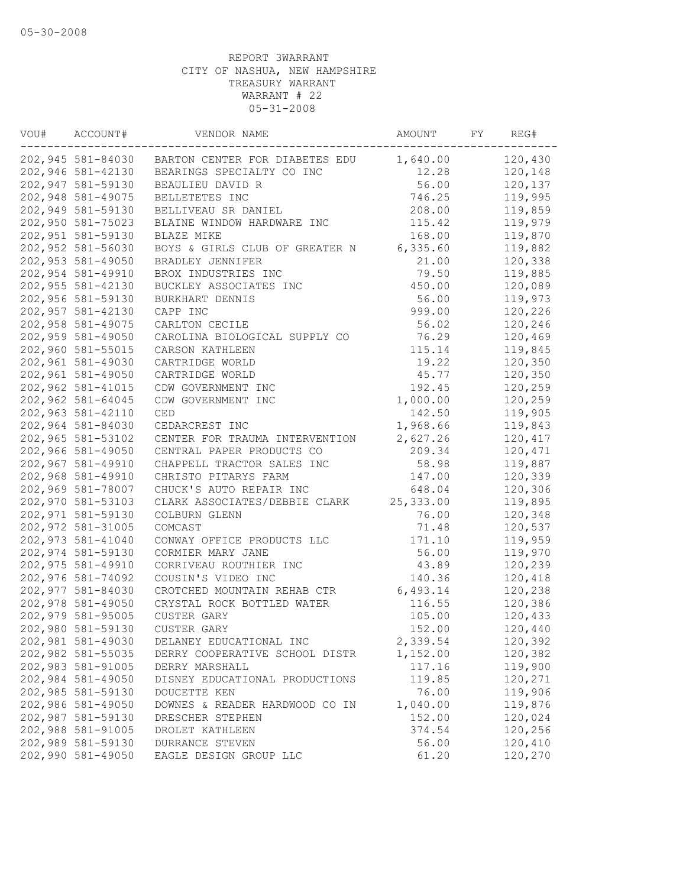| VOU# | ACCOUNT#                               | VENDOR NAME                                 | AMOUNT     | FY | REG#    |
|------|----------------------------------------|---------------------------------------------|------------|----|---------|
|      | 202,945 581-84030                      | BARTON CENTER FOR DIABETES EDU              | 1,640.00   |    | 120,430 |
|      | 202,946 581-42130                      | BEARINGS SPECIALTY CO INC                   | 12.28      |    | 120,148 |
|      | 202,947 581-59130                      | BEAULIEU DAVID R                            | 56.00      |    | 120,137 |
|      | 202,948 581-49075                      | BELLETETES INC                              | 746.25     |    | 119,995 |
|      | 202,949 581-59130                      | BELLIVEAU SR DANIEL                         | 208.00     |    | 119,859 |
|      | 202,950 581-75023                      | BLAINE WINDOW HARDWARE INC                  | 115.42     |    | 119,979 |
|      | 202,951 581-59130                      | BLAZE MIKE                                  | 168.00     |    | 119,870 |
|      | 202,952 581-56030                      | BOYS & GIRLS CLUB OF GREATER N              | 6, 335.60  |    | 119,882 |
|      | 202,953 581-49050                      | BRADLEY JENNIFER                            | 21.00      |    | 120,338 |
|      | 202,954 581-49910                      | BROX INDUSTRIES INC                         | 79.50      |    | 119,885 |
|      | 202, 955 581-42130                     | BUCKLEY ASSOCIATES INC                      | 450.00     |    | 120,089 |
|      | 202,956 581-59130                      | BURKHART DENNIS                             | 56.00      |    | 119,973 |
|      | 202,957 581-42130                      | CAPP INC                                    | 999.00     |    | 120,226 |
|      | 202,958 581-49075                      | CARLTON CECILE                              | 56.02      |    | 120,246 |
|      | 202,959 581-49050                      | CAROLINA BIOLOGICAL SUPPLY CO               | 76.29      |    | 120,469 |
|      | 202,960 581-55015                      | CARSON KATHLEEN                             | 115.14     |    | 119,845 |
|      | 202,961 581-49030                      | CARTRIDGE WORLD                             | 19.22      |    | 120,350 |
|      | 202,961 581-49050                      | CARTRIDGE WORLD                             | 45.77      |    | 120,350 |
|      | 202,962 581-41015                      | CDW GOVERNMENT INC                          | 192.45     |    | 120,259 |
|      | 202,962 581-64045                      | CDW GOVERNMENT INC                          | 1,000.00   |    | 120,259 |
|      | 202,963 581-42110                      | <b>CED</b>                                  | 142.50     |    | 119,905 |
|      | 202,964 581-84030                      | CEDARCREST INC                              | 1,968.66   |    | 119,843 |
|      | 202,965 581-53102                      | CENTER FOR TRAUMA INTERVENTION              | 2,627.26   |    | 120,417 |
|      | 202,966 581-49050                      | CENTRAL PAPER PRODUCTS CO                   | 209.34     |    | 120,471 |
|      | 202,967 581-49910                      | CHAPPELL TRACTOR SALES INC                  | 58.98      |    | 119,887 |
|      | 202,968 581-49910                      | CHRISTO PITARYS FARM                        | 147.00     |    | 120,339 |
|      | 202,969 581-78007                      | CHUCK'S AUTO REPAIR INC                     | 648.04     |    | 120,306 |
|      | 202,970 581-53103                      | CLARK ASSOCIATES/DEBBIE CLARK               | 25, 333.00 |    | 119,895 |
|      | 202,971 581-59130                      | COLBURN GLENN                               | 76.00      |    | 120,348 |
|      | 202,972 581-31005                      | COMCAST                                     | 71.48      |    | 120,537 |
|      | 202,973 581-41040                      | CONWAY OFFICE PRODUCTS LLC                  | 171.10     |    | 119,959 |
|      |                                        |                                             | 56.00      |    | 119,970 |
|      | 202,974 581-59130<br>202,975 581-49910 | CORMIER MARY JANE<br>CORRIVEAU ROUTHIER INC |            |    |         |
|      |                                        |                                             | 43.89      |    | 120,239 |
|      | 202,976 581-74092                      | COUSIN'S VIDEO INC                          | 140.36     |    | 120,418 |
|      | 202,977 581-84030                      | CROTCHED MOUNTAIN REHAB CTR                 | 6,493.14   |    | 120,238 |
|      | 202,978 581-49050                      | CRYSTAL ROCK BOTTLED WATER                  | 116.55     |    | 120,386 |
|      | 202,979 581-95005                      | <b>CUSTER GARY</b>                          | 105.00     |    | 120,433 |
|      | 202,980 581-59130                      | CUSTER GARY                                 | 152.00     |    | 120,440 |
|      | 202,981 581-49030                      | DELANEY EDUCATIONAL INC                     | 2,339.54   |    | 120,392 |
|      | 202,982 581-55035                      | DERRY COOPERATIVE SCHOOL DISTR              | 1,152.00   |    | 120,382 |
|      | 202,983 581-91005                      | DERRY MARSHALL                              | 117.16     |    | 119,900 |
|      | 202,984 581-49050                      | DISNEY EDUCATIONAL PRODUCTIONS              | 119.85     |    | 120,271 |
|      | 202,985 581-59130                      | DOUCETTE KEN                                | 76.00      |    | 119,906 |
|      | 202,986 581-49050                      | DOWNES & READER HARDWOOD CO IN              | 1,040.00   |    | 119,876 |
|      | 202,987 581-59130                      | DRESCHER STEPHEN                            | 152.00     |    | 120,024 |
|      | 202,988 581-91005                      | DROLET KATHLEEN                             | 374.54     |    | 120,256 |
|      | 202,989 581-59130                      | DURRANCE STEVEN                             | 56.00      |    | 120,410 |
|      | 202,990 581-49050                      | EAGLE DESIGN GROUP LLC                      | 61.20      |    | 120,270 |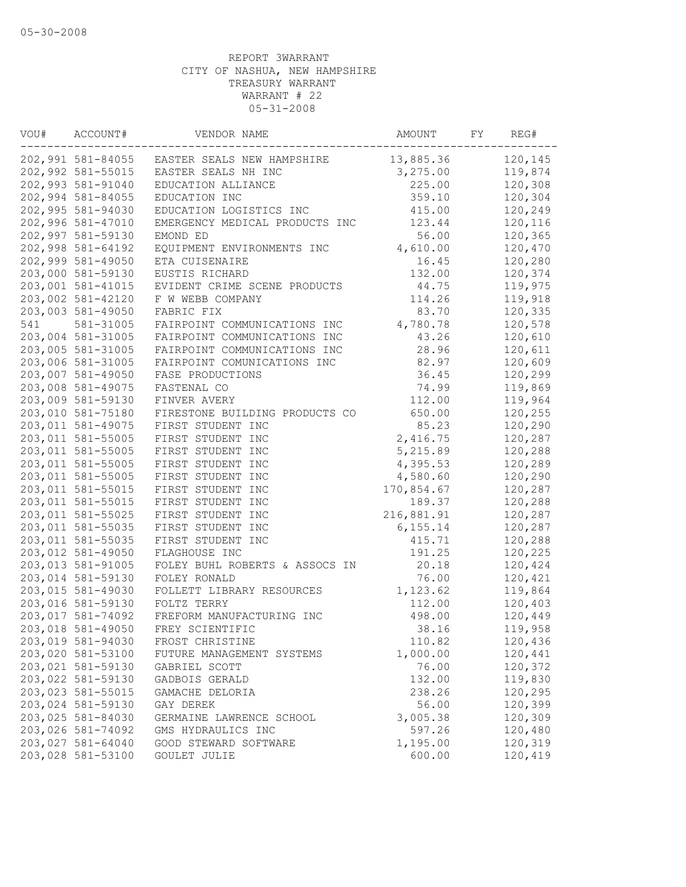| VOU# | ACCOUNT#                               | VENDOR NAME                                    | AMOUNT             | FY | REG#               |
|------|----------------------------------------|------------------------------------------------|--------------------|----|--------------------|
|      |                                        | 202,991 581-84055 EASTER SEALS NEW HAMPSHIRE   | 13,885.36          |    | 120,145            |
|      | 202,992 581-55015                      | EASTER SEALS NH INC                            | 3,275.00           |    | 119,874            |
|      | 202,993 581-91040                      | EDUCATION ALLIANCE                             | 225.00             |    | 120,308            |
|      | 202,994 581-84055                      | EDUCATION INC                                  | 359.10             |    | 120,304            |
|      | 202,995 581-94030                      | EDUCATION LOGISTICS INC                        | 415.00             |    | 120,249            |
|      | 202,996 581-47010                      | EMERGENCY MEDICAL PRODUCTS INC                 | 123.44             |    | 120,116            |
|      | 202,997 581-59130                      | EMOND ED                                       | 56.00              |    | 120,365            |
|      | 202,998 581-64192                      | EQUIPMENT ENVIRONMENTS INC                     | 4,610.00           |    | 120,470            |
|      | 202,999 581-49050                      | ETA CUISENAIRE                                 | 16.45              |    | 120,280            |
|      | 203,000 581-59130                      | EUSTIS RICHARD                                 | 132.00             |    | 120,374            |
|      | 203,001 581-41015                      | EVIDENT CRIME SCENE PRODUCTS                   | 44.75              |    | 119,975            |
|      | 203,002 581-42120                      | F W WEBB COMPANY                               | 114.26             |    | 119,918            |
|      | 203,003 581-49050                      | FABRIC FIX                                     | 83.70              |    | 120,335            |
| 541  | 581-31005                              | FAIRPOINT COMMUNICATIONS INC                   | 4,780.78           |    | 120,578            |
|      | 203,004 581-31005                      | FAIRPOINT COMMUNICATIONS INC                   | 43.26              |    | 120,610            |
|      | 203,005 581-31005                      | FAIRPOINT COMMUNICATIONS INC                   | 28.96              |    | 120,611            |
|      | 203,006 581-31005                      | FAIRPOINT COMUNICATIONS INC                    | 82.97              |    | 120,609            |
|      | 203,007 581-49050                      | FASE PRODUCTIONS                               | 36.45              |    | 120,299            |
|      | 203,008 581-49075                      | FASTENAL CO                                    | 74.99              |    | 119,869            |
|      | 203,009 581-59130                      | FINVER AVERY                                   | 112.00             |    | 119,964            |
|      | 203,010 581-75180                      | FIRESTONE BUILDING PRODUCTS CO                 | 650.00             |    | 120,255            |
|      | 203,011 581-49075                      | FIRST STUDENT INC                              | 85.23              |    | 120,290            |
|      | 203,011 581-55005                      | FIRST STUDENT INC                              | 2,416.75           |    | 120,287            |
|      | 203,011 581-55005                      | FIRST STUDENT INC                              | 5,215.89           |    | 120,288            |
|      | 203,011 581-55005                      | FIRST STUDENT INC                              | 4,395.53           |    | 120,289            |
|      | 203,011 581-55005                      | FIRST STUDENT INC                              | 4,580.60           |    | 120,290            |
|      | 203,011 581-55015                      | FIRST STUDENT INC                              | 170,854.67         |    | 120,287            |
|      | 203,011 581-55015                      | FIRST STUDENT INC                              | 189.37             |    | 120,288            |
|      | 203,011 581-55025                      | FIRST STUDENT INC                              | 216,881.91         |    | 120,287            |
|      | 203,011 581-55035                      | FIRST STUDENT INC                              | 6, 155.14          |    | 120,287            |
|      | 203,011 581-55035                      | FIRST STUDENT INC                              | 415.71             |    | 120,288            |
|      | 203,012 581-49050                      | FLAGHOUSE INC                                  | 191.25             |    | 120,225            |
|      | 203,013 581-91005                      | FOLEY BUHL ROBERTS & ASSOCS IN                 | 20.18              |    | 120,424            |
|      | 203,014 581-59130                      | FOLEY RONALD                                   | 76.00              |    | 120,421            |
|      | 203,015 581-49030                      | FOLLETT LIBRARY RESOURCES                      | 1,123.62           |    | 119,864            |
|      | 203,016 581-59130                      | FOLTZ TERRY                                    | 112.00             |    | 120,403            |
|      | 203,017 581-74092                      | FREFORM MANUFACTURING INC                      | 498.00             |    | 120,449            |
|      | 203,018 581-49050                      | FREY SCIENTIFIC                                | 38.16              |    | 119,958            |
|      | 203,019 581-94030                      | FROST CHRISTINE                                | 110.82             |    | 120,436            |
|      | 203,020 581-53100                      | FUTURE MANAGEMENT SYSTEMS                      | 1,000.00           |    | 120,441            |
|      | 203,021 581-59130                      | GABRIEL SCOTT                                  | 76.00              |    | 120,372            |
|      | 203,022 581-59130<br>203,023 581-55015 | GADBOIS GERALD                                 | 132.00             |    | 119,830<br>120,295 |
|      |                                        | GAMACHE DELORIA                                | 238.26             |    |                    |
|      | 203,024 581-59130<br>203,025 581-84030 | GAY DEREK                                      | 56.00              |    | 120,399            |
|      | 203,026 581-74092                      | GERMAINE LAWRENCE SCHOOL<br>GMS HYDRAULICS INC | 3,005.38<br>597.26 |    | 120,309<br>120,480 |
|      | 203,027 581-64040                      | GOOD STEWARD SOFTWARE                          | 1,195.00           |    | 120,319            |
|      | 203,028 581-53100                      | GOULET JULIE                                   | 600.00             |    | 120,419            |
|      |                                        |                                                |                    |    |                    |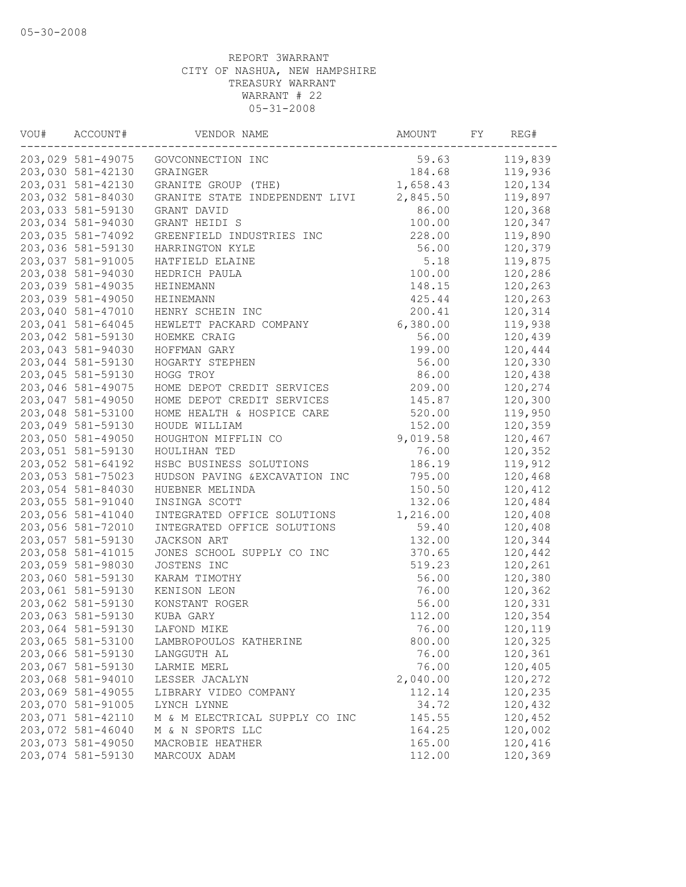| VOU# | ACCOUNT#          | VENDOR NAME                    | AMOUNT   | FY | REG#    |
|------|-------------------|--------------------------------|----------|----|---------|
|      | 203,029 581-49075 | GOVCONNECTION INC              | 59.63    |    | 119,839 |
|      | 203,030 581-42130 | GRAINGER                       | 184.68   |    | 119,936 |
|      | 203,031 581-42130 | GRANITE GROUP (THE)            | 1,658.43 |    | 120,134 |
|      | 203,032 581-84030 | GRANITE STATE INDEPENDENT LIVI | 2,845.50 |    | 119,897 |
|      | 203,033 581-59130 | GRANT DAVID                    | 86.00    |    | 120,368 |
|      | 203,034 581-94030 | GRANT HEIDI S                  | 100.00   |    | 120,347 |
|      | 203,035 581-74092 | GREENFIELD INDUSTRIES INC      | 228.00   |    | 119,890 |
|      | 203,036 581-59130 | HARRINGTON KYLE                | 56.00    |    | 120,379 |
|      | 203,037 581-91005 | HATFIELD ELAINE                | 5.18     |    | 119,875 |
|      | 203,038 581-94030 | HEDRICH PAULA                  | 100.00   |    | 120,286 |
|      | 203,039 581-49035 | <b>HEINEMANN</b>               | 148.15   |    | 120,263 |
|      | 203,039 581-49050 | HEINEMANN                      | 425.44   |    | 120,263 |
|      | 203,040 581-47010 | HENRY SCHEIN INC               | 200.41   |    | 120,314 |
|      | 203,041 581-64045 | HEWLETT PACKARD COMPANY        | 6,380.00 |    | 119,938 |
|      | 203,042 581-59130 | HOEMKE CRAIG                   | 56.00    |    | 120,439 |
|      | 203,043 581-94030 | HOFFMAN GARY                   | 199.00   |    | 120,444 |
|      | 203,044 581-59130 | HOGARTY STEPHEN                | 56.00    |    | 120,330 |
|      | 203,045 581-59130 | HOGG TROY                      | 86.00    |    | 120,438 |
|      | 203,046 581-49075 | HOME DEPOT CREDIT SERVICES     | 209.00   |    | 120,274 |
|      | 203,047 581-49050 | HOME DEPOT CREDIT SERVICES     | 145.87   |    | 120,300 |
|      | 203,048 581-53100 | HOME HEALTH & HOSPICE CARE     | 520.00   |    | 119,950 |
|      | 203,049 581-59130 | HOUDE WILLIAM                  | 152.00   |    | 120,359 |
|      | 203,050 581-49050 | HOUGHTON MIFFLIN CO            | 9,019.58 |    | 120,467 |
|      | 203,051 581-59130 | HOULIHAN TED                   | 76.00    |    | 120,352 |
|      | 203,052 581-64192 | HSBC BUSINESS SOLUTIONS        | 186.19   |    | 119,912 |
|      | 203,053 581-75023 | HUDSON PAVING & EXCAVATION INC | 795.00   |    | 120,468 |
|      | 203,054 581-84030 | HUEBNER MELINDA                | 150.50   |    | 120,412 |
|      | 203,055 581-91040 | INSINGA SCOTT                  | 132.06   |    | 120,484 |
|      | 203,056 581-41040 | INTEGRATED OFFICE SOLUTIONS    | 1,216.00 |    | 120,408 |
|      | 203,056 581-72010 | INTEGRATED OFFICE SOLUTIONS    | 59.40    |    | 120,408 |
|      | 203,057 581-59130 | JACKSON ART                    | 132.00   |    | 120,344 |
|      | 203,058 581-41015 | JONES SCHOOL SUPPLY CO INC     | 370.65   |    | 120,442 |
|      | 203,059 581-98030 | JOSTENS INC                    | 519.23   |    | 120,261 |
|      | 203,060 581-59130 | KARAM TIMOTHY                  | 56.00    |    | 120,380 |
|      | 203,061 581-59130 | KENISON LEON                   | 76.00    |    | 120,362 |
|      | 203,062 581-59130 | KONSTANT ROGER                 | 56.00    |    | 120,331 |
|      | 203,063 581-59130 | KUBA GARY                      | 112.00   |    | 120,354 |
|      | 203,064 581-59130 | LAFOND MIKE                    | 76.00    |    | 120,119 |
|      | 203,065 581-53100 | LAMBROPOULOS KATHERINE         | 800.00   |    | 120,325 |
|      | 203,066 581-59130 | LANGGUTH AL                    | 76.00    |    | 120,361 |
|      | 203,067 581-59130 | LARMIE MERL                    | 76.00    |    | 120,405 |
|      | 203,068 581-94010 | LESSER JACALYN                 | 2,040.00 |    | 120,272 |
|      | 203,069 581-49055 | LIBRARY VIDEO COMPANY          | 112.14   |    | 120,235 |
|      | 203,070 581-91005 | LYNCH LYNNE                    | 34.72    |    | 120,432 |
|      | 203,071 581-42110 | M & M ELECTRICAL SUPPLY CO INC | 145.55   |    | 120,452 |
|      | 203,072 581-46040 | M & N SPORTS LLC               | 164.25   |    | 120,002 |
|      | 203,073 581-49050 | MACROBIE HEATHER               | 165.00   |    | 120,416 |
|      | 203,074 581-59130 | MARCOUX ADAM                   | 112.00   |    | 120,369 |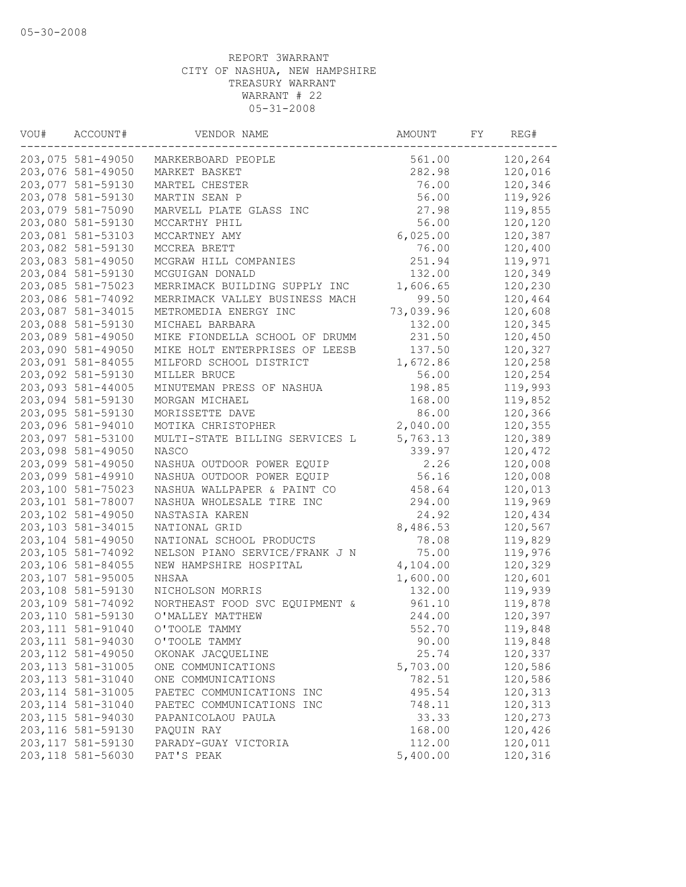| VOU# | ACCOUNT#           | VENDOR NAME                    | AMOUNT    | FY | REG#    |
|------|--------------------|--------------------------------|-----------|----|---------|
|      | 203,075 581-49050  | MARKERBOARD PEOPLE             | 561.00    |    | 120,264 |
|      | 203,076 581-49050  | MARKET BASKET                  | 282.98    |    | 120,016 |
|      | 203,077 581-59130  | MARTEL CHESTER                 | 76.00     |    | 120,346 |
|      | 203,078 581-59130  | MARTIN SEAN P                  | 56.00     |    | 119,926 |
|      | 203,079 581-75090  | MARVELL PLATE GLASS INC        | 27.98     |    | 119,855 |
|      | 203,080 581-59130  | MCCARTHY PHIL                  | 56.00     |    | 120,120 |
|      | 203,081 581-53103  | MCCARTNEY AMY                  | 6,025.00  |    | 120,387 |
|      | 203,082 581-59130  | MCCREA BRETT                   | 76.00     |    | 120,400 |
|      | 203,083 581-49050  | MCGRAW HILL COMPANIES          | 251.94    |    | 119,971 |
|      | 203,084 581-59130  | MCGUIGAN DONALD                | 132.00    |    | 120,349 |
|      | 203,085 581-75023  | MERRIMACK BUILDING SUPPLY INC  | 1,606.65  |    | 120,230 |
|      | 203,086 581-74092  | MERRIMACK VALLEY BUSINESS MACH | 99.50     |    | 120,464 |
|      | 203,087 581-34015  | METROMEDIA ENERGY INC          | 73,039.96 |    | 120,608 |
|      | 203,088 581-59130  | MICHAEL BARBARA                | 132.00    |    | 120,345 |
|      | 203,089 581-49050  | MIKE FIONDELLA SCHOOL OF DRUMM | 231.50    |    | 120,450 |
|      | 203,090 581-49050  | MIKE HOLT ENTERPRISES OF LEESB | 137.50    |    | 120,327 |
|      | 203,091 581-84055  | MILFORD SCHOOL DISTRICT        | 1,672.86  |    | 120,258 |
|      | 203,092 581-59130  | MILLER BRUCE                   | 56.00     |    | 120,254 |
|      | 203,093 581-44005  | MINUTEMAN PRESS OF NASHUA      | 198.85    |    | 119,993 |
|      | 203,094 581-59130  | MORGAN MICHAEL                 | 168.00    |    | 119,852 |
|      | 203,095 581-59130  | MORISSETTE DAVE                | 86.00     |    | 120,366 |
|      | 203,096 581-94010  | MOTIKA CHRISTOPHER             | 2,040.00  |    | 120,355 |
|      | 203,097 581-53100  | MULTI-STATE BILLING SERVICES L | 5,763.13  |    | 120,389 |
|      | 203,098 581-49050  | NASCO                          | 339.97    |    | 120,472 |
|      | 203,099 581-49050  | NASHUA OUTDOOR POWER EQUIP     | 2.26      |    | 120,008 |
|      | 203,099 581-49910  | NASHUA OUTDOOR POWER EQUIP     | 56.16     |    | 120,008 |
|      | 203,100 581-75023  | NASHUA WALLPAPER & PAINT CO    | 458.64    |    | 120,013 |
|      | 203,101 581-78007  | NASHUA WHOLESALE TIRE INC      | 294.00    |    | 119,969 |
|      | 203,102 581-49050  | NASTASIA KAREN                 | 24.92     |    | 120,434 |
|      | 203,103 581-34015  | NATIONAL GRID                  | 8,486.53  |    | 120,567 |
|      | 203,104 581-49050  | NATIONAL SCHOOL PRODUCTS       | 78.08     |    | 119,829 |
|      | 203,105 581-74092  | NELSON PIANO SERVICE/FRANK J N | 75.00     |    | 119,976 |
|      | 203,106 581-84055  | NEW HAMPSHIRE HOSPITAL         | 4,104.00  |    | 120,329 |
|      | 203,107 581-95005  | NHSAA                          | 1,600.00  |    |         |
|      |                    |                                |           |    | 120,601 |
|      | 203,108 581-59130  | NICHOLSON MORRIS               | 132.00    |    | 119,939 |
|      | 203,109 581-74092  | NORTHEAST FOOD SVC EQUIPMENT & | 961.10    |    | 119,878 |
|      | 203,110 581-59130  | O'MALLEY MATTHEW               | 244.00    |    | 120,397 |
|      | 203, 111 581-91040 | O'TOOLE TAMMY                  | 552.70    |    | 119,848 |
|      | 203,111 581-94030  | O'TOOLE TAMMY                  | 90.00     |    | 119,848 |
|      | 203, 112 581-49050 | OKONAK JACQUELINE              | 25.74     |    | 120,337 |
|      | 203, 113 581-31005 | ONE COMMUNICATIONS             | 5,703.00  |    | 120,586 |
|      | 203, 113 581-31040 | ONE COMMUNICATIONS             | 782.51    |    | 120,586 |
|      | 203, 114 581-31005 | PAETEC COMMUNICATIONS INC      | 495.54    |    | 120,313 |
|      | 203, 114 581-31040 | PAETEC COMMUNICATIONS INC      | 748.11    |    | 120,313 |
|      | 203, 115 581-94030 | PAPANICOLAOU PAULA             | 33.33     |    | 120,273 |
|      | 203, 116 581-59130 | PAOUIN RAY                     | 168.00    |    | 120,426 |
|      | 203, 117 581-59130 | PARADY-GUAY VICTORIA           | 112.00    |    | 120,011 |
|      | 203,118 581-56030  | PAT'S PEAK                     | 5,400.00  |    | 120,316 |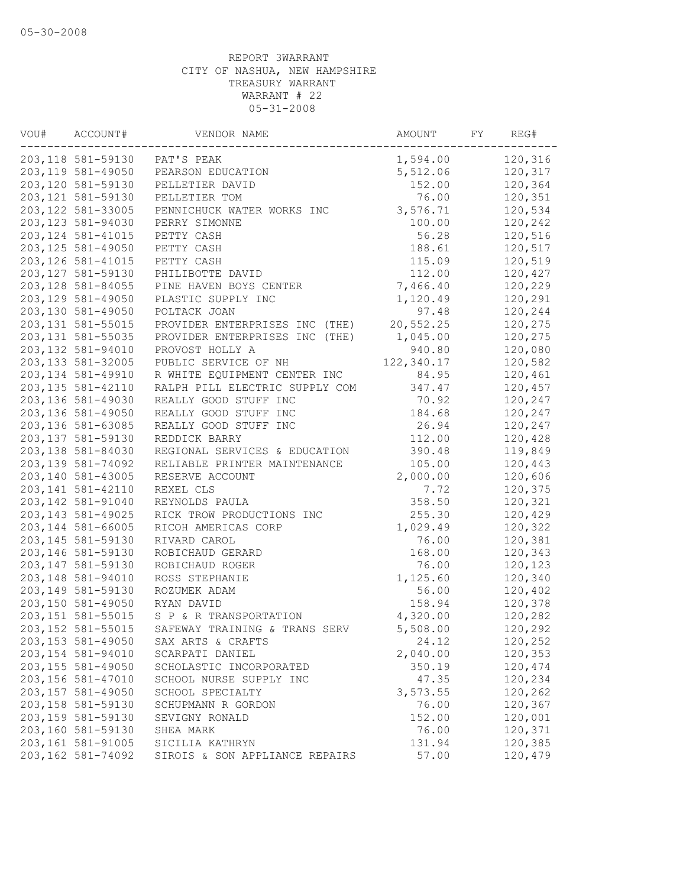| VOU# | ACCOUNT#           | VENDOR NAME                    | AMOUNT     | FY | REG#    |
|------|--------------------|--------------------------------|------------|----|---------|
|      | 203,118 581-59130  | PAT'S PEAK                     | 1,594.00   |    | 120,316 |
|      | 203, 119 581-49050 | PEARSON EDUCATION              | 5,512.06   |    | 120,317 |
|      | 203,120 581-59130  | PELLETIER DAVID                | 152.00     |    | 120,364 |
|      | 203, 121 581-59130 | PELLETIER TOM                  | 76.00      |    | 120,351 |
|      | 203, 122 581-33005 | PENNICHUCK WATER WORKS INC     | 3,576.71   |    | 120,534 |
|      | 203, 123 581-94030 | PERRY SIMONNE                  | 100.00     |    | 120,242 |
|      | 203, 124 581-41015 | PETTY CASH                     | 56.28      |    | 120,516 |
|      | 203, 125 581-49050 | PETTY CASH                     | 188.61     |    | 120,517 |
|      | 203, 126 581-41015 | PETTY CASH                     | 115.09     |    | 120,519 |
|      | 203, 127 581-59130 | PHILIBOTTE DAVID               | 112.00     |    | 120,427 |
|      | 203, 128 581-84055 | PINE HAVEN BOYS CENTER         | 7,466.40   |    | 120,229 |
|      | 203, 129 581-49050 | PLASTIC SUPPLY INC             | 1,120.49   |    | 120,291 |
|      | 203,130 581-49050  | POLTACK JOAN                   | 97.48      |    | 120,244 |
|      | 203, 131 581-55015 | PROVIDER ENTERPRISES INC (THE) | 20,552.25  |    | 120,275 |
|      | 203, 131 581-55035 | PROVIDER ENTERPRISES INC (THE) | 1,045.00   |    | 120,275 |
|      | 203, 132 581-94010 | PROVOST HOLLY A                | 940.80     |    | 120,080 |
|      | 203, 133 581-32005 | PUBLIC SERVICE OF NH           | 122,340.17 |    | 120,582 |
|      | 203, 134 581-49910 | R WHITE EQUIPMENT CENTER INC   | 84.95      |    | 120,461 |
|      | 203, 135 581-42110 | RALPH PILL ELECTRIC SUPPLY COM | 347.47     |    | 120,457 |
|      | 203,136 581-49030  | REALLY GOOD STUFF INC          | 70.92      |    | 120,247 |
|      | 203,136 581-49050  | REALLY GOOD STUFF INC          | 184.68     |    | 120,247 |
|      | 203,136 581-63085  | REALLY GOOD STUFF INC          | 26.94      |    | 120,247 |
|      | 203, 137 581-59130 | REDDICK BARRY                  | 112.00     |    | 120,428 |
|      | 203,138 581-84030  | REGIONAL SERVICES & EDUCATION  | 390.48     |    | 119,849 |
|      | 203, 139 581-74092 | RELIABLE PRINTER MAINTENANCE   | 105.00     |    | 120,443 |
|      | 203,140 581-43005  | RESERVE ACCOUNT                | 2,000.00   |    | 120,606 |
|      | 203, 141 581-42110 | REXEL CLS                      | 7.72       |    | 120,375 |
|      | 203, 142 581-91040 | REYNOLDS PAULA                 | 358.50     |    | 120,321 |
|      | 203, 143 581-49025 | RICK TROW PRODUCTIONS INC      | 255.30     |    | 120,429 |
|      | 203, 144 581-66005 | RICOH AMERICAS CORP            | 1,029.49   |    | 120,322 |
|      | 203, 145 581-59130 | RIVARD CAROL                   | 76.00      |    | 120,381 |
|      | 203,146 581-59130  | ROBICHAUD GERARD               | 168.00     |    | 120,343 |
|      | 203, 147 581-59130 | ROBICHAUD ROGER                | 76.00      |    | 120,123 |
|      | 203,148 581-94010  | ROSS STEPHANIE                 | 1,125.60   |    | 120,340 |
|      | 203, 149 581-59130 | ROZUMEK ADAM                   | 56.00      |    | 120,402 |
|      | 203,150 581-49050  | RYAN DAVID                     | 158.94     |    | 120,378 |
|      | 203, 151 581-55015 | S P & R TRANSPORTATION         | 4,320.00   |    | 120,282 |
|      | 203, 152 581-55015 | SAFEWAY TRAINING & TRANS SERV  | 5,508.00   |    | 120,292 |
|      | 203,153 581-49050  | SAX ARTS & CRAFTS              | 24.12      |    | 120,252 |
|      | 203, 154 581-94010 | SCARPATI DANIEL                | 2,040.00   |    | 120,353 |
|      | 203, 155 581-49050 | SCHOLASTIC INCORPORATED        | 350.19     |    | 120,474 |
|      | 203,156 581-47010  | SCHOOL NURSE SUPPLY INC        | 47.35      |    | 120,234 |
|      | 203, 157 581-49050 | SCHOOL SPECIALTY               | 3,573.55   |    | 120,262 |
|      | 203,158 581-59130  | SCHUPMANN R GORDON             | 76.00      |    | 120,367 |
|      | 203,159 581-59130  | SEVIGNY RONALD                 | 152.00     |    | 120,001 |
|      | 203,160 581-59130  | SHEA MARK                      | 76.00      |    | 120,371 |
|      | 203, 161 581-91005 | SICILIA KATHRYN                | 131.94     |    | 120,385 |
|      | 203,162 581-74092  | SIROIS & SON APPLIANCE REPAIRS | 57.00      |    | 120,479 |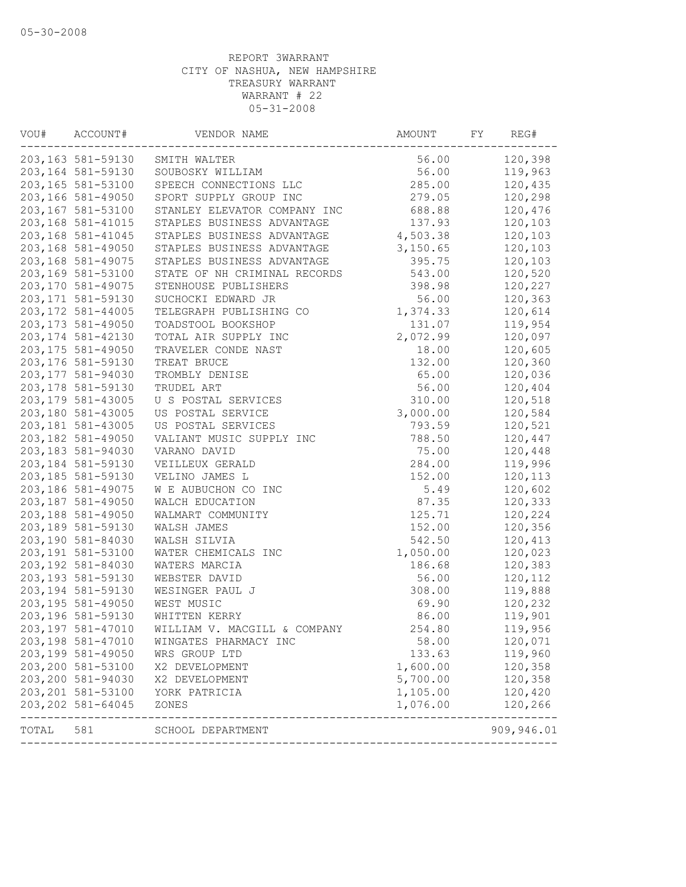| VOU# | ACCOUNT#           | VENDOR NAME                  | AMOUNT   | FY | REG#                     |
|------|--------------------|------------------------------|----------|----|--------------------------|
|      | 203,163 581-59130  | SMITH WALTER                 | 56.00    |    | 120,398                  |
|      | 203,164 581-59130  | SOUBOSKY WILLIAM             | 56.00    |    | 119,963                  |
|      | 203,165 581-53100  | SPEECH CONNECTIONS LLC       | 285.00   |    | 120,435                  |
|      | 203,166 581-49050  | SPORT SUPPLY GROUP INC       | 279.05   |    | 120,298                  |
|      | 203,167 581-53100  | STANLEY ELEVATOR COMPANY INC | 688.88   |    | 120,476                  |
|      | 203,168 581-41015  | STAPLES BUSINESS ADVANTAGE   | 137.93   |    | 120,103                  |
|      | 203,168 581-41045  | STAPLES BUSINESS ADVANTAGE   | 4,503.38 |    | 120,103                  |
|      | 203,168 581-49050  | STAPLES BUSINESS ADVANTAGE   | 3,150.65 |    | 120,103                  |
|      | 203,168 581-49075  | STAPLES BUSINESS ADVANTAGE   | 395.75   |    | 120,103                  |
|      | 203,169 581-53100  | STATE OF NH CRIMINAL RECORDS | 543.00   |    | 120,520                  |
|      | 203,170 581-49075  | STENHOUSE PUBLISHERS         | 398.98   |    | 120,227                  |
|      | 203,171 581-59130  | SUCHOCKI EDWARD JR           | 56.00    |    | 120,363                  |
|      | 203, 172 581-44005 | TELEGRAPH PUBLISHING CO      | 1,374.33 |    | 120,614                  |
|      | 203, 173 581-49050 | TOADSTOOL BOOKSHOP           | 131.07   |    | 119,954                  |
|      | 203, 174 581-42130 | TOTAL AIR SUPPLY INC         | 2,072.99 |    | 120,097                  |
|      | 203, 175 581-49050 | TRAVELER CONDE NAST          | 18.00    |    | 120,605                  |
|      | 203,176 581-59130  | TREAT BRUCE                  | 132.00   |    | 120,360                  |
|      | 203,177 581-94030  | TROMBLY DENISE               | 65.00    |    | 120,036                  |
|      | 203,178 581-59130  | TRUDEL ART                   | 56.00    |    | 120,404                  |
|      | 203, 179 581-43005 | U S POSTAL SERVICES          | 310.00   |    | 120,518                  |
|      | 203,180 581-43005  | US POSTAL SERVICE            | 3,000.00 |    | 120,584                  |
|      | 203,181 581-43005  | US POSTAL SERVICES           | 793.59   |    | 120,521                  |
|      | 203,182 581-49050  | VALIANT MUSIC SUPPLY INC     | 788.50   |    | 120,447                  |
|      | 203,183 581-94030  | VARANO DAVID                 | 75.00    |    | 120,448                  |
|      | 203,184 581-59130  | VEILLEUX GERALD              | 284.00   |    | 119,996                  |
|      | 203,185 581-59130  | VELINO JAMES L               | 152.00   |    | 120,113                  |
|      | 203,186 581-49075  | W E AUBUCHON CO INC          | 5.49     |    | 120,602                  |
|      | 203,187 581-49050  | WALCH EDUCATION              | 87.35    |    | 120,333                  |
|      | 203,188 581-49050  | WALMART COMMUNITY            | 125.71   |    | 120,224                  |
|      | 203,189 581-59130  | WALSH JAMES                  | 152.00   |    | 120,356                  |
|      | 203,190 581-84030  | WALSH SILVIA                 | 542.50   |    | 120,413                  |
|      | 203,191 581-53100  | WATER CHEMICALS INC          | 1,050.00 |    | 120,023                  |
|      | 203,192 581-84030  | WATERS MARCIA                | 186.68   |    | 120,383                  |
|      | 203,193 581-59130  | WEBSTER DAVID                | 56.00    |    | 120,112                  |
|      | 203,194 581-59130  | WESINGER PAUL J              | 308.00   |    | 119,888                  |
|      | 203,195 581-49050  | WEST MUSIC                   | 69.90    |    | 120,232                  |
|      | 203,196 581-59130  | WHITTEN KERRY                | 86.00    |    | 119,901                  |
|      | 203,197 581-47010  | WILLIAM V. MACGILL & COMPANY | 254.80   |    | 119,956                  |
|      | 203,198 581-47010  | WINGATES PHARMACY INC        | 58.00    |    | 120,071                  |
|      | 203,199 581-49050  | WRS GROUP LTD                | 133.63   |    | 119,960                  |
|      | 203,200 581-53100  | X2 DEVELOPMENT               | 1,600.00 |    | 120,358                  |
|      | 203,200 581-94030  | X2 DEVELOPMENT               | 5,700.00 |    | 120,358                  |
|      | 203,201 581-53100  | YORK PATRICIA                | 1,105.00 |    | 120,420                  |
|      | 203, 202 581-64045 | ZONES                        | 1,076.00 |    | 120,266<br>------------- |
|      |                    |                              |          |    |                          |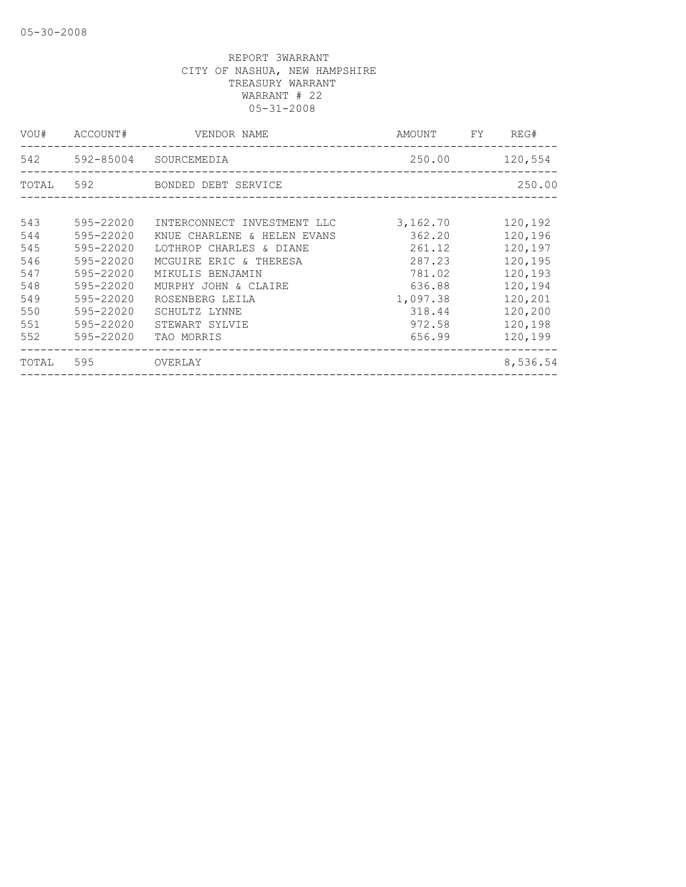| VOU#  | ACCOUNT#      | VENDOR NAME                 | AMOUNT   | FY | REG#     |
|-------|---------------|-----------------------------|----------|----|----------|
|       | 542 592-85004 | SOURCEMEDIA                 | 250.00   |    | 120,554  |
| TOTAL | 592           | BONDED DEBT SERVICE         |          |    | 250.00   |
| 543   | 595-22020     | INTERCONNECT INVESTMENT LLC | 3,162.70 |    | 120,192  |
| 544   | 595-22020     | KNUE CHARLENE & HELEN EVANS | 362.20   |    | 120,196  |
| 545   | 595-22020     | LOTHROP CHARLES & DIANE     | 261.12   |    | 120,197  |
| 546   | 595-22020     | MCGUIRE ERIC & THERESA      | 287.23   |    | 120,195  |
| 547   | 595-22020     | MIKULIS BENJAMIN            | 781.02   |    | 120,193  |
| 548   | 595-22020     | MURPHY JOHN & CLAIRE        | 636.88   |    | 120,194  |
| 549   | 595-22020     | ROSENBERG LEILA             | 1,097.38 |    | 120,201  |
| 550   | 595-22020     | SCHULTZ LYNNE               | 318.44   |    | 120,200  |
| 551   | 595-22020     | STEWART SYLVIE              | 972.58   |    | 120,198  |
| 552   | 595-22020     | TAO MORRIS                  | 656.99   |    | 120,199  |
| TOTAL | 595           | OVERLAY                     |          |    | 8,536.54 |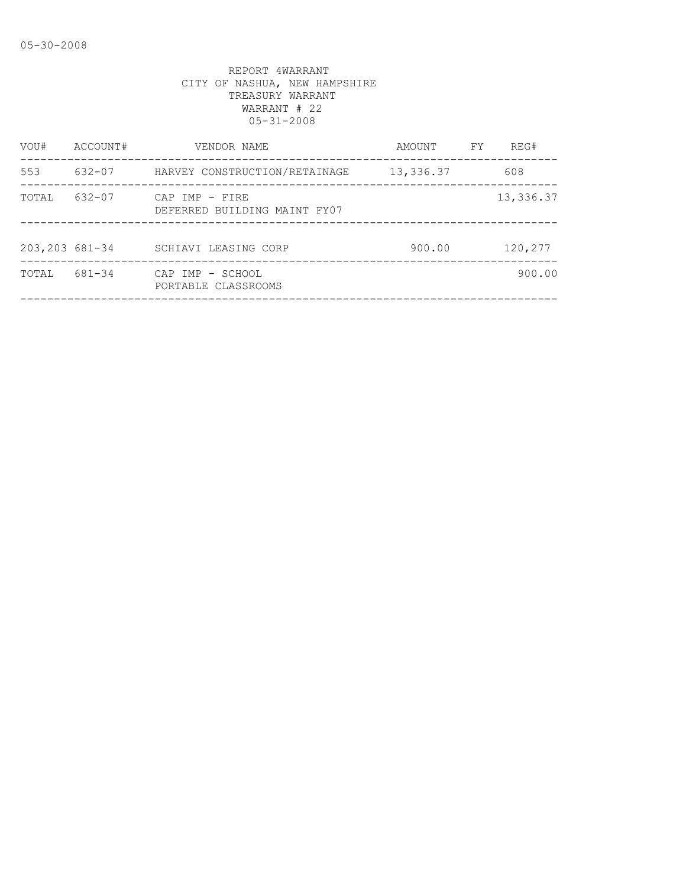| VOU#            | ACCOUNT#   | VENDOR NAME                                    | AMOUNT    | FY. | REG#      |
|-----------------|------------|------------------------------------------------|-----------|-----|-----------|
| 553             | $632 - 07$ | HARVEY CONSTRUCTION/RETAINAGE                  | 13,336.37 |     | 608       |
| TOTAL           | $632 - 07$ | CAP IMP - FIRE<br>DEFERRED BUILDING MAINT FY07 |           |     | 13,336.37 |
| 203, 203 681-34 |            | SCHIAVI LEASING CORP                           | 900.00    |     | 120,277   |
| TOTAL           | 681-34     | CAP IMP - SCHOOL<br>PORTABLE CLASSROOMS        |           |     | 900.00    |
|                 |            |                                                |           |     |           |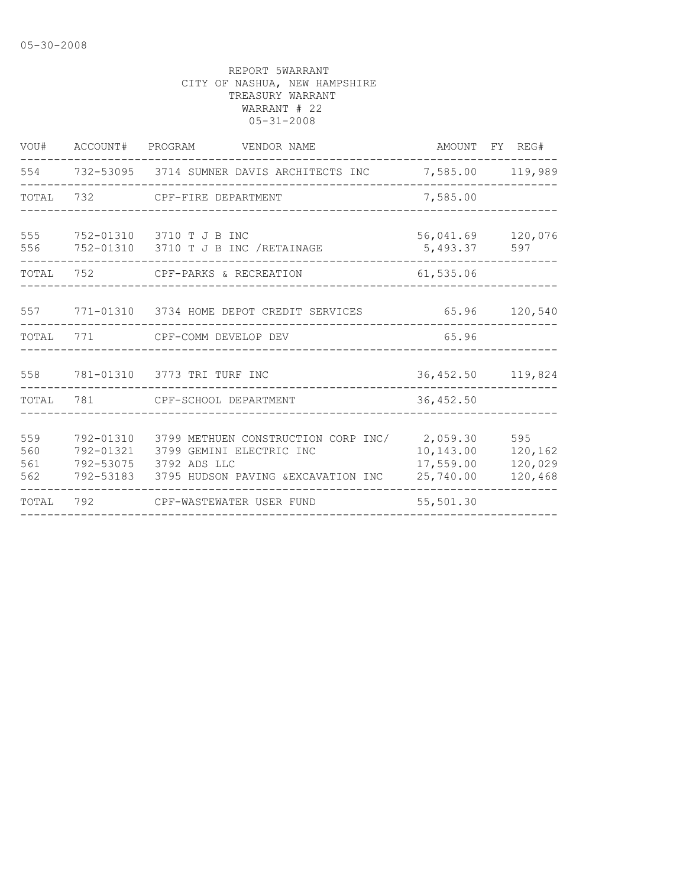| VOU#                     |           | ACCOUNT# PROGRAM VENDOR NAME                                                                                                                                  |                                     | AMOUNT FY REG#                       |
|--------------------------|-----------|---------------------------------------------------------------------------------------------------------------------------------------------------------------|-------------------------------------|--------------------------------------|
|                          |           | 554 732-53095 3714 SUMNER DAVIS ARCHITECTS INC                                                                                                                |                                     | 7,585.00 119,989                     |
|                          |           | TOTAL 732 CPF-FIRE DEPARTMENT                                                                                                                                 | 7,585.00                            |                                      |
| 555<br>556               |           | 752-01310 3710 T J B INC<br>752-01310 3710 T J B INC /RETAINAGE                                                                                               | 5,493.37                            | 56,041.69 120,076<br>597             |
| TOTAL                    | 752       | CPF-PARKS & RECREATION                                                                                                                                        | 61,535.06                           |                                      |
|                          |           | 557 771-01310 3734 HOME DEPOT CREDIT SERVICES                                                                                                                 |                                     | 65.96 120,540                        |
| TOTAL                    |           |                                                                                                                                                               | 65.96                               |                                      |
|                          |           | 558 781-01310 3773 TRI TURF INC                                                                                                                               |                                     | 36, 452.50 119, 824                  |
|                          |           | TOTAL 781 CPF-SCHOOL DEPARTMENT                                                                                                                               | 36, 452.50                          |                                      |
| 559<br>560<br>561<br>562 | 792-01310 | 3799 METHUEN CONSTRUCTION CORP INC/ 2,059.30<br>792-01321 3799 GEMINI ELECTRIC INC<br>792-53075 3792 ADS LLC<br>792-53183 3795 HUDSON PAVING & EXCAVATION INC | 10,143.00<br>17,559.00<br>25,740.00 | 595<br>120,162<br>120,029<br>120,468 |
|                          |           | TOTAL 792 CPF-WASTEWATER USER FUND                                                                                                                            | 55,501.30                           |                                      |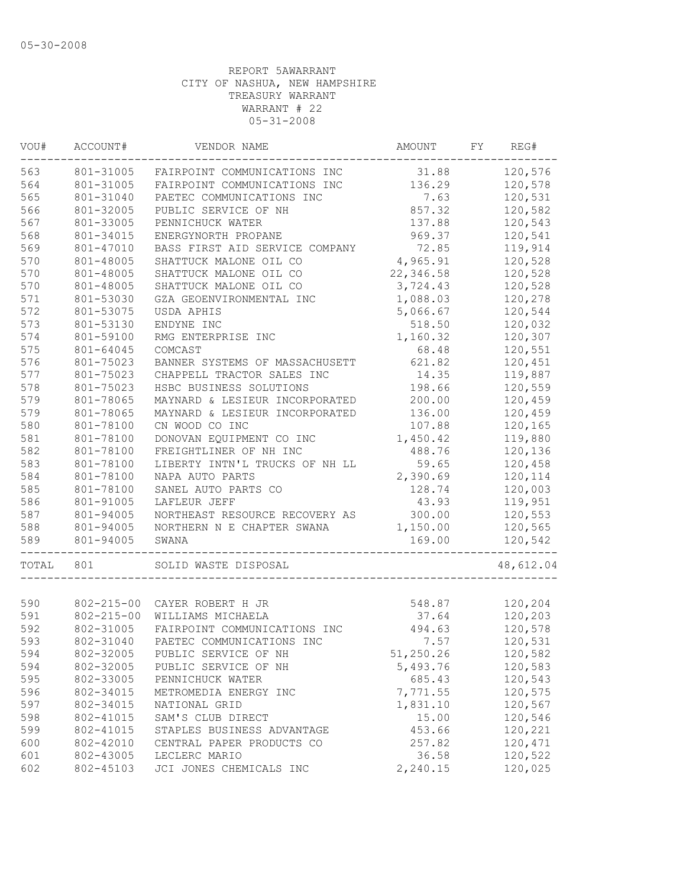| VOU#  | ACCOUNT#         | VENDOR NAME                    | AMOUNT    | FY | REG#      |
|-------|------------------|--------------------------------|-----------|----|-----------|
| 563   | 801-31005        | FAIRPOINT COMMUNICATIONS INC   | 31.88     |    | 120,576   |
| 564   | 801-31005        | FAIRPOINT COMMUNICATIONS INC   | 136.29    |    | 120,578   |
| 565   | 801-31040        | PAETEC COMMUNICATIONS INC      | 7.63      |    | 120,531   |
| 566   | 801-32005        | PUBLIC SERVICE OF NH           | 857.32    |    | 120,582   |
| 567   | 801-33005        | PENNICHUCK WATER               | 137.88    |    | 120,543   |
| 568   | 801-34015        | ENERGYNORTH PROPANE            | 969.37    |    | 120,541   |
| 569   | 801-47010        | BASS FIRST AID SERVICE COMPANY | 72.85     |    | 119,914   |
| 570   | 801-48005        | SHATTUCK MALONE OIL CO         | 4,965.91  |    | 120,528   |
| 570   | 801-48005        | SHATTUCK MALONE OIL CO         | 22,346.58 |    | 120,528   |
| 570   | 801-48005        | SHATTUCK MALONE OIL CO         | 3,724.43  |    | 120,528   |
| 571   | 801-53030        | GZA GEOENVIRONMENTAL INC       | 1,088.03  |    | 120,278   |
| 572   | 801-53075        | USDA APHIS                     | 5,066.67  |    | 120,544   |
| 573   | 801-53130        | ENDYNE INC                     | 518.50    |    | 120,032   |
| 574   | 801-59100        | RMG ENTERPRISE INC             | 1,160.32  |    | 120,307   |
| 575   | 801-64045        | COMCAST                        | 68.48     |    | 120,551   |
| 576   | 801-75023        | BANNER SYSTEMS OF MASSACHUSETT | 621.82    |    | 120,451   |
| 577   | 801-75023        | CHAPPELL TRACTOR SALES INC     | 14.35     |    | 119,887   |
| 578   | 801-75023        | HSBC BUSINESS SOLUTIONS        | 198.66    |    | 120,559   |
| 579   | 801-78065        | MAYNARD & LESIEUR INCORPORATED | 200.00    |    | 120,459   |
| 579   | 801-78065        | MAYNARD & LESIEUR INCORPORATED | 136.00    |    | 120,459   |
| 580   | 801-78100        | CN WOOD CO INC                 | 107.88    |    | 120,165   |
| 581   | 801-78100        | DONOVAN EQUIPMENT CO INC       | 1,450.42  |    | 119,880   |
| 582   | 801-78100        | FREIGHTLINER OF NH INC         | 488.76    |    | 120,136   |
| 583   | 801-78100        | LIBERTY INTN'L TRUCKS OF NH LL | 59.65     |    | 120,458   |
| 584   | 801-78100        | NAPA AUTO PARTS                | 2,390.69  |    | 120,114   |
| 585   | 801-78100        | SANEL AUTO PARTS CO            | 128.74    |    | 120,003   |
| 586   | 801-91005        | LAFLEUR JEFF                   | 43.93     |    | 119,951   |
| 587   | 801-94005        | NORTHEAST RESOURCE RECOVERY AS | 300.00    |    | 120,553   |
| 588   | 801-94005        | NORTHERN N E CHAPTER SWANA     | 1,150.00  |    | 120,565   |
| 589   | 801-94005        | SWANA                          | 169.00    |    | 120,542   |
|       |                  |                                |           |    |           |
| TOTAL | 801              | SOLID WASTE DISPOSAL           |           |    | 48,612.04 |
|       |                  |                                |           |    |           |
| 590   | 802-215-00       | CAYER ROBERT H JR              | 548.87    |    | 120,204   |
| 591   | $802 - 215 - 00$ | WILLIAMS MICHAELA              | 37.64     |    | 120,203   |
| 592   | 802-31005        | FAIRPOINT COMMUNICATIONS INC   | 494.63    |    | 120,578   |
| 593   | 802-31040        | PAETEC COMMUNICATIONS INC      | 7.57      |    | 120,531   |
| 594   | 802-32005        | PUBLIC SERVICE OF NH           | 51,250.26 |    | 120,582   |
| 594   | 802-32005        | PUBLIC SERVICE OF NH           | 5,493.76  |    | 120,583   |
| 595   | 802-33005        | PENNICHUCK WATER               | 685.43    |    | 120,543   |
| 596   | 802-34015        | METROMEDIA ENERGY INC          | 7,771.55  |    | 120,575   |
| 597   | 802-34015        | NATIONAL GRID                  | 1,831.10  |    | 120,567   |
| 598   | 802-41015        | SAM'S CLUB DIRECT              | 15.00     |    | 120,546   |
| 599   | 802-41015        | STAPLES BUSINESS ADVANTAGE     | 453.66    |    | 120,221   |
| 600   | 802-42010        | CENTRAL PAPER PRODUCTS CO      | 257.82    |    | 120,471   |
| 601   | 802-43005        | LECLERC MARIO                  | 36.58     |    | 120,522   |
| 602   | 802-45103        | JCI JONES CHEMICALS INC        | 2,240.15  |    | 120,025   |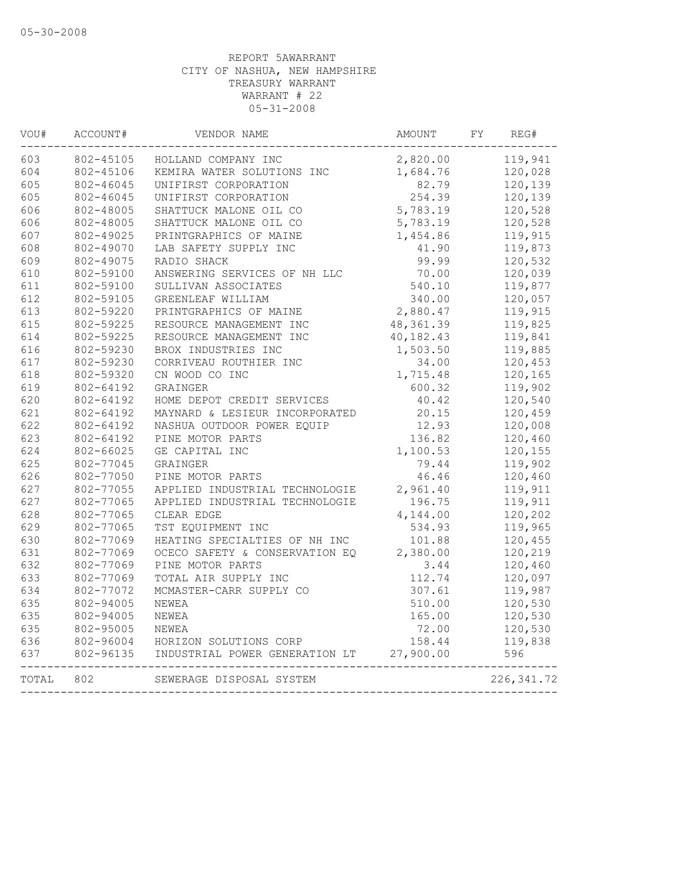| 603<br>604<br>605 | 802-45105<br>802-45106 | HOLLAND COMPANY INC                                          | 2,820.00  |             |
|-------------------|------------------------|--------------------------------------------------------------|-----------|-------------|
|                   |                        |                                                              |           | 119,941     |
|                   |                        | KEMIRA WATER SOLUTIONS INC                                   | 1,684.76  | 120,028     |
|                   | 802-46045              | UNIFIRST CORPORATION                                         | 82.79     | 120,139     |
| 605               | 802-46045              | UNIFIRST CORPORATION                                         | 254.39    | 120,139     |
| 606               | 802-48005              | SHATTUCK MALONE OIL CO                                       | 5,783.19  | 120,528     |
| 606               | 802-48005              | SHATTUCK MALONE OIL CO                                       | 5,783.19  | 120,528     |
| 607               | 802-49025              | PRINTGRAPHICS OF MAINE                                       | 1,454.86  | 119,915     |
| 608               | 802-49070              | LAB SAFETY SUPPLY INC                                        | 41.90     | 119,873     |
| 609               | 802-49075              | RADIO SHACK                                                  | 99.99     | 120,532     |
| 610               | 802-59100              | ANSWERING SERVICES OF NH LLC                                 | 70.00     | 120,039     |
| 611               | 802-59100              | SULLIVAN ASSOCIATES                                          | 540.10    | 119,877     |
| 612               | 802-59105              | GREENLEAF WILLIAM                                            | 340.00    | 120,057     |
| 613               | 802-59220              | PRINTGRAPHICS OF MAINE                                       | 2,880.47  | 119,915     |
| 615               | 802-59225              | RESOURCE MANAGEMENT INC                                      | 48,361.39 | 119,825     |
| 614               | 802-59225              | RESOURCE MANAGEMENT INC                                      | 40,182.43 | 119,841     |
| 616               | 802-59230              | BROX INDUSTRIES INC                                          | 1,503.50  | 119,885     |
| 617               | 802-59230              | CORRIVEAU ROUTHIER INC                                       | 34.00     | 120,453     |
| 618               | 802-59320              | CN WOOD CO INC                                               | 1,715.48  | 120,165     |
| 619               | 802-64192              | GRAINGER                                                     | 600.32    | 119,902     |
| 620               | 802-64192              | HOME DEPOT CREDIT SERVICES                                   | 40.42     | 120,540     |
| 621               | 802-64192              | MAYNARD & LESIEUR INCORPORATED                               | 20.15     | 120,459     |
| 622               | 802-64192              | NASHUA OUTDOOR POWER EQUIP                                   | 12.93     | 120,008     |
| 623               | 802-64192              | PINE MOTOR PARTS                                             | 136.82    | 120,460     |
| 624               | 802-66025              | GE CAPITAL INC                                               | 1,100.53  | 120,155     |
| 625               | 802-77045              | GRAINGER                                                     | 79.44     | 119,902     |
| 626               | 802-77050              | PINE MOTOR PARTS                                             | 46.46     | 120,460     |
| 627               | 802-77055              | APPLIED INDUSTRIAL TECHNOLOGIE                               | 2,961.40  | 119,911     |
| 627               | 802-77065              | APPLIED INDUSTRIAL TECHNOLOGIE                               | 196.75    | 119,911     |
| 628               | 802-77065              | CLEAR EDGE                                                   | 4,144.00  | 120,202     |
| 629               | 802-77065              | TST EOUIPMENT INC                                            | 534.93    | 119,965     |
| 630               | 802-77069              | HEATING SPECIALTIES OF NH INC                                | 101.88    | 120,455     |
| 631               | 802-77069              | OCECO SAFETY & CONSERVATION EQ                               | 2,380.00  | 120,219     |
| 632               | 802-77069              | PINE MOTOR PARTS                                             | 3.44      | 120,460     |
| 633               | 802-77069              | TOTAL AIR SUPPLY INC                                         | 112.74    | 120,097     |
| 634               | 802-77072              | MCMASTER-CARR SUPPLY CO                                      | 307.61    | 119,987     |
| 635               | 802-94005              | NEWEA                                                        | 510.00    | 120,530     |
| 635               | 802-94005              | NEWEA                                                        | 165.00    | 120,530     |
| 635               | 802-95005              | NEWEA                                                        | 72.00     | 120,530     |
| 636               |                        | 802-96004 HORIZON SOLUTIONS CORP                             | 158.44    | 119,838     |
| 637               | 802-96135              | INDUSTRIAL POWER GENERATION LT<br>-------------------------- | 27,900.00 | 596         |
| TOTAL             | 802                    | SEWERAGE DISPOSAL SYSTEM                                     |           | 226, 341.72 |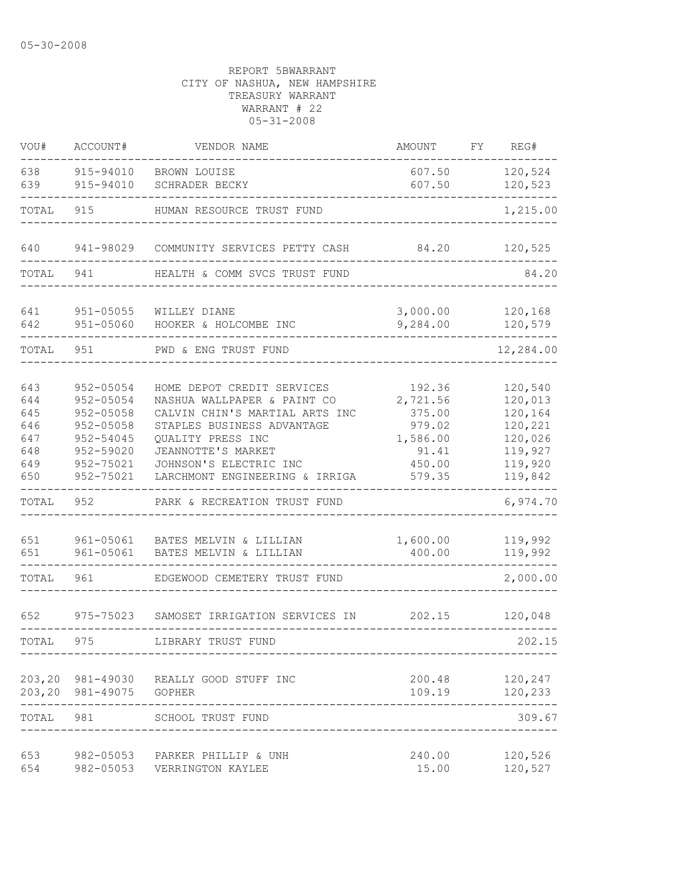| VOU#                                                          | ACCOUNT#                                                                                                    | VENDOR NAME                                                                                                                                                                                                                                                      | AMOUNT                                                                          | FΥ | REG#                                                                                             |
|---------------------------------------------------------------|-------------------------------------------------------------------------------------------------------------|------------------------------------------------------------------------------------------------------------------------------------------------------------------------------------------------------------------------------------------------------------------|---------------------------------------------------------------------------------|----|--------------------------------------------------------------------------------------------------|
| 638<br>639                                                    | 915-94010<br>915-94010                                                                                      | BROWN LOUISE<br>SCHRADER BECKY                                                                                                                                                                                                                                   | 607.50<br>607.50                                                                |    | 120,524<br>120,523                                                                               |
| TOTAL                                                         | 915                                                                                                         | HUMAN RESOURCE TRUST FUND                                                                                                                                                                                                                                        |                                                                                 |    | 1,215.00                                                                                         |
| 640                                                           | 941-98029                                                                                                   | COMMUNITY SERVICES PETTY CASH                                                                                                                                                                                                                                    | 84.20                                                                           |    | 120,525                                                                                          |
| TOTAL                                                         | 941                                                                                                         | HEALTH & COMM SVCS TRUST FUND                                                                                                                                                                                                                                    |                                                                                 |    | 84.20                                                                                            |
| 641<br>642                                                    | $951 - 05055$<br>951-05060                                                                                  | WILLEY DIANE<br>HOOKER & HOLCOMBE INC                                                                                                                                                                                                                            | 3,000.00<br>9,284.00                                                            |    | 120,168<br>120,579                                                                               |
| TOTAL                                                         | 951                                                                                                         | PWD & ENG TRUST FUND                                                                                                                                                                                                                                             |                                                                                 |    | 12,284.00                                                                                        |
| 643<br>644<br>645<br>646<br>647<br>648<br>649<br>650<br>TOTAL | 952-05054<br>952-05054<br>952-05058<br>952-05058<br>952-54045<br>952-59020<br>952-75021<br>952-75021<br>952 | HOME DEPOT CREDIT SERVICES<br>NASHUA WALLPAPER & PAINT CO<br>CALVIN CHIN'S MARTIAL ARTS INC<br>STAPLES BUSINESS ADVANTAGE<br>QUALITY PRESS INC<br>JEANNOTTE'S MARKET<br>JOHNSON'S ELECTRIC INC<br>LARCHMONT ENGINEERING & IRRIGA<br>PARK & RECREATION TRUST FUND | 192.36<br>2,721.56<br>375.00<br>979.02<br>1,586.00<br>91.41<br>450.00<br>579.35 |    | 120,540<br>120,013<br>120,164<br>120,221<br>120,026<br>119,927<br>119,920<br>119,842<br>6,974.70 |
| 651<br>651                                                    | 961-05061<br>961-05061                                                                                      | BATES MELVIN & LILLIAN<br>BATES MELVIN & LILLIAN                                                                                                                                                                                                                 | 1,600.00<br>400.00                                                              |    | 119,992<br>119,992                                                                               |
| TOTAL                                                         | 961                                                                                                         | EDGEWOOD CEMETERY TRUST FUND                                                                                                                                                                                                                                     |                                                                                 |    | 2,000.00                                                                                         |
| 652                                                           | 975-75023                                                                                                   | SAMOSET IRRIGATION SERVICES IN                                                                                                                                                                                                                                   | 202.15                                                                          |    | 120,048                                                                                          |
| TOTAL                                                         | 975                                                                                                         | LIBRARY TRUST FUND                                                                                                                                                                                                                                               |                                                                                 |    | 202.15                                                                                           |
|                                                               | 203,20 981-49075 GOPHER                                                                                     | 203,20 981-49030 REALLY GOOD STUFF INC<br>-------                                                                                                                                                                                                                | 200.48<br>109.19                                                                |    | 120,247<br>120,233                                                                               |
| TOTAL 981                                                     |                                                                                                             | SCHOOL TRUST FUND                                                                                                                                                                                                                                                |                                                                                 |    | 309.67                                                                                           |
| 653<br>654                                                    |                                                                                                             | 982-05053 PARKER PHILLIP & UNH<br>982-05053 VERRINGTON KAYLEE                                                                                                                                                                                                    | 240.00<br>15.00                                                                 |    | 120,526<br>120,527                                                                               |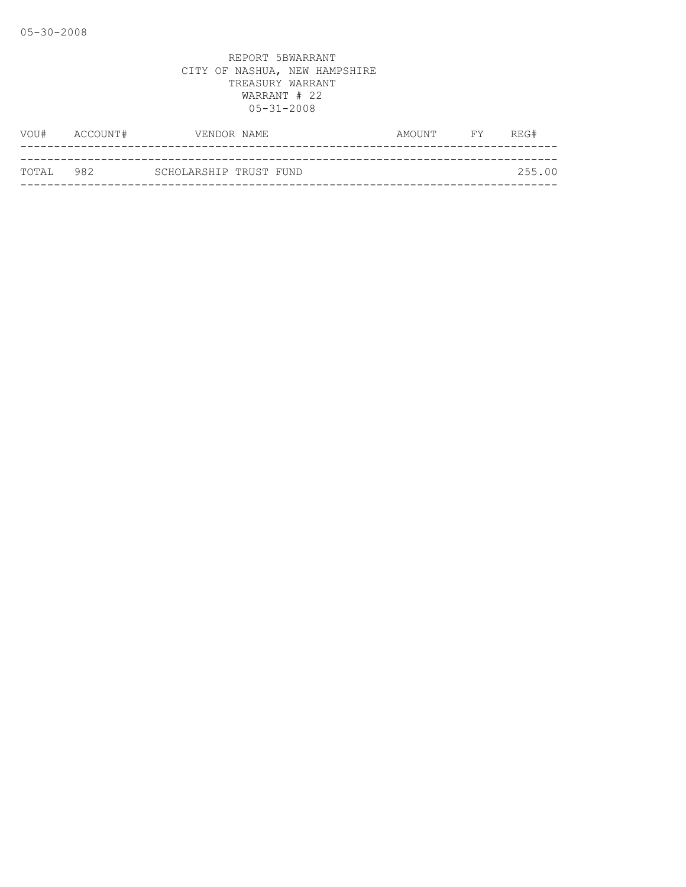| VOU#      | ACCOUNT# | VENDOR NAME            |  | AMOUNT | <b>FY</b> | REG#   |
|-----------|----------|------------------------|--|--------|-----------|--------|
|           |          |                        |  |        |           |        |
| TOTAL 982 |          | SCHOLARSHIP TRUST FUND |  |        |           | 255.00 |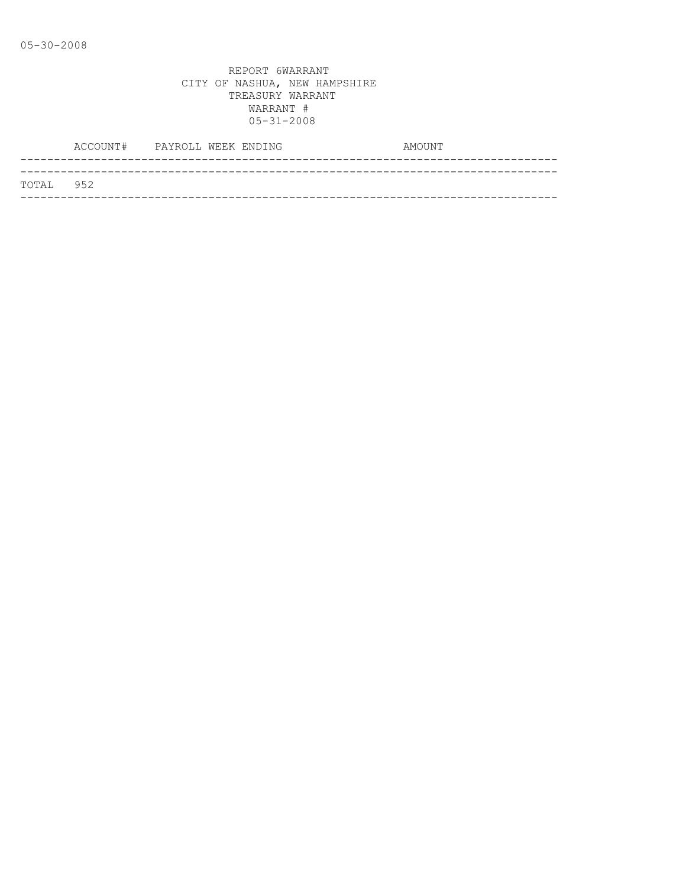|           | ACCOUNT# PAYROLL WEEK ENDING |  |  | AMOUNT |
|-----------|------------------------------|--|--|--------|
|           |                              |  |  |        |
| TOTAL 952 |                              |  |  |        |
|           |                              |  |  |        |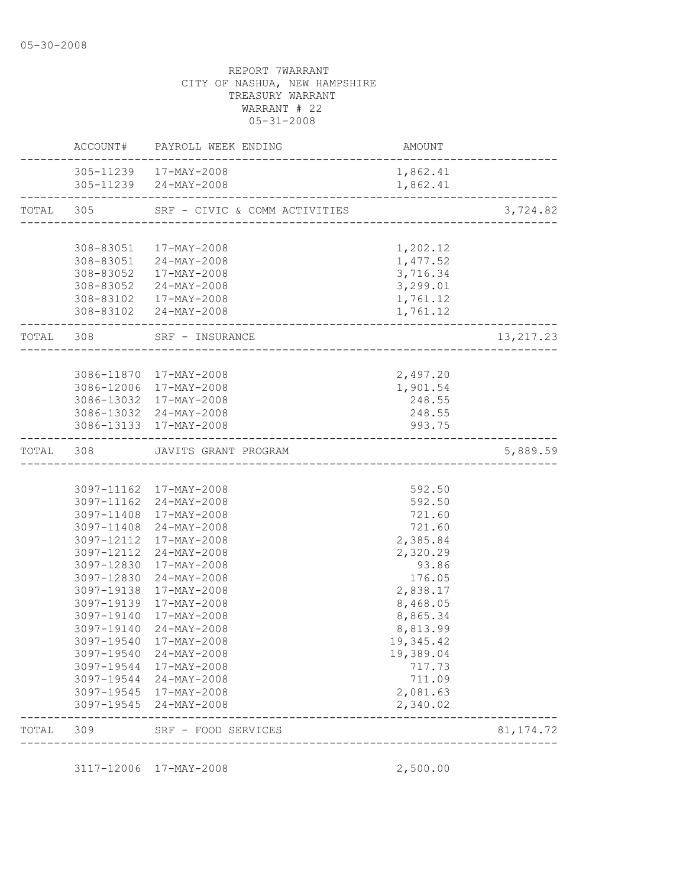|       |                   | ACCOUNT# PAYROLL WEEK ENDING                         | AMOUNT               |            |
|-------|-------------------|------------------------------------------------------|----------------------|------------|
|       |                   | 305-11239 17-MAY-2008<br>305-11239 24-MAY-2008       | 1,862.41<br>1,862.41 |            |
|       |                   | TOTAL 305 SRF - CIVIC & COMM ACTIVITIES              |                      | 3,724.82   |
|       |                   |                                                      |                      |            |
|       |                   | 308-83051  17-MAY-2008                               | 1,202.12             |            |
|       |                   | 308-83051 24-MAY-2008                                | 1,477.52<br>3,716.34 |            |
|       |                   | 308-83052 17-MAY-2008                                | 3,299.01             |            |
|       |                   | 308-83052 24-MAY-2008<br>308-83102  17-MAY-2008      | 1,761.12             |            |
|       |                   | 308-83102 24-MAY-2008<br>--------------------------- | 1,761.12             |            |
|       | _________________ | TOTAL 308 SRF - INSURANCE                            |                      | 13, 217.23 |
|       |                   |                                                      |                      |            |
|       |                   | 3086-11870 17-MAY-2008                               | 2,497.20             |            |
|       |                   | 3086-12006 17-MAY-2008                               | 1,901.54             |            |
|       |                   | 3086-13032 17-MAY-2008                               | 248.55               |            |
|       |                   | 3086-13032 24-MAY-2008<br>3086-13133 17-MAY-2008     | 248.55<br>993.75     |            |
|       |                   |                                                      |                      |            |
|       |                   | TOTAL 308 JAVITS GRANT PROGRAM                       |                      | 5,889.59   |
|       |                   |                                                      |                      |            |
|       |                   | 3097-11162 17-MAY-2008                               | 592.50               |            |
|       |                   | 3097-11162 24-MAY-2008<br>3097-11408 17-MAY-2008     | 592.50<br>721.60     |            |
|       |                   | 3097-11408 24-MAY-2008                               | 721.60               |            |
|       |                   | 3097-12112 17-MAY-2008                               | 2,385.84             |            |
|       |                   | 3097-12112 24-MAY-2008                               | 2,320.29             |            |
|       |                   | 3097-12830 17-MAY-2008                               | 93.86                |            |
|       |                   | 3097-12830 24-MAY-2008                               | 176.05               |            |
|       | 3097-19138        | 17-MAY-2008                                          | 2,838.17             |            |
|       |                   | 3097-19139 17-MAY-2008                               | 8,468.05             |            |
|       | 3097-19140        | 17-MAY-2008                                          | 8,865.34             |            |
|       | 3097-19140        | 24-MAY-2008                                          | 8,813.99             |            |
|       |                   | 3097-19540 17-MAY-2008                               | 19,345.42            |            |
|       | 3097-19540        | 24-MAY-2008                                          | 19,389.04            |            |
|       |                   | 3097-19544 17-MAY-2008                               | 717.73               |            |
|       | 3097-19544        | 24-MAY-2008                                          | 711.09               |            |
|       |                   | 3097-19545 17-MAY-2008<br>3097-19545 24-MAY-2008     | 2,081.63<br>2,340.02 |            |
|       |                   |                                                      |                      |            |
| TOTAL | 309               | SRF - FOOD SERVICES<br>_______________               |                      | 81, 174.72 |

3117-12006 17-MAY-2008 2,500.00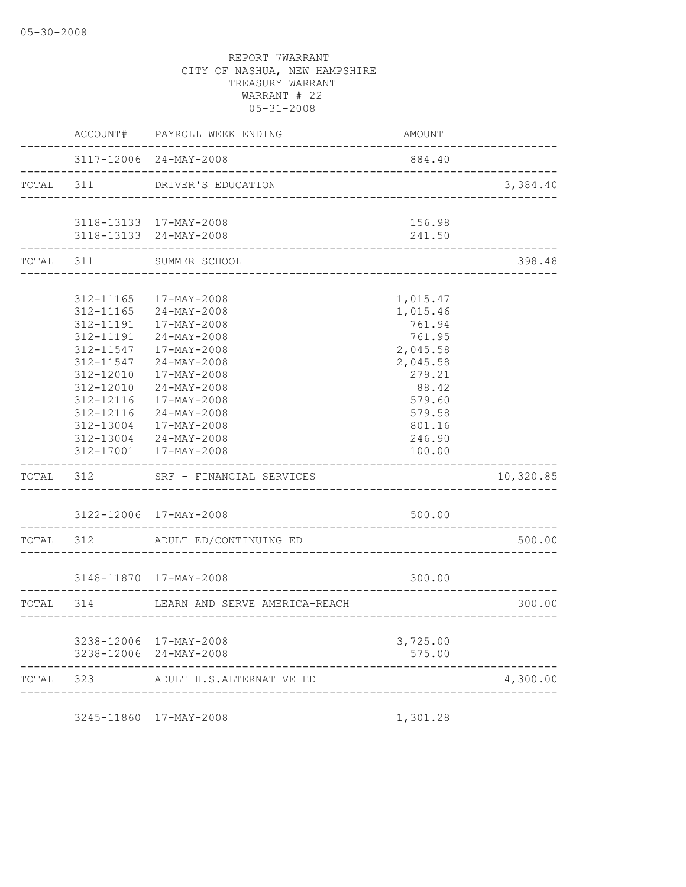|           | AMOUNT                                 | PAYROLL WEEK ENDING                              | ACCOUNT#             |           |
|-----------|----------------------------------------|--------------------------------------------------|----------------------|-----------|
|           | 884.40<br>____________________________ | 3117-12006 24-MAY-2008                           | ___________          |           |
| 3,384.40  |                                        | DRIVER'S EDUCATION<br>_________________          |                      | TOTAL 311 |
|           | 156.98                                 | 3118-13133 17-MAY-2008                           |                      |           |
|           | 241.50<br>--------                     | 3118-13133 24-MAY-2008                           |                      |           |
| 398.48    |                                        | SUMMER SCHOOL<br><u>. 222222222222222</u>        | -------------<br>311 | TOTAL     |
|           |                                        |                                                  |                      |           |
|           | 1,015.47                               | 17-MAY-2008                                      | 312-11165            |           |
|           | 1,015.46                               | $24 - MAX - 2008$                                | 312-11165            |           |
|           | 761.94                                 | 17-MAY-2008                                      | 312-11191            |           |
|           | 761.95                                 | 24-MAY-2008                                      | 312-11191            |           |
|           | 2,045.58                               | 17-MAY-2008                                      | 312-11547            |           |
|           | 2,045.58                               | $24 - MAX - 2008$                                | 312-11547            |           |
|           | 279.21                                 | $17 - MAX - 2008$                                | 312-12010            |           |
|           | 88.42                                  | $24 - MAX - 2008$                                | 312-12010            |           |
|           | 579.60                                 | 17-MAY-2008                                      | 312-12116            |           |
|           | 579.58                                 | $24 - MAX - 2008$                                | 312-12116            |           |
|           | 801.16                                 | 17-MAY-2008                                      | 312-13004            |           |
|           | 246.90                                 | $24 - MAX - 2008$                                | 312-13004            |           |
|           | 100.00                                 | 17-MAY-2008                                      | 312-17001            |           |
| 10,320.85 |                                        | SRF - FINANCIAL SERVICES                         | 312                  | TOTAL     |
|           | 500.00                                 | 3122-12006 17-MAY-2008                           |                      |           |
| 500.00    |                                        | ADULT ED/CONTINUING ED                           | 312                  | TOTAL     |
|           |                                        |                                                  |                      |           |
|           | 300.00                                 | 3148-11870 17-MAY-2008                           |                      |           |
| 300.00    |                                        | LEARN AND SERVE AMERICA-REACH                    | 314                  | TOTAL     |
|           |                                        |                                                  |                      |           |
|           | 3,725.00<br>575.00                     | 3238-12006 17-MAY-2008<br>3238-12006 24-MAY-2008 |                      |           |
| 4,300.00  |                                        | ADULT H.S.ALTERNATIVE ED                         | 323                  | TOTAL     |

3245-11860 17-MAY-2008 1,301.28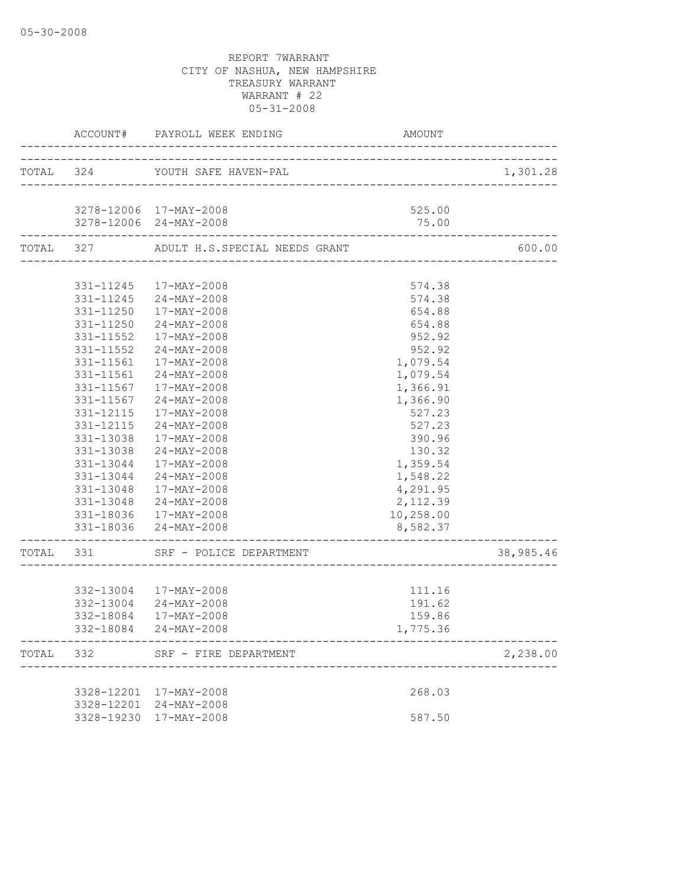|                           | ACCOUNT# PAYROLL WEEK ENDING                   | AMOUNT    |           |
|---------------------------|------------------------------------------------|-----------|-----------|
|                           | TOTAL 324 YOUTH SAFE HAVEN-PAL                 |           | 1,301.28  |
|                           |                                                |           |           |
|                           | 3278-12006 17-MAY-2008                         | 525.00    |           |
|                           | 3278-12006 24-MAY-2008                         | 75.00     |           |
|                           | TOTAL 327 ADULT H.S.SPECIAL NEEDS GRANT        |           | 600.00    |
|                           |                                                |           |           |
|                           | 331-11245 17-MAY-2008                          | 574.38    |           |
|                           | 331-11245 24-MAY-2008                          | 574.38    |           |
|                           | 331-11250 17-MAY-2008                          | 654.88    |           |
|                           | 331-11250 24-MAY-2008                          | 654.88    |           |
|                           | 331-11552  17-MAY-2008                         | 952.92    |           |
|                           | 331-11552 24-MAY-2008                          | 952.92    |           |
|                           | 331-11561  17-MAY-2008                         | 1,079.54  |           |
|                           | 331-11561 24-MAY-2008                          | 1,079.54  |           |
| 331-11567                 | 17-MAY-2008                                    | 1,366.91  |           |
| 331-11567                 | 24-MAY-2008                                    | 1,366.90  |           |
| 331-12115                 | 17-MAY-2008                                    | 527.23    |           |
| 331-12115                 | 24-MAY-2008                                    | 527.23    |           |
| 331-13038                 | 17-MAY-2008                                    | 390.96    |           |
|                           | 331-13038 24-MAY-2008                          | 130.32    |           |
|                           | 331-13044 17-MAY-2008                          | 1,359.54  |           |
|                           | 331-13044 24-MAY-2008                          | 1,548.22  |           |
|                           | 331-13048  17-MAY-2008                         | 4,291.95  |           |
|                           | 331-13048 24-MAY-2008                          | 2,112.39  |           |
|                           | 331-18036 17-MAY-2008<br>331-18036 24-MAY-2008 | 10,258.00 |           |
| ------------------------- |                                                | 8,582.37  |           |
|                           | TOTAL 331 SRF - POLICE DEPARTMENT              |           | 38,985.46 |
|                           |                                                |           |           |
|                           | 332-13004 17-MAY-2008                          | 111.16    |           |
|                           | 332-13004 24-MAY-2008                          | 191.62    |           |
|                           | 332-18084 17-MAY-2008                          | 159.86    |           |
|                           | 332-18084 24-MAY-2008                          | 1,775.36  |           |
| TOTAL 332                 | SRF - FIRE DEPARTMENT                          |           | 2,238.00  |
|                           |                                                |           |           |
|                           | 3328-12201 17-MAY-2008                         | 268.03    |           |
|                           | 3328-12201 24-MAY-2008                         |           |           |
|                           | 3328-19230 17-MAY-2008                         | 587.50    |           |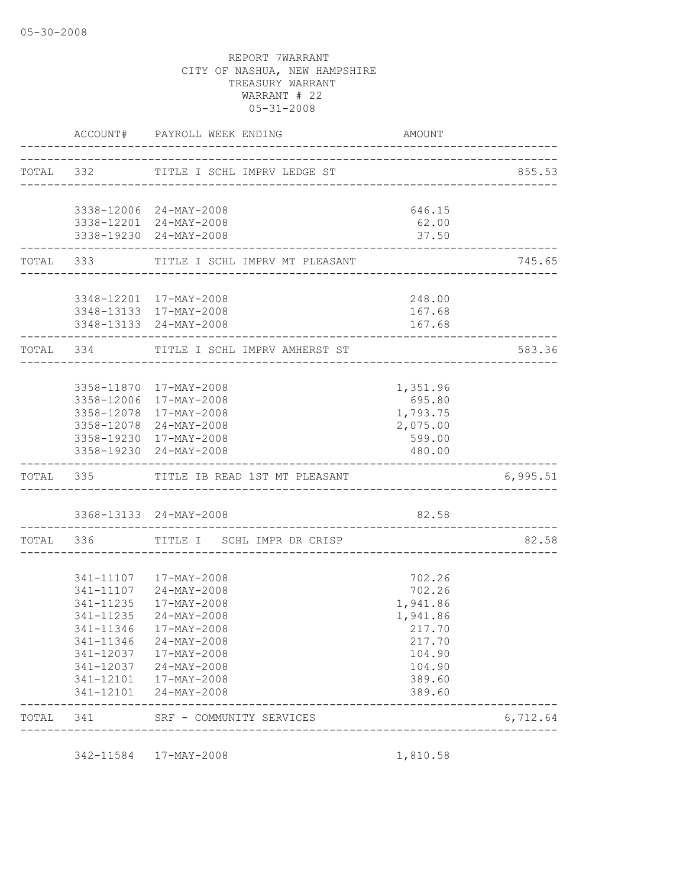|           | ACCOUNT# PAYROLL WEEK ENDING                                                | AMOUNT                         |          |
|-----------|-----------------------------------------------------------------------------|--------------------------------|----------|
|           | TOTAL 332 TITLE I SCHL IMPRV LEDGE ST                                       | ______________________________ | 855.53   |
|           |                                                                             |                                |          |
|           | 3338-12006 24-MAY-2008                                                      | 646.15                         |          |
|           | 3338-12201 24-MAY-2008                                                      | 62.00                          |          |
|           | 3338-19230 24-MAY-2008                                                      | 37.50                          |          |
|           | TOTAL 333 TITLE I SCHL IMPRV MT PLEASANT                                    |                                | 745.65   |
|           | 3348-12201 17-MAY-2008                                                      | 248.00                         |          |
|           | 3348-13133 17-MAY-2008                                                      | 167.68                         |          |
|           | 3348-13133 24-MAY-2008                                                      | 167.68                         |          |
|           | TOTAL 334 TITLE I SCHL IMPRV AMHERST ST                                     |                                | 583.36   |
|           |                                                                             |                                |          |
|           | 3358-11870 17-MAY-2008                                                      | 1,351.96                       |          |
|           | 3358-12006 17-MAY-2008                                                      | 695.80                         |          |
|           | 3358-12078 17-MAY-2008                                                      | 1,793.75                       |          |
|           | 3358-12078 24-MAY-2008                                                      | 2,075.00                       |          |
|           | 3358-19230 17-MAY-2008                                                      | 599.00                         |          |
|           | 3358-19230 24-MAY-2008                                                      | 480.00                         |          |
|           | TOTAL 335 TITLE IB READ 1ST MT PLEASANT<br>-------------------------------- |                                | 6,995.51 |
|           | 3368-13133 24-MAY-2008                                                      | 82.58                          |          |
|           |                                                                             |                                |          |
|           | TOTAL 336 TITLE I SCHL IMPR DR CRISP                                        |                                | 82.58    |
|           | 341-11107 17-MAY-2008                                                       | 702.26                         |          |
|           | 341-11107 24-MAY-2008                                                       | 702.26                         |          |
|           | 341-11235 17-MAY-2008                                                       | 1,941.86                       |          |
| 341-11235 | $24 - \text{MAX} - 2008$                                                    | 1,941.86                       |          |
|           | 341-11346 17-MAY-2008                                                       | 217.70                         |          |
|           | 341-11346 24-MAY-2008                                                       | 217.70                         |          |
|           | 341-12037 17-MAY-2008                                                       | 104.90                         |          |
|           | 341-12037 24-MAY-2008                                                       | 104.90                         |          |
|           | 341-12101 17-MAY-2008<br>341-12101 24-MAY-2008                              | 389.60<br>389.60               |          |
|           |                                                                             |                                |          |

342-11584 17-MAY-2008 1,810.58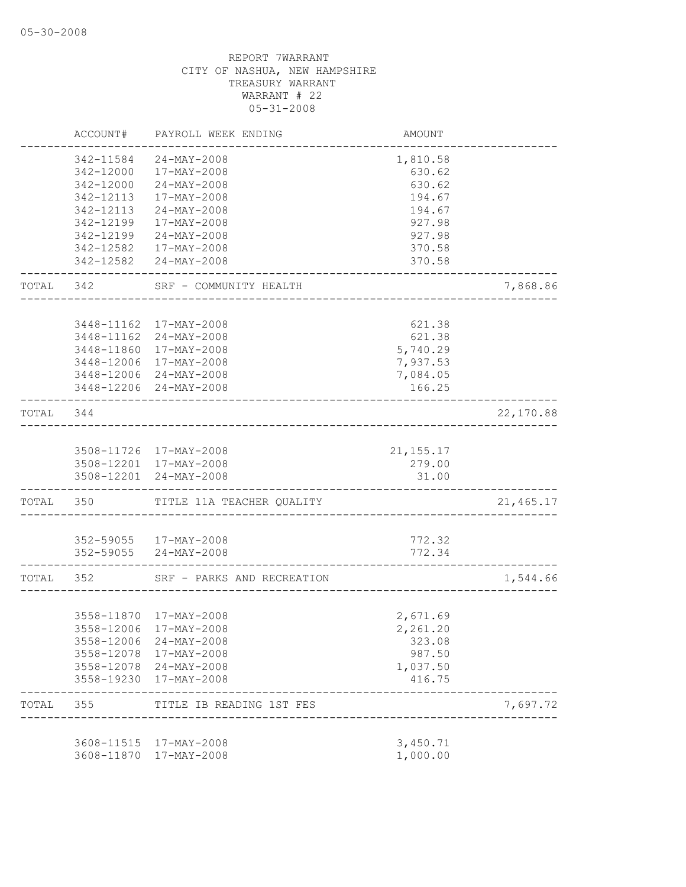|           | ACCOUNT#   | PAYROLL WEEK ENDING        | AMOUNT           |           |
|-----------|------------|----------------------------|------------------|-----------|
|           | 342-11584  | $24 - MAX - 2008$          | 1,810.58         |           |
|           | 342-12000  | 17-MAY-2008                | 630.62           |           |
|           | 342-12000  | 24-MAY-2008                | 630.62           |           |
|           | 342-12113  | 17-MAY-2008                | 194.67           |           |
|           | 342-12113  | $24 - MAX - 2008$          | 194.67           |           |
|           | 342-12199  | 17-MAY-2008                | 927.98           |           |
|           | 342-12199  | 24-MAY-2008                | 927.98           |           |
|           | 342-12582  | 17-MAY-2008                | 370.58           |           |
|           |            | 342-12582 24-MAY-2008      | 370.58           |           |
| TOTAL 342 |            | SRF - COMMUNITY HEALTH     |                  | 7,868.86  |
|           |            | 3448-11162 17-MAY-2008     | 621.38           |           |
|           |            | 3448-11162 24-MAY-2008     | 621.38           |           |
|           |            | 3448-11860 17-MAY-2008     | 5,740.29         |           |
|           |            | 3448-12006 17-MAY-2008     | 7,937.53         |           |
|           |            | 3448-12006 24-MAY-2008     | 7,084.05         |           |
|           |            | 3448-12206 24-MAY-2008     | 166.25           |           |
| TOTAL     | 344        |                            |                  | 22,170.88 |
|           |            |                            |                  |           |
|           |            | 3508-11726 17-MAY-2008     | 21, 155. 17      |           |
|           |            | 3508-12201 17-MAY-2008     | 279.00           |           |
|           |            | 3508-12201 24-MAY-2008     | 31.00            |           |
| TOTAL 350 |            | TITLE 11A TEACHER QUALITY  |                  | 21,465.17 |
|           |            |                            |                  |           |
|           |            | 352-59055 17-MAY-2008      | 772.32<br>772.34 |           |
|           |            | 352-59055 24-MAY-2008      |                  |           |
| TOTAL 352 |            | SRF - PARKS AND RECREATION |                  | 1,544.66  |
|           |            |                            |                  |           |
|           |            | 3558-11870 17-MAY-2008     | 2,671.69         |           |
|           |            | 3558-12006 17-MAY-2008     | 2,261.20         |           |
|           | 3558-12006 | 24-MAY-2008                | 323.08           |           |
|           | 3558-12078 | 17-MAY-2008                | 987.50           |           |
|           |            | 3558-12078 24-MAY-2008     | 1,037.50         |           |
|           | 3558-19230 | 17-MAY-2008                | 416.75           |           |
| TOTAL     | 355        | TITLE IB READING 1ST FES   |                  | 7,697.72  |
|           |            | 3608-11515 17-MAY-2008     | 3,450.71         |           |
|           | 3608-11870 | 17-MAY-2008                | 1,000.00         |           |
|           |            |                            |                  |           |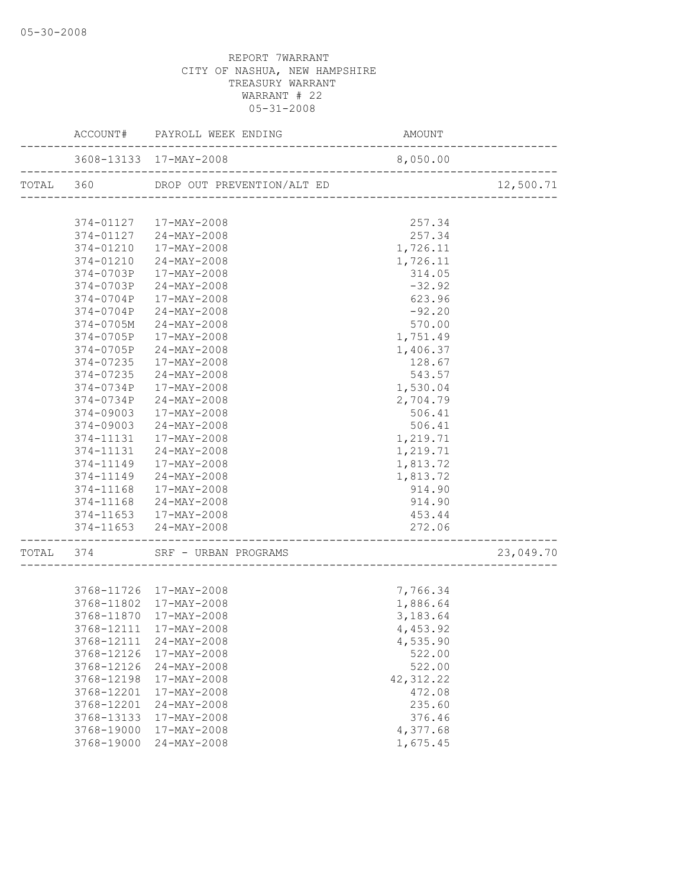|                   | ACCOUNT# PAYROLL WEEK ENDING         | AMOUNT                                   |           |
|-------------------|--------------------------------------|------------------------------------------|-----------|
|                   |                                      |                                          |           |
|                   | TOTAL 360 DROP OUT PREVENTION/ALT ED | ______________________________________   | 12,500.71 |
|                   |                                      |                                          |           |
|                   | 374-01127  17-MAY-2008               | 257.34                                   |           |
|                   | 374-01127 24-MAY-2008                | 257.34                                   |           |
|                   | 374-01210 17-MAY-2008                | 1,726.11                                 |           |
|                   | 374-01210 24-MAY-2008                | 1,726.11                                 |           |
|                   | 374-0703P 17-MAY-2008                | 314.05                                   |           |
|                   | 374-0703P 24-MAY-2008                | $-32.92$                                 |           |
| 374-0704P         | 17-MAY-2008                          | 623.96                                   |           |
| 374-0704P         | $24 - MAY - 2008$                    | $-92.20$                                 |           |
| 374-0705M         | $24 - MAY - 2008$                    | 570.00                                   |           |
| 374-0705P         | 17-MAY-2008                          | 1,751.49                                 |           |
|                   | 374-0705P 24-MAY-2008                | 1,406.37                                 |           |
|                   | 374-07235 17-MAY-2008                | 128.67                                   |           |
| 374-07235         | $24 - \text{MAX} - 2008$             | 543.57                                   |           |
| 374-0734P         | 17-MAY-2008                          | 1,530.04                                 |           |
| 374-0734P         | 24-MAY-2008                          | 2,704.79                                 |           |
| 374-09003         | 17-MAY-2008                          | 506.41                                   |           |
| 374-09003         | 24-MAY-2008                          | 506.41                                   |           |
| 374-11131         | 17-MAY-2008                          | 1,219.71                                 |           |
|                   | 374-11131 24-MAY-2008                | 1,219.71                                 |           |
| 374-11149         | 17-MAY-2008                          | 1,813.72                                 |           |
|                   | 374-11149 24-MAY-2008                | 1,813.72                                 |           |
|                   | 374-11168 17-MAY-2008                | 914.90                                   |           |
|                   | 374-11168 24-MAY-2008                | 914.90                                   |           |
|                   | 374-11653 17-MAY-2008                | 453.44                                   |           |
| ----------------- | 374-11653 24-MAY-2008                | 272.06<br>_______________________        |           |
|                   | TOTAL 374 SRF - URBAN PROGRAMS       | ،<br>----------------------------------- | 23,049.70 |
|                   |                                      |                                          |           |
|                   | 3768-11726 17-MAY-2008               | 7,766.34                                 |           |
|                   | 3768-11802 17-MAY-2008               | 1,886.64                                 |           |
|                   | 3768-11870 17-MAY-2008               | 3,183.64                                 |           |
|                   | 3768-12111 17-MAY-2008               | 4,453.92                                 |           |
| 3768-12111        | 24-MAY-2008                          | 4,535.90                                 |           |
| 3768-12126        | 17-MAY-2008                          | 522.00                                   |           |
| 3768-12126        | 24-MAY-2008                          | 522.00                                   |           |
| 3768-12198        | 17-MAY-2008                          | 42, 312.22                               |           |
| 3768-12201        | 17-MAY-2008                          | 472.08                                   |           |
| 3768-12201        | $24 - MAY - 2008$                    | 235.60                                   |           |
| 3768-13133        | $17 - MAX - 2008$                    | 376.46                                   |           |
| 3768-19000        | 17-MAY-2008                          | 4,377.68                                 |           |
| 3768-19000        | 24-MAY-2008                          | 1,675.45                                 |           |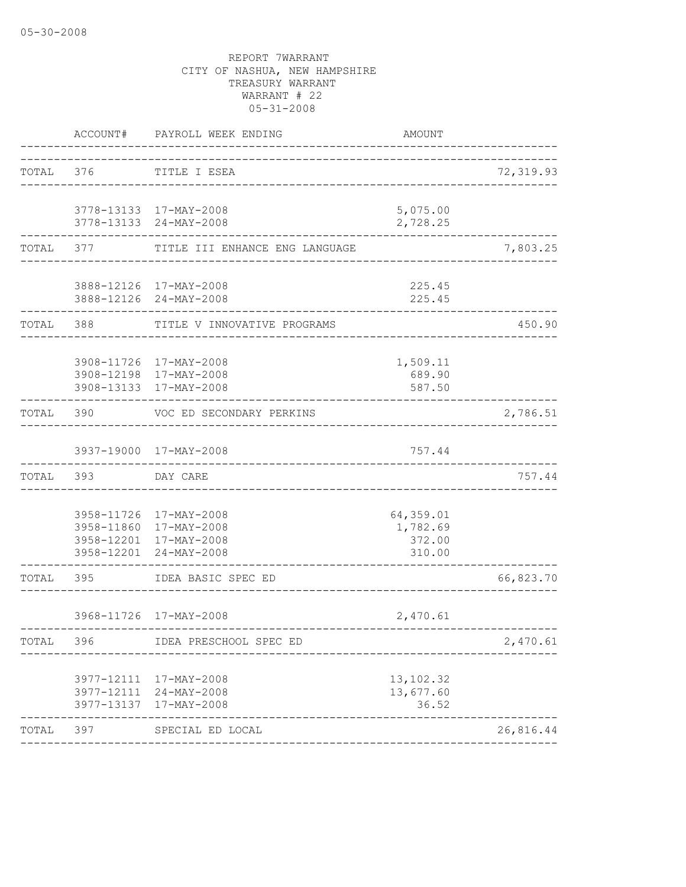|           | ACCOUNT# | PAYROLL WEEK ENDING                                                                                  | AMOUNT                                    |           |
|-----------|----------|------------------------------------------------------------------------------------------------------|-------------------------------------------|-----------|
| TOTAL 376 |          | TITLE I ESEA<br>--------------------------                                                           |                                           | 72,319.93 |
|           |          | 3778-13133 17-MAY-2008<br>3778-13133 24-MAY-2008                                                     | 5,075.00<br>2,728.25                      |           |
| TOTAL     | 377      | TITLE III ENHANCE ENG LANGUAGE                                                                       |                                           | 7,803.25  |
|           |          | 3888-12126 17-MAY-2008<br>3888-12126 24-MAY-2008                                                     | 225.45<br>225.45                          |           |
| TOTAL     | 388      | TITLE V INNOVATIVE PROGRAMS                                                                          |                                           | 450.90    |
|           |          | 3908-11726 17-MAY-2008<br>3908-12198 17-MAY-2008<br>3908-13133 17-MAY-2008                           | 1,509.11<br>689.90<br>587.50              |           |
| TOTAL     | 390      | VOC ED SECONDARY PERKINS<br><u>U U U U U U U U U U U U U U U U</u>                                   |                                           | 2,786.51  |
|           |          | 3937-19000 17-MAY-2008                                                                               | 757.44                                    |           |
| TOTAL     | 393      | DAY CARE                                                                                             |                                           | 757.44    |
|           |          | 3958-11726 17-MAY-2008<br>3958-11860 17-MAY-2008<br>3958-12201 17-MAY-2008<br>3958-12201 24-MAY-2008 | 64,359.01<br>1,782.69<br>372.00<br>310.00 |           |
| TOTAL     | 395      | IDEA BASIC SPEC ED                                                                                   |                                           | 66,823.70 |
|           |          | 3968-11726 17-MAY-2008                                                                               | 2,470.61                                  |           |
| TOTAL     | 396      | IDEA PRESCHOOL SPEC ED                                                                               |                                           | 2,470.61  |
|           |          | 3977-12111 17-MAY-2008<br>3977-12111 24-MAY-2008<br>3977-13137 17-MAY-2008<br>------------           | 13,102.32<br>13,677.60<br>36.52           |           |
| TOTAL 397 |          | SPECIAL ED LOCAL                                                                                     |                                           | 26,816.44 |
|           |          |                                                                                                      |                                           |           |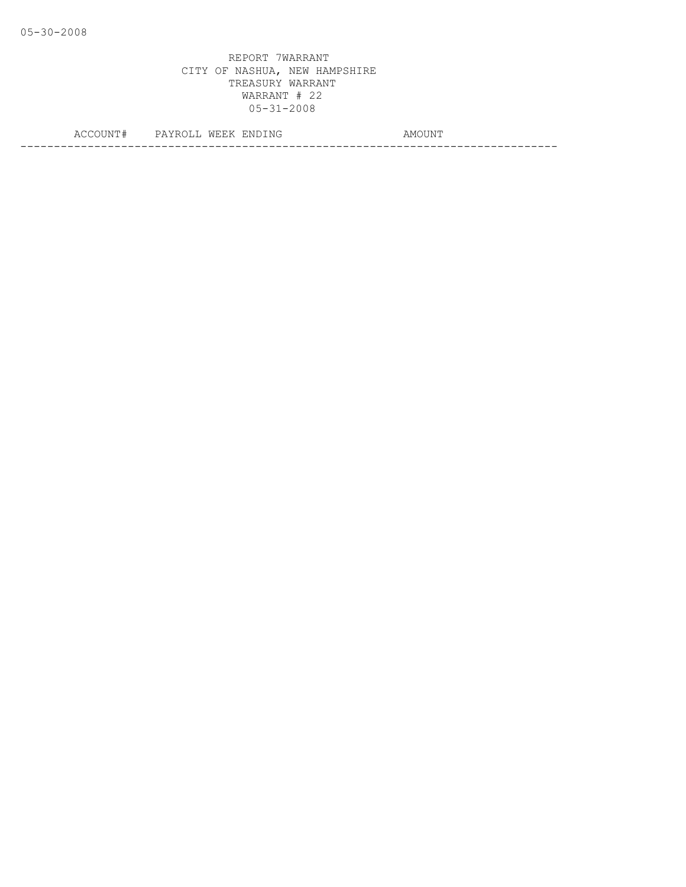| ◡▴◥▴    | ----<br>M H<br>. .<br><i>FAIR</i> ULL | ENDING | ، M ۲<br>HM<br>4 4 4 4 5 6 7 4 7 4 |
|---------|---------------------------------------|--------|------------------------------------|
| $- - -$ |                                       |        |                                    |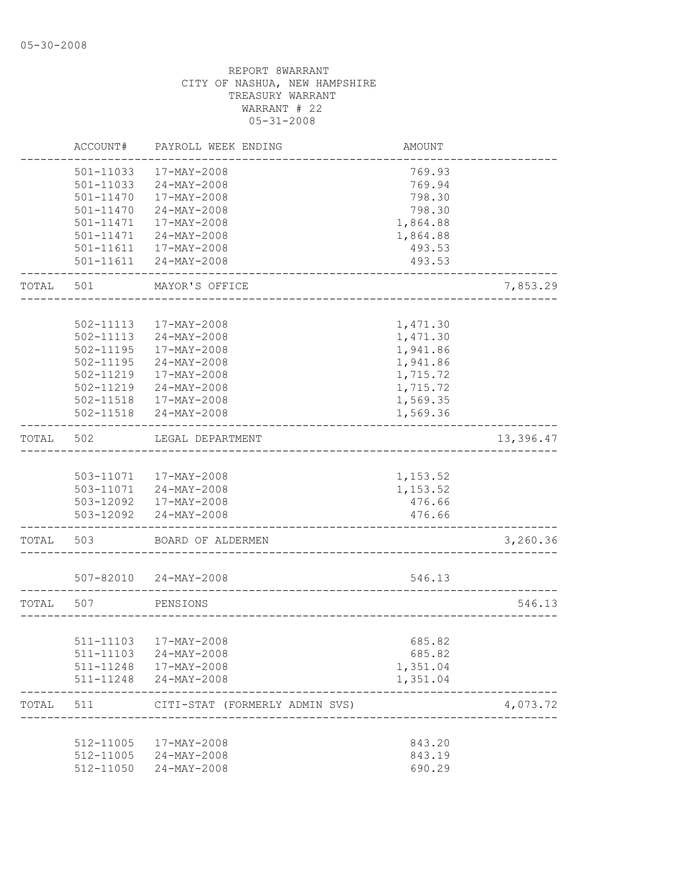|       | ACCOUNT#      | PAYROLL WEEK ENDING            | AMOUNT   |           |
|-------|---------------|--------------------------------|----------|-----------|
|       | 501-11033     | 17-MAY-2008                    | 769.93   |           |
|       | 501-11033     | 24-MAY-2008                    | 769.94   |           |
|       | $501 - 11470$ | 17-MAY-2008                    | 798.30   |           |
|       | $501 - 11470$ | $24 - MAY - 2008$              | 798.30   |           |
|       | 501-11471     | 17-MAY-2008                    | 1,864.88 |           |
|       | 501-11471     | 24-MAY-2008                    | 1,864.88 |           |
|       | 501-11611     | 17-MAY-2008                    | 493.53   |           |
|       |               | 501-11611 24-MAY-2008          | 493.53   |           |
| TOTAL | 501           | MAYOR'S OFFICE                 |          | 7,853.29  |
|       |               |                                |          |           |
|       | 502-11113     | 17-MAY-2008                    | 1,471.30 |           |
|       | 502-11113     | $24 - MAX - 2008$              | 1,471.30 |           |
|       | 502-11195     | 17-MAY-2008                    | 1,941.86 |           |
|       | 502-11195     | $24 - MAX - 2008$              | 1,941.86 |           |
|       | 502-11219     | $17 - MAX - 2008$              | 1,715.72 |           |
|       | 502-11219     | $24 - MAX - 2008$              | 1,715.72 |           |
|       |               | 502-11518  17-MAY-2008         | 1,569.35 |           |
|       |               | 502-11518 24-MAY-2008          | 1,569.36 |           |
| TOTAL | 502           | LEGAL DEPARTMENT               |          | 13,396.47 |
|       |               |                                |          |           |
|       |               | 503-11071  17-MAY-2008         | 1,153.52 |           |
|       |               | 503-11071 24-MAY-2008          | 1,153.52 |           |
|       |               | 503-12092  17-MAY-2008         | 476.66   |           |
|       |               | 503-12092 24-MAY-2008          | 476.66   |           |
| TOTAL | 503           | BOARD OF ALDERMEN              |          | 3,260.36  |
|       |               |                                |          |           |
|       |               | 507-82010 24-MAY-2008          | 546.13   |           |
| TOTAL | 507           | PENSIONS                       |          | 546.13    |
|       |               |                                |          |           |
|       |               | 511-11103 17-MAY-2008          | 685.82   |           |
|       |               | 511-11103 24-MAY-2008          | 685.82   |           |
|       |               | 511-11248  17-MAY-2008         | 1,351.04 |           |
|       |               | 511-11248 24-MAY-2008          | 1,351.04 |           |
| TOTAL | 511           | CITI-STAT (FORMERLY ADMIN SVS) |          | 4,073.72  |
|       |               |                                |          |           |
|       |               | 512-11005 17-MAY-2008          | 843.20   |           |
|       |               | 512-11005 24-MAY-2008          | 843.19   |           |
|       | 512-11050     | $24 - MAX - 2008$              | 690.29   |           |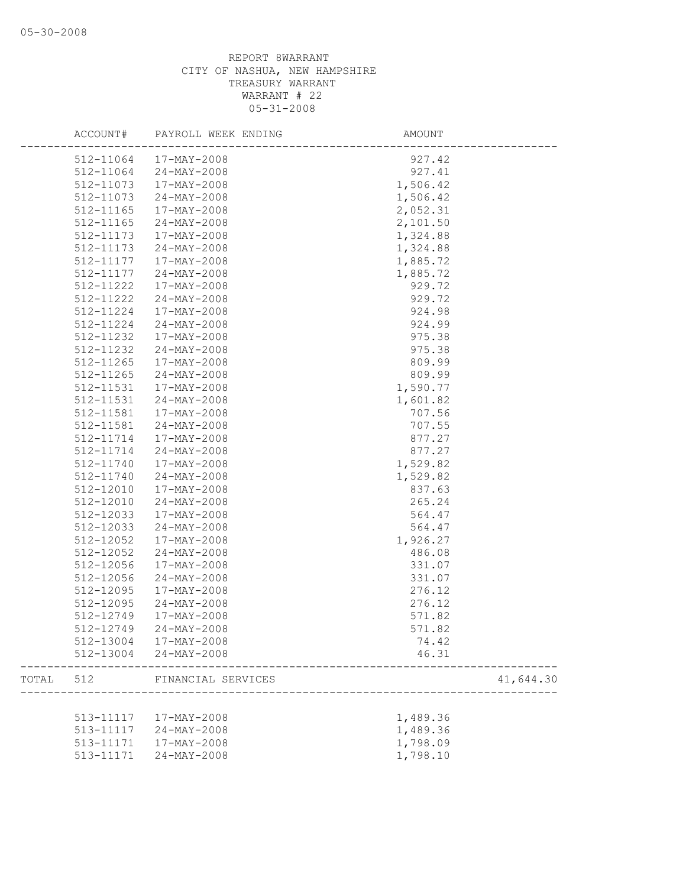|       | ACCOUNT#  | PAYROLL WEEK ENDING   | AMOUNT           |
|-------|-----------|-----------------------|------------------|
|       | 512-11064 | 17-MAY-2008           | 927.42           |
|       | 512-11064 | 24-MAY-2008           | 927.41           |
|       | 512-11073 | 17-MAY-2008           | 1,506.42         |
|       | 512-11073 | $24 - MAX - 2008$     | 1,506.42         |
|       | 512-11165 | 17-MAY-2008           | 2,052.31         |
|       | 512-11165 | 24-MAY-2008           | 2,101.50         |
|       | 512-11173 | 17-MAY-2008           | 1,324.88         |
|       | 512-11173 | $24 - MAX - 2008$     | 1,324.88         |
|       | 512-11177 | 17-MAY-2008           | 1,885.72         |
|       | 512-11177 | 24-MAY-2008           | 1,885.72         |
|       | 512-11222 | 17-MAY-2008           | 929.72           |
|       | 512-11222 | 24-MAY-2008           | 929.72           |
|       | 512-11224 | 17-MAY-2008           | 924.98           |
|       | 512-11224 | 24-MAY-2008           | 924.99           |
|       | 512-11232 | 17-MAY-2008           | 975.38           |
|       | 512-11232 | $24 - MAX - 2008$     | 975.38           |
|       | 512-11265 | 17-MAY-2008           | 809.99           |
|       | 512-11265 | 24-MAY-2008           | 809.99           |
|       | 512-11531 | 17-MAY-2008           | 1,590.77         |
|       | 512-11531 | $24 - MAX - 2008$     | 1,601.82         |
|       | 512-11581 | 17-MAY-2008           | 707.56           |
|       | 512-11581 | 24-MAY-2008           | 707.55           |
|       | 512-11714 | 17-MAY-2008           | 877.27           |
|       | 512-11714 | 24-MAY-2008           | 877.27           |
|       | 512-11740 | 17-MAY-2008           | 1,529.82         |
|       |           |                       |                  |
|       | 512-11740 | $24 - MAX - 2008$     | 1,529.82         |
|       | 512-12010 | 17-MAY-2008           | 837.63<br>265.24 |
|       | 512-12010 | 24-MAY-2008           |                  |
|       | 512-12033 | 17-MAY-2008           | 564.47           |
|       | 512-12033 | $24 - MAX - 2008$     | 564.47           |
|       | 512-12052 | 17-MAY-2008           | 1,926.27         |
|       | 512-12052 | $24 - MAX - 2008$     | 486.08           |
|       | 512-12056 | 17-MAY-2008           | 331.07           |
|       | 512-12056 | $24 - MAX - 2008$     | 331.07           |
|       | 512-12095 | 17-MAY-2008           | 276.12           |
|       | 512-12095 | $24 - MAX - 2008$     | 276.12           |
|       | 512-12749 | 17-MAY-2008           | 571.82           |
|       | 512-12749 | 24-MAY-2008           | 571.82           |
|       |           | 512-13004 17-MAY-2008 | 74.42            |
|       |           | 512-13004 24-MAY-2008 | 46.31            |
| TOTAL | 512       | FINANCIAL SERVICES    | 41,644.30        |
|       |           |                       |                  |
|       | 513-11117 | 17-MAY-2008           | 1,489.36         |
|       | 513-11117 | 24-MAY-2008           | 1,489.36         |
|       | 513-11171 | 17-MAY-2008           | 1,798.09         |
|       | 513-11171 | 24-MAY-2008           | 1,798.10         |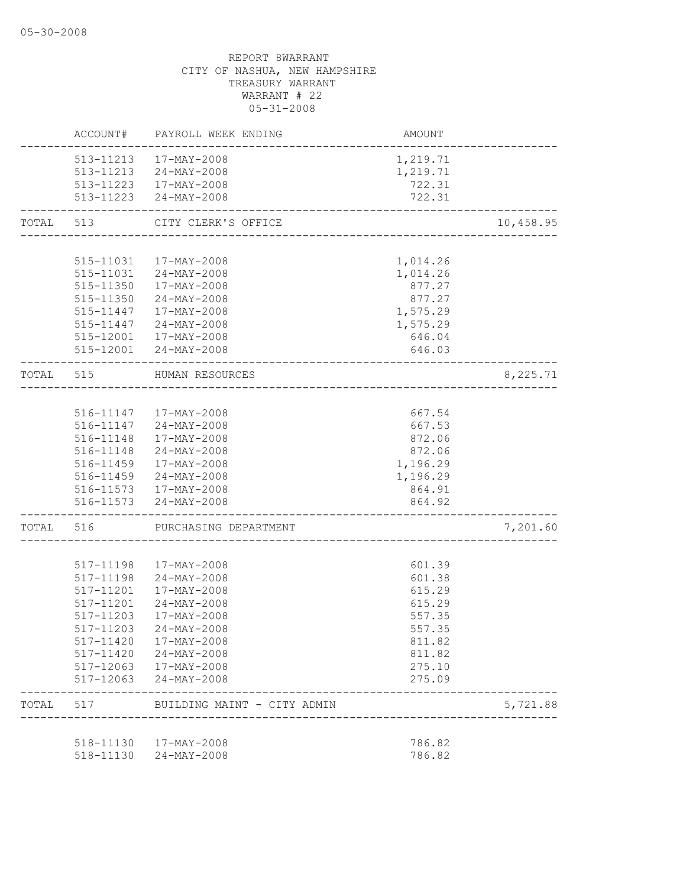|           | ACCOUNT#  | PAYROLL WEEK ENDING                             | AMOUNT                               |           |
|-----------|-----------|-------------------------------------------------|--------------------------------------|-----------|
|           |           | 513-11213  17-MAY-2008                          | 1,219.71                             |           |
|           |           | 513-11213 24-MAY-2008                           | 1,219.71                             |           |
|           |           | 513-11223 17-MAY-2008<br>513-11223 24-MAY-2008  | 722.31<br>722.31                     |           |
|           |           |                                                 |                                      |           |
| TOTAL     | 513       | CITY CLERK'S OFFICE<br>_______________________  |                                      | 10,458.95 |
|           |           | 515-11031  17-MAY-2008                          | 1,014.26                             |           |
|           |           | 515-11031 24-MAY-2008                           | 1,014.26                             |           |
|           |           | 515-11350  17-MAY-2008                          | 877.27                               |           |
|           |           | 515-11350 24-MAY-2008                           | 877.27                               |           |
|           |           | 515-11447   17-MAY-2008                         | 1,575.29                             |           |
|           | 515-11447 | 24-MAY-2008                                     | 1,575.29                             |           |
|           | 515-12001 | 17-MAY-2008                                     | 646.04                               |           |
|           |           | 515-12001 24-MAY-2008                           | 646.03                               |           |
| TOTAL     | 515       | HUMAN RESOURCES                                 | ------------------------------------ | 8,225.71  |
|           |           |                                                 |                                      |           |
|           |           | 516-11147  17-MAY-2008                          | 667.54                               |           |
|           |           | 516-11147 24-MAY-2008                           | 667.53                               |           |
|           | 516-11148 | 17-MAY-2008                                     | 872.06                               |           |
|           |           | 516-11148 24-MAY-2008                           | 872.06                               |           |
|           | 516-11459 | 17-MAY-2008                                     | 1,196.29                             |           |
|           |           | 516-11459 24-MAY-2008                           | 1,196.29                             |           |
|           |           | 516-11573  17-MAY-2008<br>516-11573 24-MAY-2008 | 864.91<br>864.92                     |           |
| TOTAL 516 |           | PURCHASING DEPARTMENT                           | ______________                       | 7,201.60  |
|           |           |                                                 |                                      |           |
|           | 517-11198 | 17-MAY-2008                                     | 601.39                               |           |
|           | 517-11198 | 24-MAY-2008                                     | 601.38                               |           |
|           | 517-11201 | 17-MAY-2008                                     | 615.29                               |           |
|           | 517-11201 | 24-MAY-2008                                     | 615.29                               |           |
|           | 517-11203 | $17 - MAX - 2008$                               | 557.35                               |           |
|           |           | 517-11203 24-MAY-2008                           | 557.35                               |           |
|           | 517-11420 | 17-MAY-2008                                     | 811.82                               |           |
|           | 517-11420 | 24-MAY-2008                                     | 811.82                               |           |
|           | 517-12063 | 17-MAY-2008                                     | 275.10                               |           |
|           | 517-12063 | 24-MAY-2008                                     | 275.09                               |           |
| TOTAL     | 517       | BUILDING MAINT - CITY ADMIN                     |                                      | 5,721.88  |
|           | 518-11130 | 17-MAY-2008                                     | 786.82                               |           |
|           |           | 518-11130 24-MAY-2008                           | 786.82                               |           |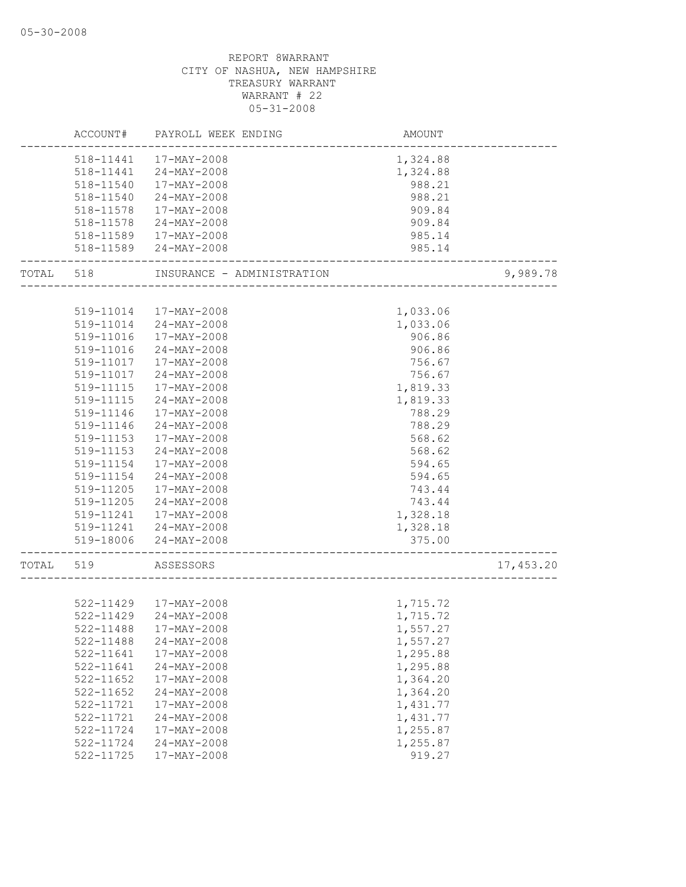|           | ACCOUNT#      | PAYROLL WEEK ENDING        | AMOUNT   |           |
|-----------|---------------|----------------------------|----------|-----------|
|           |               | 518-11441  17-MAY-2008     | 1,324.88 |           |
|           | 518-11441     | $24 - \text{MAY} - 2008$   | 1,324.88 |           |
|           | 518-11540     | 17-MAY-2008                | 988.21   |           |
|           | 518-11540     | 24-MAY-2008                | 988.21   |           |
|           | 518-11578     | 17-MAY-2008                |          |           |
|           |               |                            | 909.84   |           |
|           | 518-11578     | 24-MAY-2008                | 909.84   |           |
|           | 518-11589     | 17-MAY-2008                | 985.14   |           |
|           | 518-11589     | 24-MAY-2008                | 985.14   |           |
| TOTAL 518 |               | INSURANCE - ADMINISTRATION |          | 9,989.78  |
|           |               |                            |          |           |
|           | 519-11014     | 17-MAY-2008                | 1,033.06 |           |
|           | 519-11014     | 24-MAY-2008                | 1,033.06 |           |
|           | 519-11016     | 17-MAY-2008                | 906.86   |           |
|           | 519-11016     | 24-MAY-2008                | 906.86   |           |
|           | 519-11017     | 17-MAY-2008                | 756.67   |           |
|           | 519-11017     | 24-MAY-2008                | 756.67   |           |
|           | 519-11115     | 17-MAY-2008                | 1,819.33 |           |
|           | 519-11115     | 24-MAY-2008                | 1,819.33 |           |
|           | 519-11146     | 17-MAY-2008                | 788.29   |           |
|           | 519-11146     | $24 - MAX - 2008$          | 788.29   |           |
|           | 519-11153     | 17-MAY-2008                | 568.62   |           |
|           | 519-11153     | $24 - MAX - 2008$          | 568.62   |           |
|           | 519-11154     | 17-MAY-2008                | 594.65   |           |
|           | 519-11154     | 24-MAY-2008                | 594.65   |           |
|           | 519-11205     | 17-MAY-2008                | 743.44   |           |
|           | 519-11205     | 24-MAY-2008                | 743.44   |           |
|           | 519-11241     | 17-MAY-2008                | 1,328.18 |           |
|           |               |                            |          |           |
|           |               | 519-11241 24-MAY-2008      | 1,328.18 |           |
|           |               | 519-18006 24-MAY-2008      | 375.00   |           |
| TOTAL 519 |               | ASSESSORS                  |          | 17,453.20 |
|           |               |                            |          |           |
|           |               | 522-11429 17-MAY-2008      | 1,715.72 |           |
|           | $522 - 11429$ | 24-MAY-2008                | 1,715.72 |           |
|           | 522-11488     | 17-MAY-2008                | 1,557.27 |           |
|           | 522-11488     | 24-MAY-2008                | 1,557.27 |           |
|           | 522-11641     | 17-MAY-2008                | 1,295.88 |           |
|           | 522-11641     | $24 - MAX - 2008$          | 1,295.88 |           |
|           | 522-11652     | 17-MAY-2008                | 1,364.20 |           |
|           | 522-11652     | $24 - MAY - 2008$          | 1,364.20 |           |
|           | 522-11721     | 17-MAY-2008                | 1,431.77 |           |
|           | 522-11721     | $24 - MAX - 2008$          | 1,431.77 |           |
|           | 522-11724     | 17-MAY-2008                | 1,255.87 |           |
|           | 522-11724     | $24 - MAX - 2008$          | 1,255.87 |           |
|           | 522-11725     | $17 - MAX - 2008$          | 919.27   |           |
|           |               |                            |          |           |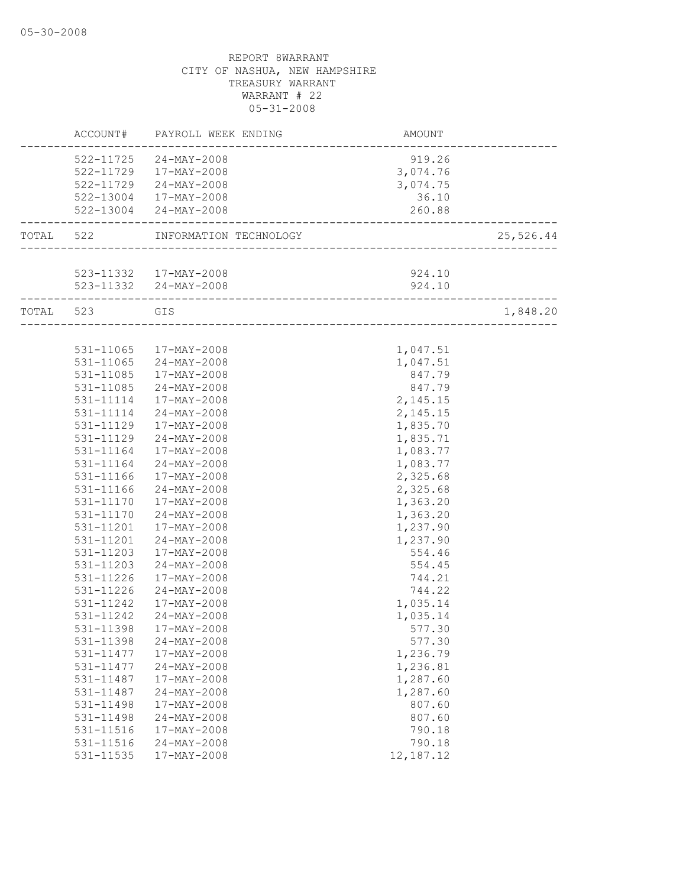|           |                        | ACCOUNT# PAYROLL WEEK ENDING                             | AMOUNT                          |           |
|-----------|------------------------|----------------------------------------------------------|---------------------------------|-----------|
|           |                        | 522-11725 24-MAY-2008                                    | 919.26                          |           |
|           |                        | 522-11729 17-MAY-2008                                    | 3,074.76                        |           |
|           |                        | 522-11729 24-MAY-2008                                    | 3,074.75                        |           |
|           |                        | 522-13004 17-MAY-2008                                    | 36.10                           |           |
|           |                        | 522-13004 24-MAY-2008                                    | 260.88<br>_____________________ |           |
| TOTAL 522 |                        | INFORMATION TECHNOLOGY                                   |                                 | 25,526.44 |
|           |                        |                                                          |                                 |           |
|           |                        | 523-11332 17-MAY-2008                                    | 924.10                          |           |
|           |                        | 523-11332 24-MAY-2008<br>------------------------------- | 924.10                          |           |
| TOTAL 523 |                        | GIS                                                      | __________________________      | 1,848.20  |
|           |                        |                                                          |                                 |           |
|           |                        | 531-11065 17-MAY-2008                                    | 1,047.51                        |           |
|           | 531-11065              | 24-MAY-2008                                              | 1,047.51                        |           |
|           |                        | 531-11085 17-MAY-2008                                    | 847.79                          |           |
|           |                        | 531-11085 24-MAY-2008                                    | 847.79                          |           |
|           |                        | 531-11114  17-MAY-2008                                   | 2,145.15                        |           |
|           |                        | 531-11114 24-MAY-2008                                    | 2,145.15                        |           |
|           | 531-11129              | 17-MAY-2008                                              | 1,835.70                        |           |
|           | 531-11129              | 24-MAY-2008                                              | 1,835.71                        |           |
|           | 531-11164              | 17-MAY-2008                                              | 1,083.77                        |           |
|           | 531-11164              | 24-MAY-2008                                              | 1,083.77                        |           |
|           | 531-11166              | 17-MAY-2008                                              | 2,325.68                        |           |
|           | 531-11166              | 24-MAY-2008                                              | 2,325.68                        |           |
|           |                        | 531-11170  17-MAY-2008                                   | 1,363.20                        |           |
|           | 531-11170              | 24-MAY-2008                                              | 1,363.20                        |           |
|           | 531-11201              | 17-MAY-2008                                              | 1,237.90                        |           |
|           | 531-11201              | 24-MAY-2008                                              | 1,237.90                        |           |
|           | 531-11203              | 17-MAY-2008                                              | 554.46                          |           |
|           | 531-11203              | 24-MAY-2008                                              | 554.45                          |           |
|           | 531-11226              | 17-MAY-2008                                              | 744.21                          |           |
|           | 531-11226              | 24-MAY-2008                                              | 744.22                          |           |
|           | 531-11242              | 17-MAY-2008                                              | 1,035.14                        |           |
|           | 531-11242              | 24-MAY-2008                                              | 1,035.14                        |           |
|           | 531-11398              | 17-MAY-2008                                              | 577.30                          |           |
|           | 531-11398<br>531-11477 | $24 - MAY - 2008$<br>$17 - MAX - 2008$                   | 577.30                          |           |
|           |                        | $24 - MAY - 2008$                                        | 1,236.79                        |           |
|           | 531-11477<br>531-11487 | $17 - MAX - 2008$                                        | 1,236.81<br>1,287.60            |           |
|           | 531-11487              | 24-MAY-2008                                              | 1,287.60                        |           |
|           | 531-11498              | 17-MAY-2008                                              | 807.60                          |           |
|           | 531-11498              | 24-MAY-2008                                              | 807.60                          |           |
|           | 531-11516              | 17-MAY-2008                                              | 790.18                          |           |
|           | 531-11516              | 24-MAY-2008                                              | 790.18                          |           |
|           | 531-11535              | 17-MAY-2008                                              | 12, 187. 12                     |           |
|           |                        |                                                          |                                 |           |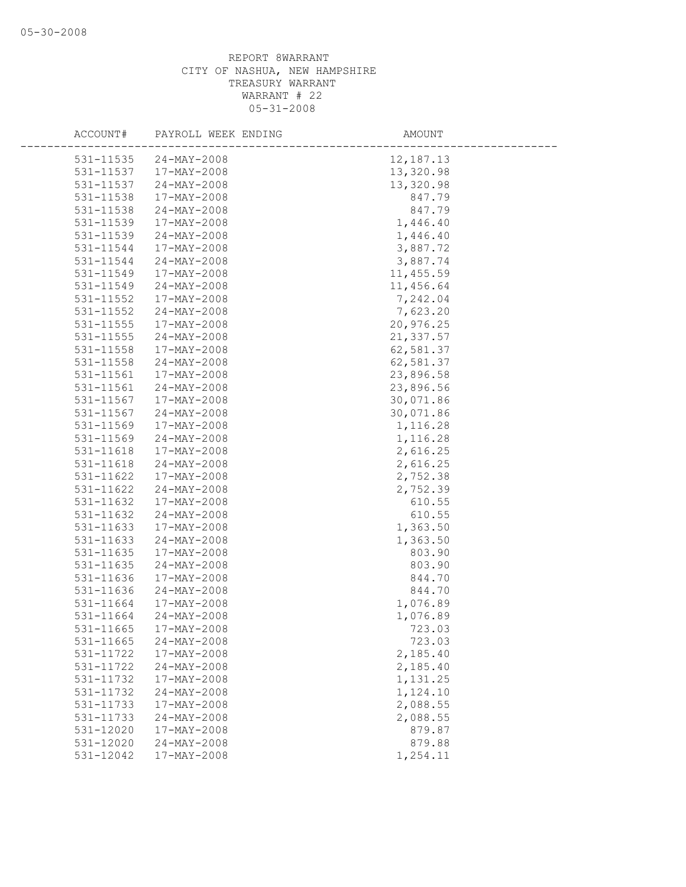| ACCOUNT#  | PAYROLL WEEK ENDING | AMOUNT      |
|-----------|---------------------|-------------|
| 531-11535 | 24-MAY-2008         | 12, 187. 13 |
| 531-11537 | 17-MAY-2008         | 13,320.98   |
| 531-11537 | 24-MAY-2008         | 13,320.98   |
| 531-11538 | 17-MAY-2008         | 847.79      |
| 531-11538 | 24-MAY-2008         | 847.79      |
| 531-11539 | 17-MAY-2008         | 1,446.40    |
| 531-11539 | 24-MAY-2008         | 1,446.40    |
| 531-11544 | 17-MAY-2008         | 3,887.72    |
| 531-11544 | $24 - MAX - 2008$   | 3,887.74    |
| 531-11549 | 17-MAY-2008         | 11, 455.59  |
| 531-11549 | $24 - MAX - 2008$   | 11,456.64   |
| 531-11552 | 17-MAY-2008         | 7,242.04    |
| 531-11552 | $24 - MAX - 2008$   | 7,623.20    |
| 531-11555 | 17-MAY-2008         | 20,976.25   |
| 531-11555 | 24-MAY-2008         | 21,337.57   |
| 531-11558 | 17-MAY-2008         | 62,581.37   |
| 531-11558 | $24 - MAX - 2008$   | 62,581.37   |
| 531-11561 | 17-MAY-2008         | 23,896.58   |
| 531-11561 | $24 - MAY - 2008$   | 23,896.56   |
| 531-11567 | 17-MAY-2008         | 30,071.86   |
| 531-11567 | $24 - MAX - 2008$   | 30,071.86   |
| 531-11569 | 17-MAY-2008         | 1,116.28    |
| 531-11569 | $24 - MAY - 2008$   | 1,116.28    |
| 531-11618 | 17-MAY-2008         | 2,616.25    |
| 531-11618 | 24-MAY-2008         | 2,616.25    |
| 531-11622 | 17-MAY-2008         | 2,752.38    |
| 531-11622 | $24 - MAX - 2008$   | 2,752.39    |
| 531-11632 | 17-MAY-2008         | 610.55      |
| 531-11632 | $24 - MAX - 2008$   | 610.55      |
| 531-11633 | 17-MAY-2008         | 1,363.50    |
| 531-11633 | 24-MAY-2008         | 1,363.50    |
| 531-11635 | 17-MAY-2008         | 803.90      |
| 531-11635 | $24 - MAY - 2008$   | 803.90      |
| 531-11636 | 17-MAY-2008         | 844.70      |
| 531-11636 | $24 - MAX - 2008$   | 844.70      |
| 531-11664 | 17-MAY-2008         | 1,076.89    |
| 531-11664 | $24 - MAX - 2008$   | 1,076.89    |
| 531-11665 | 17-MAY-2008         | 723.03      |
| 531-11665 | $24 - MAY - 2008$   | 723.03      |
| 531-11722 | 17-MAY-2008         | 2,185.40    |
| 531-11722 | $24 - MAX - 2008$   | 2,185.40    |
| 531-11732 | 17-MAY-2008         | 1,131.25    |
| 531-11732 | 24-MAY-2008         | 1,124.10    |
| 531-11733 | $17 - MAX - 2008$   | 2,088.55    |
| 531-11733 | $24 - MAX - 2008$   | 2,088.55    |
| 531-12020 | 17-MAY-2008         | 879.87      |
| 531-12020 | $24 - MAX - 2008$   | 879.88      |
| 531-12042 | $17 - MAX - 2008$   | 1,254.11    |
|           |                     |             |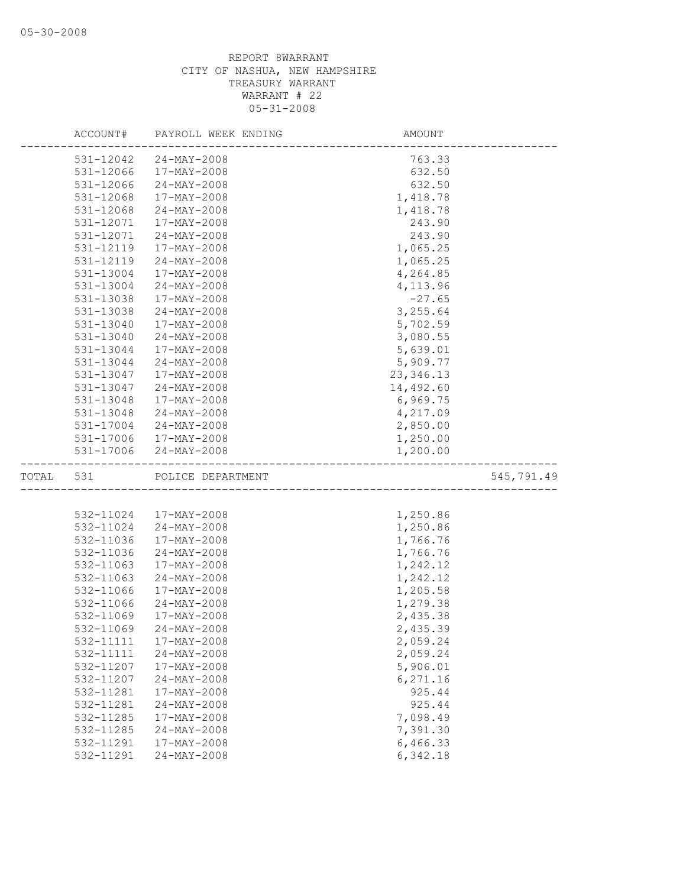|           | ACCOUNT#  | PAYROLL WEEK ENDING   | AMOUNT     |            |
|-----------|-----------|-----------------------|------------|------------|
|           | 531-12042 | 24-MAY-2008           | 763.33     |            |
|           | 531-12066 | 17-MAY-2008           | 632.50     |            |
|           | 531-12066 | $24 - MAX - 2008$     | 632.50     |            |
|           | 531-12068 | 17-MAY-2008           | 1,418.78   |            |
|           | 531-12068 | 24-MAY-2008           | 1,418.78   |            |
|           | 531-12071 | 17-MAY-2008           | 243.90     |            |
|           | 531-12071 | $24 - MAX - 2008$     | 243.90     |            |
|           | 531-12119 | 17-MAY-2008           | 1,065.25   |            |
|           | 531-12119 | $24 - MAX - 2008$     | 1,065.25   |            |
|           | 531-13004 | 17-MAY-2008           | 4,264.85   |            |
|           | 531-13004 | $24 - MAX - 2008$     | 4,113.96   |            |
|           | 531-13038 | 17-MAY-2008           | $-27.65$   |            |
|           | 531-13038 | $24 - MAX - 2008$     | 3,255.64   |            |
|           | 531-13040 | 17-MAY-2008           | 5,702.59   |            |
|           | 531-13040 | $24 - MAX - 2008$     | 3,080.55   |            |
|           | 531-13044 | $17 - MAX - 2008$     | 5,639.01   |            |
|           | 531-13044 | 24-MAY-2008           | 5,909.77   |            |
|           | 531-13047 | 17-MAY-2008           | 23, 346.13 |            |
|           | 531-13047 | $24 - MAX - 2008$     | 14,492.60  |            |
|           | 531-13048 | 17-MAY-2008           | 6,969.75   |            |
|           | 531-13048 | 24-MAY-2008           | 4,217.09   |            |
|           | 531-17004 | 24-MAY-2008           | 2,850.00   |            |
|           |           | 531-17006 17-MAY-2008 | 1,250.00   |            |
|           |           | 531-17006 24-MAY-2008 | 1,200.00   |            |
| TOTAL 531 |           | POLICE DEPARTMENT     |            | 545,791.49 |
|           |           |                       |            |            |
|           | 532-11024 | 17-MAY-2008           | 1,250.86   |            |
|           | 532-11024 | $24 - MAX - 2008$     | 1,250.86   |            |
|           | 532-11036 | 17-MAY-2008           | 1,766.76   |            |
|           | 532-11036 | $24 - MAX - 2008$     | 1,766.76   |            |
|           | 532-11063 | 17-MAY-2008           | 1,242.12   |            |
|           | 532-11063 | $24 - MAX - 2008$     | 1,242.12   |            |
|           | 532-11066 | 17-MAY-2008           | 1,205.58   |            |
|           | 532-11066 | $24 - MAX - 2008$     | 1,279.38   |            |
|           | 532-11069 | 17-MAY-2008           | 2,435.38   |            |
|           | 532-11069 | $24 - MAX - 2008$     | 2,435.39   |            |
|           | 532-11111 | 17-MAY-2008           | 2,059.24   |            |
|           | 532-11111 | 24-MAY-2008           | 2,059.24   |            |
|           | 532-11207 | 17-MAY-2008           | 5,906.01   |            |
|           | 532-11207 | 24-MAY-2008           | 6,271.16   |            |
|           | 532-11281 | 17-MAY-2008           | 925.44     |            |
|           | 532-11281 | 24-MAY-2008           | 925.44     |            |
|           | 532-11285 | 17-MAY-2008           | 7,098.49   |            |
|           | 532-11285 | 24-MAY-2008           | 7,391.30   |            |
|           | 532-11291 | 17-MAY-2008           | 6,466.33   |            |
|           | 532-11291 | 24-MAY-2008           | 6,342.18   |            |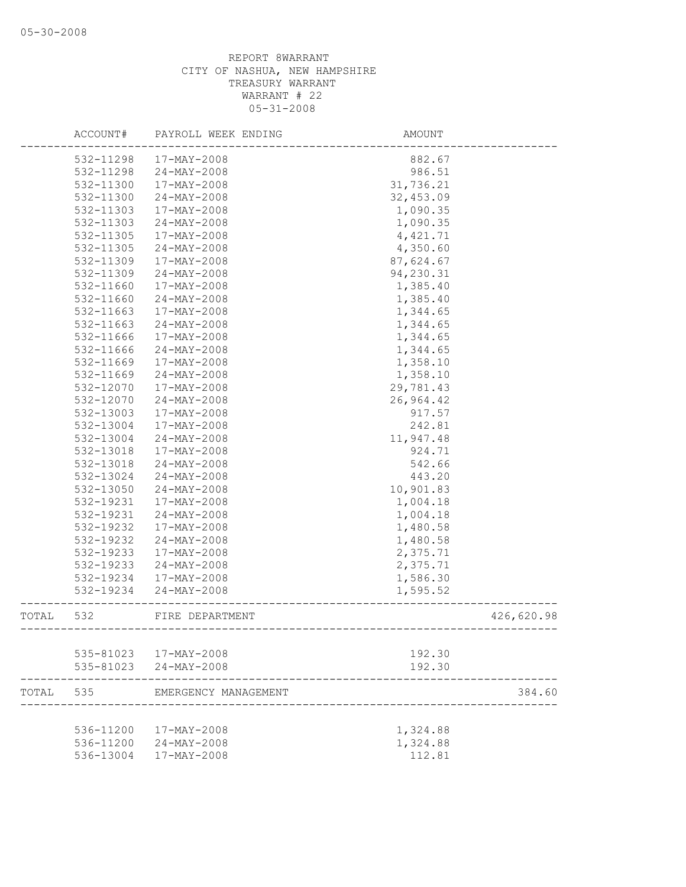|       | ACCOUNT#  | PAYROLL WEEK ENDING               | AMOUNT                                |            |
|-------|-----------|-----------------------------------|---------------------------------------|------------|
|       | 532-11298 | 17-MAY-2008                       | 882.67                                |            |
|       | 532-11298 | $24 - MAX - 2008$                 | 986.51                                |            |
|       | 532-11300 | 17-MAY-2008                       | 31,736.21                             |            |
|       | 532-11300 | 24-MAY-2008                       | 32,453.09                             |            |
|       | 532-11303 | 17-MAY-2008                       | 1,090.35                              |            |
|       | 532-11303 | $24 - MAX - 2008$                 | 1,090.35                              |            |
|       | 532-11305 | 17-MAY-2008                       | 4,421.71                              |            |
|       | 532-11305 | $24 - MAX - 2008$                 | 4,350.60                              |            |
|       | 532-11309 | 17-MAY-2008                       | 87,624.67                             |            |
|       | 532-11309 | $24 - MAY - 2008$                 | 94,230.31                             |            |
|       | 532-11660 | 17-MAY-2008                       | 1,385.40                              |            |
|       | 532-11660 | $24 - MAX - 2008$                 | 1,385.40                              |            |
|       | 532-11663 | 17-MAY-2008                       | 1,344.65                              |            |
|       | 532-11663 | $24 - MAY - 2008$                 | 1,344.65                              |            |
|       | 532-11666 | 17-MAY-2008                       | 1,344.65                              |            |
|       | 532-11666 | $24 - MAX - 2008$                 | 1,344.65                              |            |
|       | 532-11669 | 17-MAY-2008                       | 1,358.10                              |            |
|       | 532-11669 | $24 - MAX - 2008$                 | 1,358.10                              |            |
|       | 532-12070 | 17-MAY-2008                       | 29,781.43                             |            |
|       | 532-12070 | $24 - MAX - 2008$                 | 26,964.42                             |            |
|       | 532-13003 | 17-MAY-2008                       | 917.57                                |            |
|       | 532-13004 | 17-MAY-2008                       | 242.81                                |            |
|       | 532-13004 | $24 - MAY - 2008$                 | 11,947.48                             |            |
|       | 532-13018 | 17-MAY-2008                       | 924.71                                |            |
|       | 532-13018 | $24 - MAX - 2008$                 | 542.66                                |            |
|       | 532-13024 | $24 - MAX - 2008$                 | 443.20                                |            |
|       | 532-13050 | $24 - MAX - 2008$                 | 10,901.83                             |            |
|       | 532-19231 | 17-MAY-2008                       | 1,004.18                              |            |
|       | 532-19231 | $24 - MAX - 2008$                 | 1,004.18                              |            |
|       | 532-19232 | 17-MAY-2008                       | 1,480.58                              |            |
|       | 532-19232 | $24 - MAX - 2008$                 | 1,480.58                              |            |
|       | 532-19233 | 17-MAY-2008                       | 2,375.71                              |            |
|       | 532-19233 | 24-MAY-2008                       | 2,375.71                              |            |
|       | 532-19234 | 17-MAY-2008                       | 1,586.30                              |            |
|       | 532-19234 |                                   |                                       |            |
|       |           | 24-MAY-2008                       | 1,595.52                              |            |
| TOTAL | 532       | FIRE DEPARTMENT<br>-------------- | ------------------------------------- | 426,620.98 |
|       |           | 535-81023  17-MAY-2008            | 192.30                                |            |
|       | 535-81023 | 24-MAY-2008                       | 192.30                                |            |
|       |           |                                   |                                       |            |
| TOTAL | 535       | EMERGENCY MANAGEMENT              |                                       | 384.60     |
|       | 536-11200 | 17-MAY-2008                       | 1,324.88                              |            |
|       | 536-11200 | 24-MAY-2008                       | 1,324.88                              |            |
|       | 536-13004 | 17-MAY-2008                       | 112.81                                |            |
|       |           |                                   |                                       |            |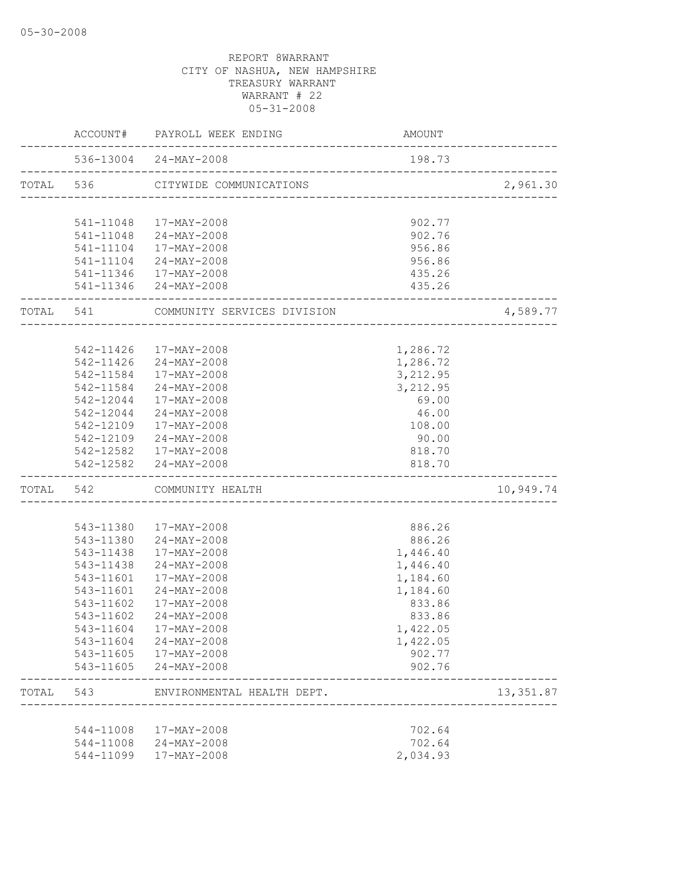|  | ACCOUNT#  | PAYROLL WEEK ENDING                                            | AMOUNT                              |            |
|--|-----------|----------------------------------------------------------------|-------------------------------------|------------|
|  |           | 536-13004 24-MAY-2008<br>___________________________________   | 198.73                              |            |
|  |           | TOTAL 536 CITYWIDE COMMUNICATIONS                              | ___________________________________ | 2,961.30   |
|  |           |                                                                |                                     |            |
|  |           | 541-11048  17-MAY-2008                                         | 902.77                              |            |
|  |           | 541-11048 24-MAY-2008                                          | 902.76                              |            |
|  |           | 541-11104 17-MAY-2008                                          | 956.86                              |            |
|  |           | 541-11104 24-MAY-2008                                          | 956.86                              |            |
|  |           | 541-11346 17-MAY-2008                                          | 435.26                              |            |
|  |           | 541-11346 24-MAY-2008                                          | 435.26<br>------------------------- |            |
|  |           | TOTAL 541 COMMUNITY SERVICES DIVISION                          |                                     | 4,589.77   |
|  |           |                                                                |                                     |            |
|  |           | 542-11426 17-MAY-2008                                          | 1,286.72                            |            |
|  |           | 542-11426 24-MAY-2008                                          | 1,286.72                            |            |
|  | 542-11584 | 17-MAY-2008                                                    | 3,212.95                            |            |
|  |           | 542-11584 24-MAY-2008                                          | 3,212.95                            |            |
|  |           | 542-12044 17-MAY-2008                                          | 69.00                               |            |
|  |           | 542-12044 24-MAY-2008                                          | 46.00                               |            |
|  |           | 542-12109 17-MAY-2008                                          | 108.00                              |            |
|  |           | 542-12109 24-MAY-2008                                          | 90.00                               |            |
|  |           | 542-12582 17-MAY-2008                                          | 818.70                              |            |
|  |           | 542-12582 24-MAY-2008                                          | 818.70                              |            |
|  |           | TOTAL 542 COMMUNITY HEALTH<br>________________________________ |                                     | 10,949.74  |
|  |           |                                                                |                                     |            |
|  |           | 543-11380 17-MAY-2008                                          | 886.26                              |            |
|  |           | 543-11380 24-MAY-2008                                          | 886.26                              |            |
|  |           | 543-11438 17-MAY-2008                                          | 1,446.40                            |            |
|  | 543-11438 | 24-MAY-2008                                                    | 1,446.40                            |            |
|  | 543-11601 | 17-MAY-2008                                                    | 1,184.60                            |            |
|  | 543-11601 | 24-MAY-2008                                                    | 1,184.60                            |            |
|  | 543-11602 | 17-MAY-2008                                                    | 833.86                              |            |
|  | 543-11602 | 24-MAY-2008                                                    | 833.86                              |            |
|  |           | 543-11604 17-MAY-2008                                          | 1,422.05                            |            |
|  |           | 543-11604 24-MAY-2008                                          | 1,422.05                            |            |
|  |           | 543-11605 17-MAY-2008                                          | 902.77                              |            |
|  |           | 543-11605 24-MAY-2008                                          | 902.76                              |            |
|  | TOTAL 543 | ENVIRONMENTAL HEALTH DEPT.                                     |                                     | 13, 351.87 |
|  |           |                                                                |                                     |            |
|  |           | 544-11008 17-MAY-2008                                          | 702.64                              |            |
|  |           | 544-11008 24-MAY-2008                                          | 702.64                              |            |
|  |           | 544-11099 17-MAY-2008                                          | 2,034.93                            |            |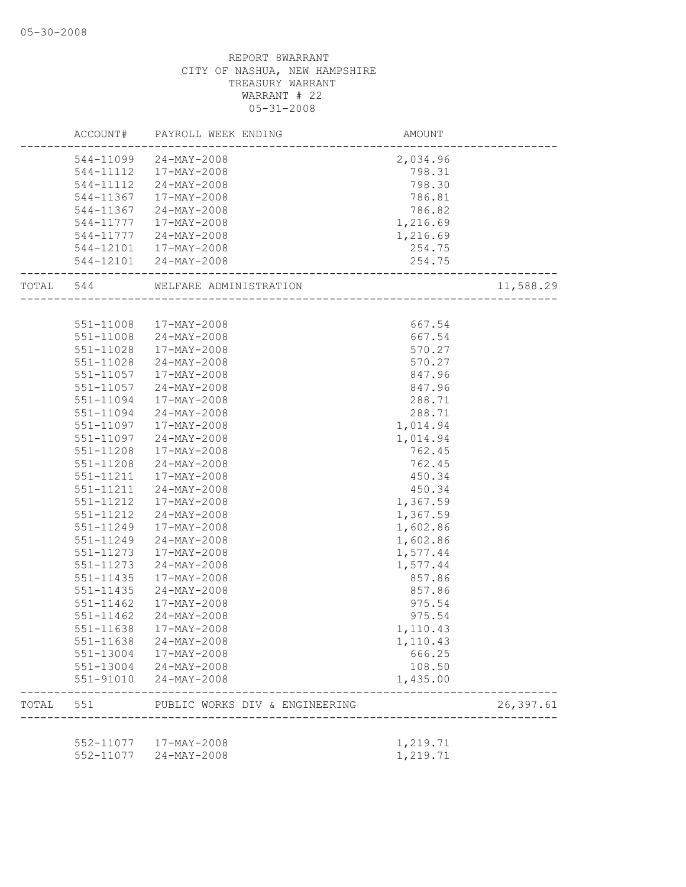|       |               | ACCOUNT# PAYROLL WEEK ENDING                         | AMOUNT   |            |
|-------|---------------|------------------------------------------------------|----------|------------|
|       |               | 544-11099 24-MAY-2008                                | 2,034.96 |            |
|       |               | 544-11112  17-MAY-2008                               | 798.31   |            |
|       | 544-11112     | 24-MAY-2008                                          | 798.30   |            |
|       | 544-11367     | 17-MAY-2008                                          | 786.81   |            |
|       | 544-11367     | 24-MAY-2008                                          | 786.82   |            |
|       | 544-11777     | 17-MAY-2008                                          | 1,216.69 |            |
|       | 544-11777     | 24-MAY-2008                                          | 1,216.69 |            |
|       |               | 544-12101  17-MAY-2008                               | 254.75   |            |
|       |               | 544-12101 24-MAY-2008<br>--------------------------- | 254.75   |            |
|       |               | TOTAL 544 WELFARE ADMINISTRATION                     |          | 11,588.29  |
|       |               |                                                      |          |            |
|       |               | 551-11008 17-MAY-2008                                | 667.54   |            |
|       | 551-11008     | 24-MAY-2008                                          | 667.54   |            |
|       | 551-11028     | 17-MAY-2008                                          | 570.27   |            |
|       | 551-11028     | 24-MAY-2008                                          | 570.27   |            |
|       | 551-11057     | 17-MAY-2008                                          | 847.96   |            |
|       | 551-11057     | 24-MAY-2008                                          | 847.96   |            |
|       | 551-11094     | 17-MAY-2008                                          | 288.71   |            |
|       | 551-11094     | 24-MAY-2008                                          | 288.71   |            |
|       | 551-11097     | 17-MAY-2008                                          | 1,014.94 |            |
|       | 551-11097     | 24-MAY-2008                                          | 1,014.94 |            |
|       | 551-11208     | 17-MAY-2008                                          | 762.45   |            |
|       | 551-11208     | 24-MAY-2008                                          | 762.45   |            |
|       | 551-11211     | 17-MAY-2008                                          | 450.34   |            |
|       | 551-11211     | 24-MAY-2008                                          | 450.34   |            |
|       | 551-11212     | 17-MAY-2008                                          | 1,367.59 |            |
|       | 551-11212     | 24-MAY-2008                                          | 1,367.59 |            |
|       | 551-11249     | 17-MAY-2008                                          | 1,602.86 |            |
|       | 551-11249     | $24 - MAX - 2008$                                    | 1,602.86 |            |
|       | 551-11273     | 17-MAY-2008                                          | 1,577.44 |            |
|       | 551-11273     | 24-MAY-2008                                          | 1,577.44 |            |
|       | $551 - 11435$ | 17-MAY-2008                                          | 857.86   |            |
|       | $551 - 11435$ | 24-MAY-2008                                          | 857.86   |            |
|       | 551-11462     | 17-MAY-2008                                          | 975.54   |            |
|       | 551-11462     | 24-MAY-2008                                          | 975.54   |            |
|       | 551-11638     | 17-MAY-2008                                          | 1,110.43 |            |
|       | 551-11638     | 24-MAY-2008                                          | 1,110.43 |            |
|       |               | 551-13004 17-MAY-2008                                | 666.25   |            |
|       |               | 551-13004 24-MAY-2008                                | 108.50   |            |
|       | 551-91010     | $24 - MAX - 2008$                                    | 1,435.00 |            |
| TOTAL | 551           | PUBLIC WORKS DIV & ENGINEERING                       |          | 26, 397.61 |
|       |               |                                                      |          |            |
|       |               | 552-11077  17-MAY-2008                               | 1,219.71 |            |
|       |               | 552-11077 24-MAY-2008                                | 1,219.71 |            |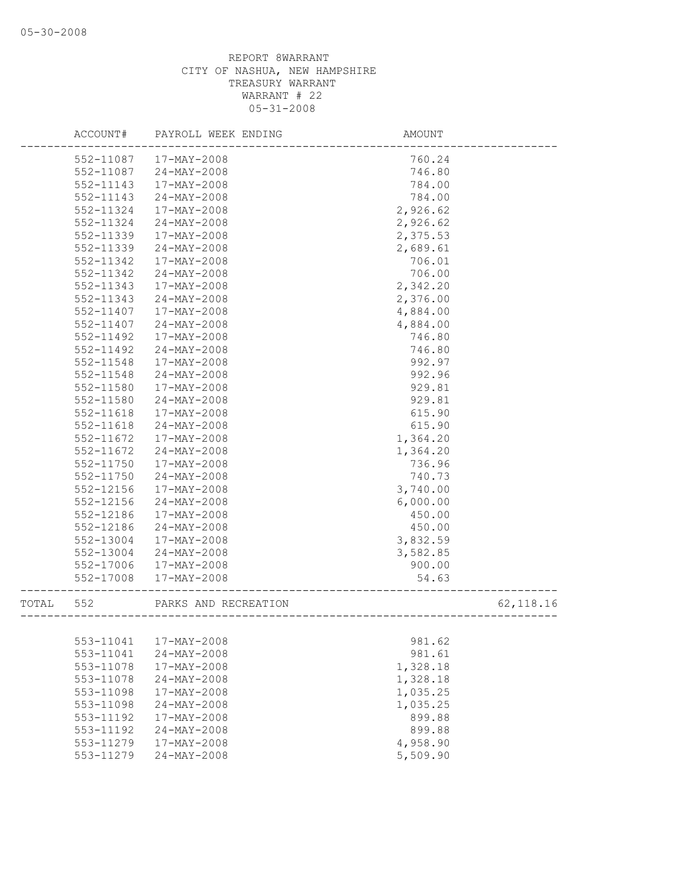|       | ACCOUNT#  | PAYROLL WEEK ENDING  | AMOUNT         |           |
|-------|-----------|----------------------|----------------|-----------|
|       | 552-11087 | 17-MAY-2008          | 760.24         |           |
|       | 552-11087 | $24 - MAX - 2008$    | 746.80         |           |
|       | 552-11143 | 17-MAY-2008          | 784.00         |           |
|       | 552-11143 | $24 - MAX - 2008$    | 784.00         |           |
|       | 552-11324 | 17-MAY-2008          | 2,926.62       |           |
|       | 552-11324 | $24 - MAX - 2008$    | 2,926.62       |           |
|       | 552-11339 | 17-MAY-2008          | 2,375.53       |           |
|       | 552-11339 | $24 - MAX - 2008$    | 2,689.61       |           |
|       | 552-11342 | 17-MAY-2008          | 706.01         |           |
|       | 552-11342 | $24 - MAX - 2008$    | 706.00         |           |
|       | 552-11343 | 17-MAY-2008          | 2,342.20       |           |
|       | 552-11343 | $24 - MAX - 2008$    | 2,376.00       |           |
|       | 552-11407 | 17-MAY-2008          | 4,884.00       |           |
|       | 552-11407 | $24 - MAX - 2008$    | 4,884.00       |           |
|       | 552-11492 | 17-MAY-2008          | 746.80         |           |
|       | 552-11492 | 24-MAY-2008          | 746.80         |           |
|       | 552-11548 | 17-MAY-2008          | 992.97         |           |
|       | 552-11548 | 24-MAY-2008          | 992.96         |           |
|       | 552-11580 | 17-MAY-2008          | 929.81         |           |
|       | 552-11580 | $24 - MAX - 2008$    | 929.81         |           |
|       | 552-11618 | 17-MAY-2008          | 615.90         |           |
|       | 552-11618 | $24 - MAX - 2008$    | 615.90         |           |
|       | 552-11672 | 17-MAY-2008          | 1,364.20       |           |
|       | 552-11672 | $24 - MAX - 2008$    | 1,364.20       |           |
|       | 552-11750 | 17-MAY-2008          | 736.96         |           |
|       | 552-11750 | $24 - MAX - 2008$    | 740.73         |           |
|       | 552-12156 | 17-MAY-2008          | 3,740.00       |           |
|       | 552-12156 | $24 - MAX - 2008$    | 6,000.00       |           |
|       | 552-12186 | 17-MAY-2008          | 450.00         |           |
|       | 552-12186 | $24 - MAX - 2008$    | 450.00         |           |
|       | 552-13004 | 17-MAY-2008          | 3,832.59       |           |
|       | 552-13004 | 24-MAY-2008          | 3,582.85       |           |
|       | 552-17006 | 17-MAY-2008          | 900.00         |           |
|       | 552-17008 | 17-MAY-2008          | 54.63          |           |
| TOTAL | 552       | PARKS AND RECREATION | ______________ | 62,118.16 |
|       |           |                      |                |           |
|       | 553-11041 | 17-MAY-2008          | 981.62         |           |
|       | 553-11041 | 24-MAY-2008          | 981.61         |           |
|       | 553-11078 | 17-MAY-2008          | 1,328.18       |           |
|       | 553-11078 | $24 - MAX - 2008$    | 1,328.18       |           |
|       | 553-11098 | 17-MAY-2008          | 1,035.25       |           |
|       | 553-11098 | $24 - MAY - 2008$    | 1,035.25       |           |
|       | 553-11192 | 17-MAY-2008          | 899.88         |           |
|       | 553-11192 | $24 - MAX - 2008$    | 899.88         |           |
|       | 553-11279 | 17-MAY-2008          | 4,958.90       |           |
|       | 553-11279 | 24-MAY-2008          | 5,509.90       |           |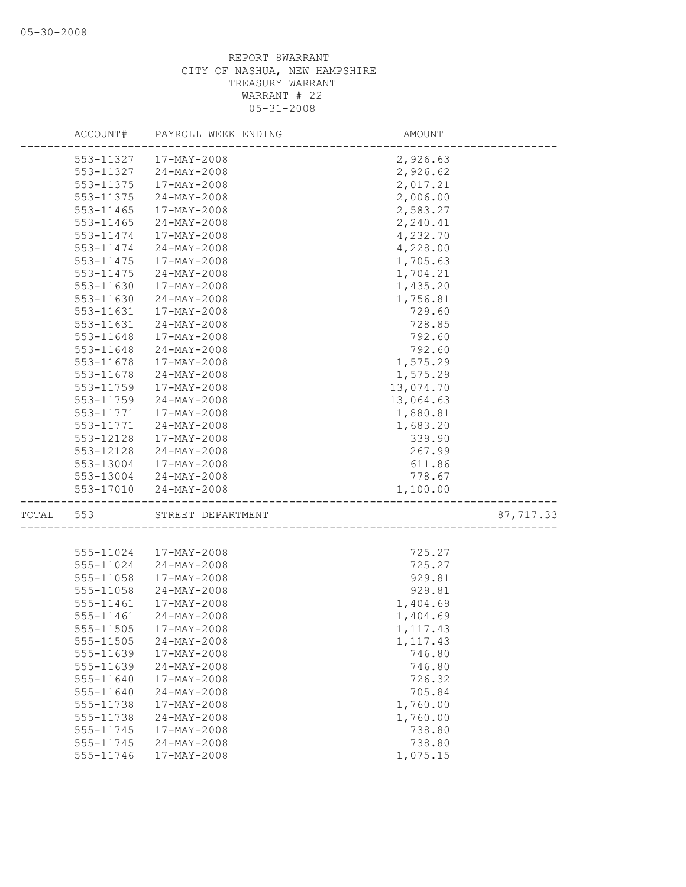|       | ACCOUNT#  | PAYROLL WEEK ENDING                             | AMOUNT    |           |
|-------|-----------|-------------------------------------------------|-----------|-----------|
|       | 553-11327 | 17-MAY-2008                                     | 2,926.63  |           |
|       | 553-11327 | 24-MAY-2008                                     | 2,926.62  |           |
|       | 553-11375 | 17-MAY-2008                                     | 2,017.21  |           |
|       | 553-11375 | 24-MAY-2008                                     | 2,006.00  |           |
|       | 553-11465 | 17-MAY-2008                                     | 2,583.27  |           |
|       | 553-11465 | 24-MAY-2008                                     | 2,240.41  |           |
|       | 553-11474 | 17-MAY-2008                                     | 4,232.70  |           |
|       | 553-11474 | $24 - MAX - 2008$                               | 4,228.00  |           |
|       | 553-11475 | 17-MAY-2008                                     | 1,705.63  |           |
|       | 553-11475 | 24-MAY-2008                                     | 1,704.21  |           |
|       | 553-11630 | 17-MAY-2008                                     | 1,435.20  |           |
|       | 553-11630 | $24 - MAX - 2008$                               | 1,756.81  |           |
|       | 553-11631 | 17-MAY-2008                                     | 729.60    |           |
|       | 553-11631 | 24-MAY-2008                                     | 728.85    |           |
|       | 553-11648 | 17-MAY-2008                                     | 792.60    |           |
|       | 553-11648 | $24 - MAX - 2008$                               | 792.60    |           |
|       | 553-11678 | 17-MAY-2008                                     | 1,575.29  |           |
|       | 553-11678 | 24-MAY-2008                                     | 1,575.29  |           |
|       | 553-11759 | 17-MAY-2008                                     | 13,074.70 |           |
|       | 553-11759 | $24 - MAX - 2008$                               | 13,064.63 |           |
|       | 553-11771 | 17-MAY-2008                                     | 1,880.81  |           |
|       | 553-11771 | 24-MAY-2008                                     | 1,683.20  |           |
|       | 553-12128 | 17-MAY-2008                                     | 339.90    |           |
|       | 553-12128 | 24-MAY-2008                                     | 267.99    |           |
|       | 553-13004 | $17 - \text{MAX} - 2008$                        | 611.86    |           |
|       |           | 553-13004 24-MAY-2008                           | 778.67    |           |
|       | 553-17010 | $24 - MAY - 2008$<br>-------------------------- | 1,100.00  |           |
| TOTAL | 553       | STREET DEPARTMENT                               |           | 87,717.33 |
|       |           |                                                 |           |           |
|       | 555-11024 | 17-MAY-2008                                     | 725.27    |           |
|       | 555-11024 | 24-MAY-2008                                     | 725.27    |           |
|       | 555-11058 | 17-MAY-2008                                     | 929.81    |           |
|       | 555-11058 | $24 - MAX - 2008$                               | 929.81    |           |
|       | 555-11461 | 17-MAY-2008                                     | 1,404.69  |           |
|       | 555-11461 | $24 - MAX - 2008$                               | 1,404.69  |           |
|       |           | 555-11505 17-MAY-2008                           | 1, 117.43 |           |
|       | 555-11505 | $24 - MAY - 2008$                               | 1, 117.43 |           |
|       | 555-11639 | 17-MAY-2008                                     | 746.80    |           |
|       | 555-11639 | 24-MAY-2008                                     | 746.80    |           |
|       | 555-11640 | 17-MAY-2008                                     | 726.32    |           |
|       | 555-11640 | 24-MAY-2008                                     | 705.84    |           |
|       | 555-11738 | $17 - MAX - 2008$                               | 1,760.00  |           |
|       | 555-11738 | 24-MAY-2008                                     | 1,760.00  |           |
|       | 555-11745 | 17-MAY-2008                                     | 738.80    |           |
|       | 555-11745 | 24-MAY-2008                                     | 738.80    |           |
|       | 555-11746 | 17-MAY-2008                                     | 1,075.15  |           |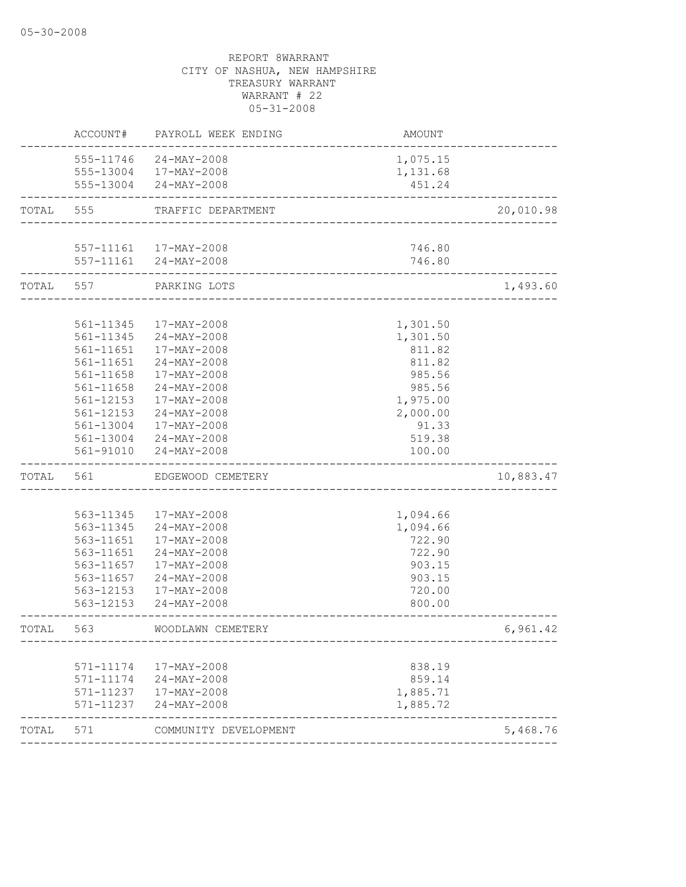|           | ACCOUNT#  | PAYROLL WEEK ENDING                             | <b>AMOUNT</b> |           |
|-----------|-----------|-------------------------------------------------|---------------|-----------|
|           |           | 555-11746 24-MAY-2008                           | 1,075.15      |           |
|           |           | 555-13004 17-MAY-2008                           | 1,131.68      |           |
|           |           | 555-13004 24-MAY-2008                           | 451.24        |           |
| TOTAL     | 555       | TRAFFIC DEPARTMENT                              |               | 20,010.98 |
|           |           |                                                 |               |           |
|           |           | 557-11161  17-MAY-2008<br>557-11161 24-MAY-2008 | 746.80        |           |
|           |           |                                                 | 746.80        |           |
| TOTAL 557 |           | PARKING LOTS                                    |               | 1,493.60  |
|           | 561-11345 | 17-MAY-2008                                     | 1,301.50      |           |
|           | 561-11345 | 24-MAY-2008                                     | 1,301.50      |           |
|           | 561-11651 | 17-MAY-2008                                     | 811.82        |           |
|           | 561-11651 | $24 - MAX - 2008$                               | 811.82        |           |
|           | 561-11658 | 17-MAY-2008                                     | 985.56        |           |
|           | 561-11658 | $24 - MAX - 2008$                               | 985.56        |           |
|           | 561-12153 | 17-MAY-2008                                     | 1,975.00      |           |
|           | 561-12153 | 24-MAY-2008                                     | 2,000.00      |           |
|           | 561-13004 | 17-MAY-2008                                     | 91.33         |           |
|           |           | 561-13004 24-MAY-2008                           | 519.38        |           |
|           | 561-91010 | $24 - MAX - 2008$                               | 100.00        |           |
| TOTAL     | 561       | EDGEWOOD CEMETERY                               |               | 10,883.47 |
|           |           |                                                 |               |           |
|           | 563-11345 | 17-MAY-2008                                     | 1,094.66      |           |
|           | 563-11345 | 24-MAY-2008                                     | 1,094.66      |           |
|           | 563-11651 | 17-MAY-2008                                     | 722.90        |           |
|           | 563-11651 | $24 - MAX - 2008$                               | 722.90        |           |
|           | 563-11657 | 17-MAY-2008                                     | 903.15        |           |
|           | 563-11657 | $24 - MAX - 2008$                               | 903.15        |           |
|           | 563-12153 | 17-MAY-2008                                     | 720.00        |           |
|           | 563-12153 | $24 - MAX - 2008$                               | 800.00        |           |
| TOTAL     | 563       | WOODLAWN CEMETERY                               |               | 6,961.42  |
|           |           |                                                 |               |           |
|           | 571-11174 | 17-MAY-2008                                     | 838.19        |           |
|           | 571-11174 | 24-MAY-2008                                     | 859.14        |           |
|           | 571-11237 | $17 - \text{MAX} - 2008$                        | 1,885.71      |           |
|           | 571-11237 | $24 - MAX - 2008$                               | 1,885.72      |           |
| TOTAL     | 571       | COMMUNITY DEVELOPMENT                           |               | 5,468.76  |
|           |           |                                                 |               |           |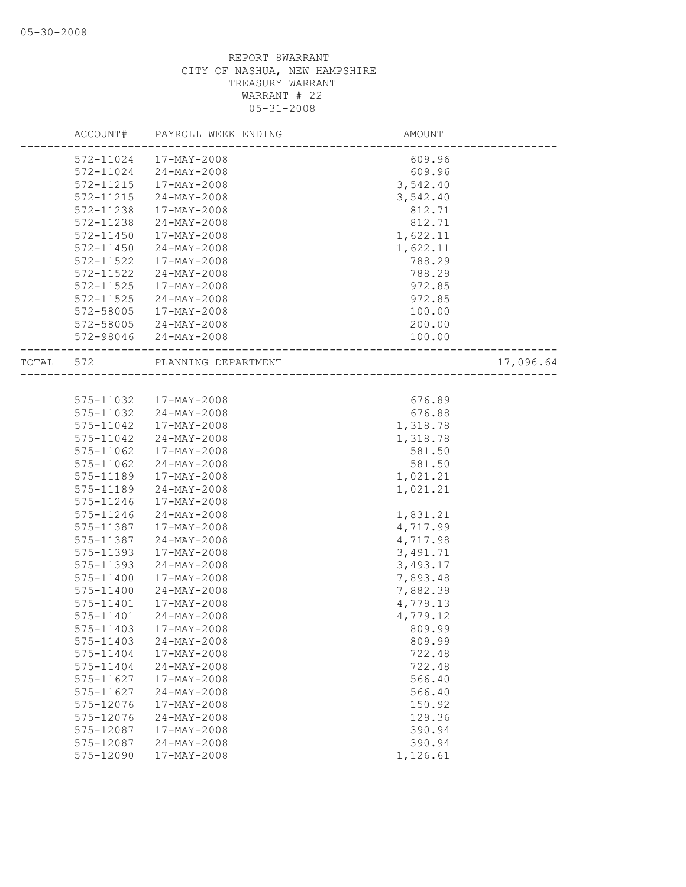|       | ACCOUNT#  | PAYROLL WEEK ENDING | <b>AMOUNT</b>              |           |
|-------|-----------|---------------------|----------------------------|-----------|
|       | 572-11024 | 17-MAY-2008         | 609.96                     |           |
|       | 572-11024 | $24 - MAX - 2008$   | 609.96                     |           |
|       | 572-11215 | 17-MAY-2008         | 3,542.40                   |           |
|       | 572-11215 | $24 - MAX - 2008$   | 3,542.40                   |           |
|       | 572-11238 | 17-MAY-2008         | 812.71                     |           |
|       | 572-11238 | 24-MAY-2008         | 812.71                     |           |
|       | 572-11450 | 17-MAY-2008         | 1,622.11                   |           |
|       | 572-11450 | $24 - MAX - 2008$   | 1,622.11                   |           |
|       | 572-11522 | 17-MAY-2008         | 788.29                     |           |
|       | 572-11522 | $24 - MAX - 2008$   | 788.29                     |           |
|       | 572-11525 | 17-MAY-2008         | 972.85                     |           |
|       | 572-11525 | 24-MAY-2008         | 972.85                     |           |
|       | 572-58005 | 17-MAY-2008         | 100.00                     |           |
|       | 572-58005 | 24-MAY-2008         | 200.00                     |           |
|       |           | $24 - MAX - 2008$   | 100.00                     |           |
|       | 572-98046 |                     |                            |           |
| TOTAL | 572       | PLANNING DEPARTMENT | __________________________ | 17,096.64 |
|       |           |                     |                            |           |
|       | 575-11032 | 17-MAY-2008         | 676.89                     |           |
|       | 575-11032 | $24 - MAX - 2008$   | 676.88                     |           |
|       | 575-11042 | 17-MAY-2008         | 1,318.78                   |           |
|       | 575-11042 | $24 - MAX - 2008$   | 1,318.78                   |           |
|       | 575-11062 | 17-MAY-2008         | 581.50                     |           |
|       | 575-11062 | 24-MAY-2008         | 581.50                     |           |
|       | 575-11189 | 17-MAY-2008         | 1,021.21                   |           |
|       | 575-11189 | $24 - MAX - 2008$   | 1,021.21                   |           |
|       | 575-11246 | 17-MAY-2008         |                            |           |
|       | 575-11246 | $24 - MAY - 2008$   | 1,831.21                   |           |
|       | 575-11387 | 17-MAY-2008         | 4,717.99                   |           |
|       | 575-11387 | $24 - MAX - 2008$   | 4,717.98                   |           |
|       | 575-11393 | 17-MAY-2008         | 3,491.71                   |           |
|       | 575-11393 | $24 - MAX - 2008$   | 3,493.17                   |           |
|       | 575-11400 | 17-MAY-2008         | 7,893.48                   |           |
|       | 575-11400 | $24 - MAX - 2008$   | 7,882.39                   |           |
|       | 575-11401 | 17-MAY-2008         | 4,779.13                   |           |
|       | 575-11401 | $24 - MAX - 2008$   | 4,779.12                   |           |
|       | 575-11403 | 17-MAY-2008         | 809.99                     |           |
|       | 575-11403 | $24 - MAY - 2008$   | 809.99                     |           |
|       | 575-11404 | 17-MAY-2008         | 722.48                     |           |
|       | 575-11404 | $24 - MAX - 2008$   | 722.48                     |           |
|       | 575-11627 | $17 - MAX - 2008$   | 566.40                     |           |
|       | 575-11627 | $24 - MAX - 2008$   | 566.40                     |           |
|       | 575-12076 | $17 - MAX - 2008$   | 150.92                     |           |
|       | 575-12076 | $24 - MAX - 2008$   | 129.36                     |           |
|       | 575-12087 | 17-MAY-2008         | 390.94                     |           |
|       | 575-12087 | $24 - MAX - 2008$   | 390.94                     |           |
|       | 575-12090 | 17-MAY-2008         | 1,126.61                   |           |
|       |           |                     |                            |           |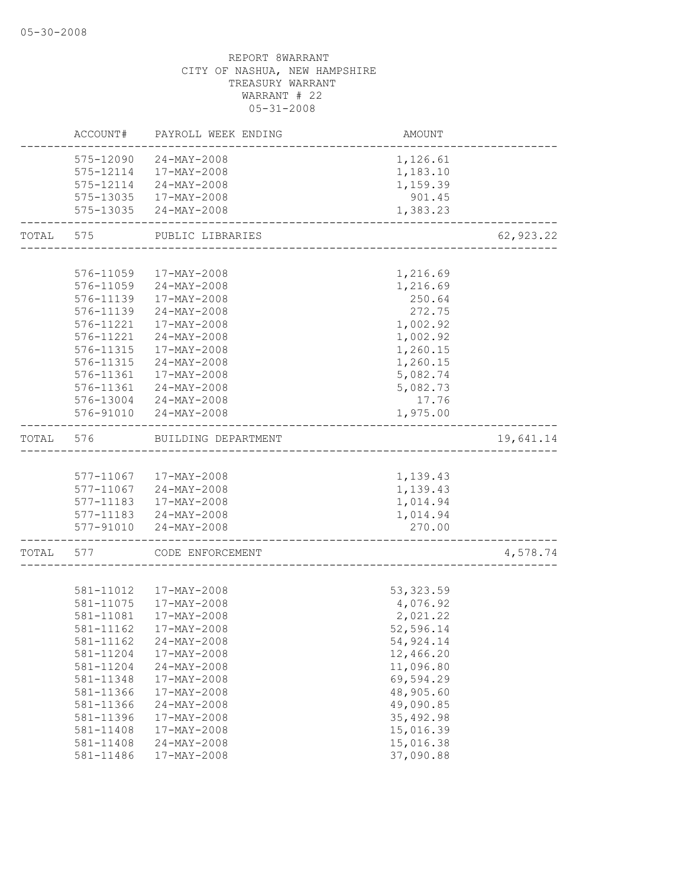|       | ACCOUNT#  | PAYROLL WEEK ENDING    | AMOUNT     |            |
|-------|-----------|------------------------|------------|------------|
|       |           | 575-12090 24-MAY-2008  | 1,126.61   |            |
|       |           | 575-12114 17-MAY-2008  | 1,183.10   |            |
|       |           | 575-12114 24-MAY-2008  | 1,159.39   |            |
|       |           | 575-13035 17-MAY-2008  | 901.45     |            |
|       |           | 575-13035 24-MAY-2008  | 1,383.23   |            |
| TOTAL | 575       | PUBLIC LIBRARIES       |            | 62, 923.22 |
|       |           |                        |            |            |
|       | 576-11059 | 17-MAY-2008            | 1,216.69   |            |
|       |           | 576-11059 24-MAY-2008  | 1,216.69   |            |
|       |           | 576-11139 17-MAY-2008  | 250.64     |            |
|       | 576-11139 | 24-MAY-2008            | 272.75     |            |
|       | 576-11221 | 17-MAY-2008            | 1,002.92   |            |
|       | 576-11221 | $24 - MAX - 2008$      | 1,002.92   |            |
|       | 576-11315 | 17-MAY-2008            | 1,260.15   |            |
|       | 576-11315 | $24 - MAX - 2008$      | 1,260.15   |            |
|       | 576-11361 | $17 - MAX - 2008$      | 5,082.74   |            |
|       | 576-11361 | 24-MAY-2008            | 5,082.73   |            |
|       |           | 576-13004 24-MAY-2008  | 17.76      |            |
|       |           | 576-91010 24-MAY-2008  | 1,975.00   |            |
| TOTAL | 576       | BUILDING DEPARTMENT    |            | 19,641.14  |
|       |           |                        |            |            |
|       |           | 577-11067 17-MAY-2008  | 1,139.43   |            |
|       |           | 577-11067 24-MAY-2008  | 1,139.43   |            |
|       |           | 577-11183 17-MAY-2008  | 1,014.94   |            |
|       |           | 577-11183 24-MAY-2008  | 1,014.94   |            |
|       |           | 577-91010 24-MAY-2008  | 270.00     |            |
| TOTAL | 577       | CODE ENFORCEMENT       |            | 4,578.74   |
|       |           |                        |            |            |
|       | 581-11012 | 17-MAY-2008            | 53, 323.59 |            |
|       | 581-11075 | 17-MAY-2008            | 4,076.92   |            |
|       | 581-11081 | 17-MAY-2008            | 2,021.22   |            |
|       |           | 581-11162  17-MAY-2008 | 52,596.14  |            |
|       | 581-11162 | $24 - MAY - 2008$      | 54,924.14  |            |
|       | 581-11204 | 17-MAY-2008            | 12,466.20  |            |
|       | 581-11204 | 24-MAY-2008            | 11,096.80  |            |
|       | 581-11348 | 17-MAY-2008            | 69,594.29  |            |
|       | 581-11366 | 17-MAY-2008            | 48,905.60  |            |
|       | 581-11366 | $24 - MAX - 2008$      | 49,090.85  |            |
|       | 581-11396 | 17-MAY-2008            | 35, 492.98 |            |
|       | 581-11408 | 17-MAY-2008            | 15,016.39  |            |
|       | 581-11408 | $24 - MAX - 2008$      | 15,016.38  |            |
|       | 581-11486 | 17-MAY-2008            | 37,090.88  |            |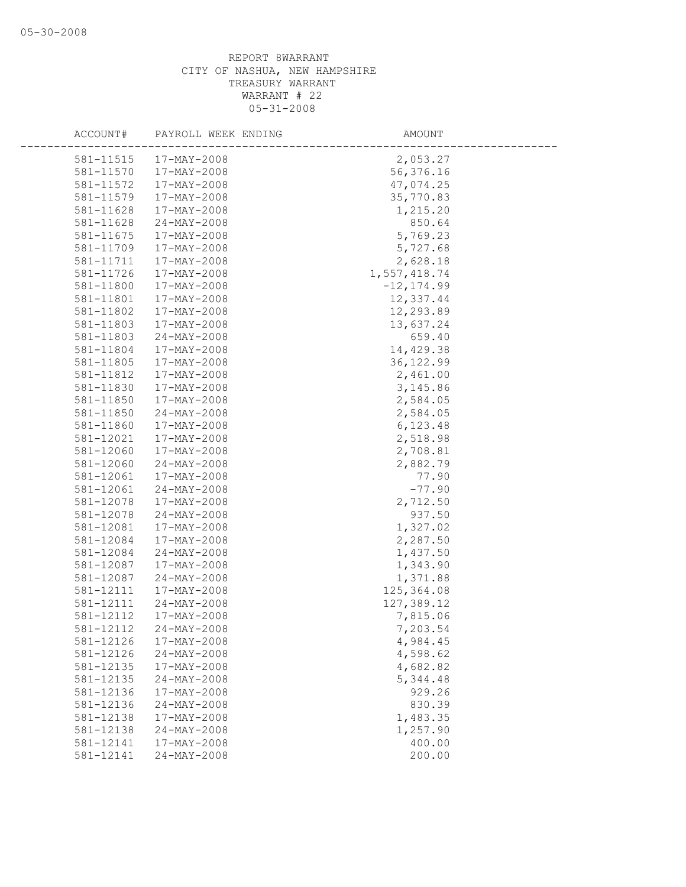| ACCOUNT#  | PAYROLL WEEK ENDING | AMOUNT        |
|-----------|---------------------|---------------|
| 581-11515 | 17-MAY-2008         | 2,053.27      |
| 581-11570 | 17-MAY-2008         | 56,376.16     |
| 581-11572 | 17-MAY-2008         | 47,074.25     |
| 581-11579 | 17-MAY-2008         | 35,770.83     |
| 581-11628 | 17-MAY-2008         | 1,215.20      |
| 581-11628 | 24-MAY-2008         | 850.64        |
| 581-11675 | 17-MAY-2008         | 5,769.23      |
| 581-11709 | 17-MAY-2008         | 5,727.68      |
| 581-11711 | 17-MAY-2008         | 2,628.18      |
| 581-11726 | 17-MAY-2008         | 1,557,418.74  |
| 581-11800 | 17-MAY-2008         | $-12, 174.99$ |
| 581-11801 | 17-MAY-2008         | 12,337.44     |
| 581-11802 | 17-MAY-2008         | 12,293.89     |
| 581-11803 | 17-MAY-2008         | 13,637.24     |
| 581-11803 | 24-MAY-2008         | 659.40        |
| 581-11804 | 17-MAY-2008         | 14,429.38     |
| 581-11805 | 17-MAY-2008         | 36, 122.99    |
| 581-11812 | $17 - MAX - 2008$   | 2,461.00      |
| 581-11830 | 17-MAY-2008         | 3, 145.86     |
| 581-11850 | 17-MAY-2008         | 2,584.05      |
| 581-11850 | $24 - MAX - 2008$   | 2,584.05      |
| 581-11860 | 17-MAY-2008         | 6,123.48      |
| 581-12021 | 17-MAY-2008         | 2,518.98      |
| 581-12060 | 17-MAY-2008         | 2,708.81      |
| 581-12060 | $24 - MAX - 2008$   | 2,882.79      |
| 581-12061 | 17-MAY-2008         | 77.90         |
| 581-12061 | $24 - MAX - 2008$   | $-77.90$      |
| 581-12078 | 17-MAY-2008         | 2,712.50      |
| 581-12078 | $24 - MAX - 2008$   | 937.50        |
| 581-12081 | 17-MAY-2008         | 1,327.02      |
| 581-12084 | 17-MAY-2008         | 2,287.50      |
| 581-12084 | 24-MAY-2008         | 1,437.50      |
| 581-12087 | 17-MAY-2008         | 1,343.90      |
| 581-12087 | $24 - MAX - 2008$   | 1,371.88      |
| 581-12111 | 17-MAY-2008         | 125, 364.08   |
| 581-12111 | $24 - MAX - 2008$   | 127,389.12    |
| 581-12112 | 17-MAY-2008         | 7,815.06      |
| 581-12112 | $24 - MAY - 2008$   | 7,203.54      |
| 581-12126 | 17-MAY-2008         | 4,984.45      |
| 581-12126 | 24-MAY-2008         | 4,598.62      |
| 581-12135 | 17-MAY-2008         | 4,682.82      |
| 581-12135 | $24 - MAX - 2008$   | 5,344.48      |
| 581-12136 | 17-MAY-2008         | 929.26        |
| 581-12136 | $24 - MAX - 2008$   | 830.39        |
| 581-12138 | 17-MAY-2008         | 1,483.35      |
| 581-12138 | $24 - MAX - 2008$   | 1,257.90      |
| 581-12141 | $17 - MAX - 2008$   | 400.00        |
| 581-12141 | $24 - MAX - 2008$   | 200.00        |
|           |                     |               |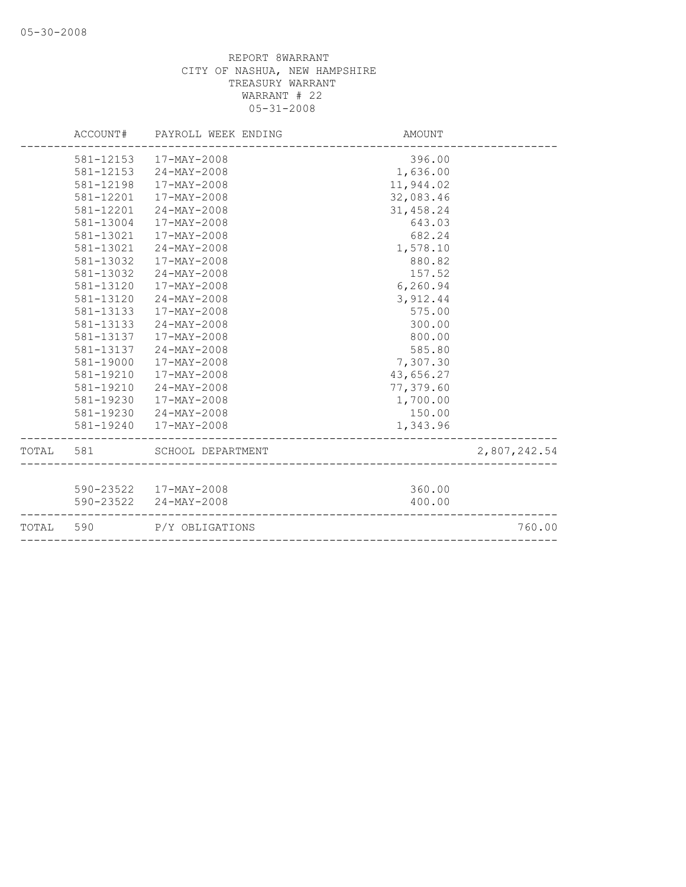|           |           | ACCOUNT# PAYROLL WEEK ENDING | AMOUNT                                  |              |
|-----------|-----------|------------------------------|-----------------------------------------|--------------|
|           |           | 581-12153 17-MAY-2008        | 396.00                                  |              |
|           |           | 581-12153 24-MAY-2008        | 1,636.00                                |              |
|           | 581-12198 | 17-MAY-2008                  | 11,944.02                               |              |
|           | 581-12201 | 17-MAY-2008                  | 32,083.46                               |              |
|           | 581-12201 | $24 - MAX - 2008$            | 31,458.24                               |              |
|           | 581-13004 | $17 - MAX - 2008$            | 643.03                                  |              |
|           | 581-13021 | 17-MAY-2008                  | 682.24                                  |              |
|           | 581-13021 | 24-MAY-2008                  | 1,578.10                                |              |
|           | 581-13032 | 17-MAY-2008                  | 880.82                                  |              |
|           | 581-13032 | $24 - MAX - 2008$            | 157.52                                  |              |
|           | 581-13120 | 17-MAY-2008                  | 6,260.94                                |              |
|           | 581-13120 | $24 - MAX - 2008$            | 3,912.44                                |              |
|           | 581-13133 | $17 - MAX - 2008$            | 575.00                                  |              |
|           | 581-13133 | 24-MAY-2008                  | 300.00                                  |              |
|           | 581-13137 | 17-MAY-2008                  | 800.00                                  |              |
|           | 581-13137 | 24-MAY-2008                  | 585.80                                  |              |
|           | 581-19000 | 17-MAY-2008                  | 7,307.30                                |              |
|           | 581-19210 | 17-MAY-2008                  | 43,656.27                               |              |
|           | 581-19210 | $24 - MAX - 2008$            | 77,379.60                               |              |
|           | 581-19230 | 17-MAY-2008                  | 1,700.00                                |              |
|           |           | 581-19230 24-MAY-2008        | 150.00                                  |              |
|           |           | 581-19240  17-MAY-2008       | 1,343.96                                |              |
|           | TOTAL 581 | SCHOOL DEPARTMENT            | NT<br><i>--------------------------</i> | 2,807,242.54 |
|           |           |                              |                                         |              |
|           |           | 590-23522 17-MAY-2008        | 360.00                                  |              |
|           |           | 590-23522 24-MAY-2008        | 400.00                                  |              |
| TOTAL 590 |           | P/Y OBLIGATIONS              |                                         | 760.00       |
|           |           |                              |                                         |              |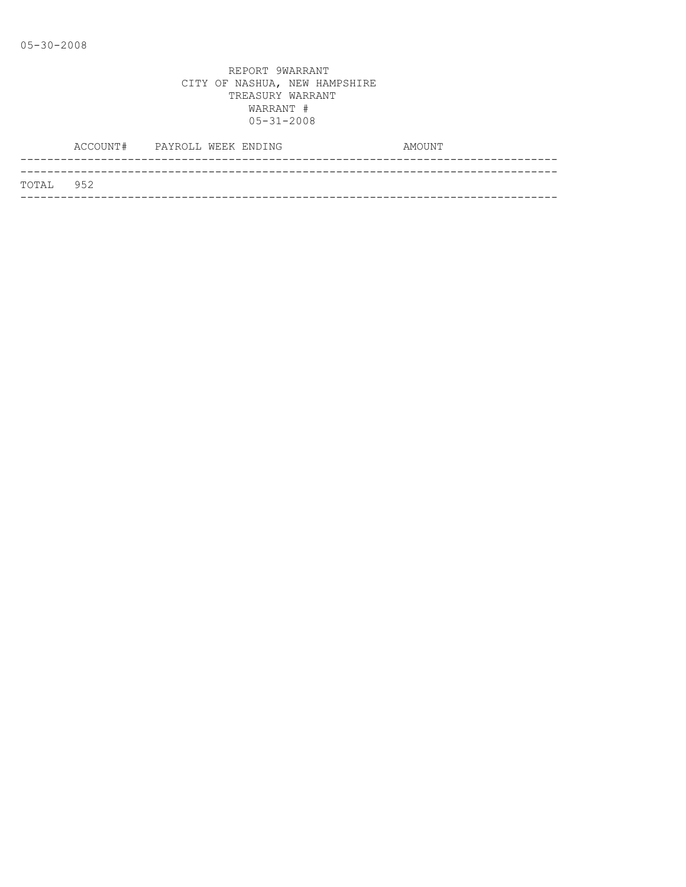|           | ACCOUNT# PAYROLL WEEK ENDING |  |  | AMOUNT |
|-----------|------------------------------|--|--|--------|
|           |                              |  |  |        |
| TOTAL 952 |                              |  |  |        |
|           |                              |  |  |        |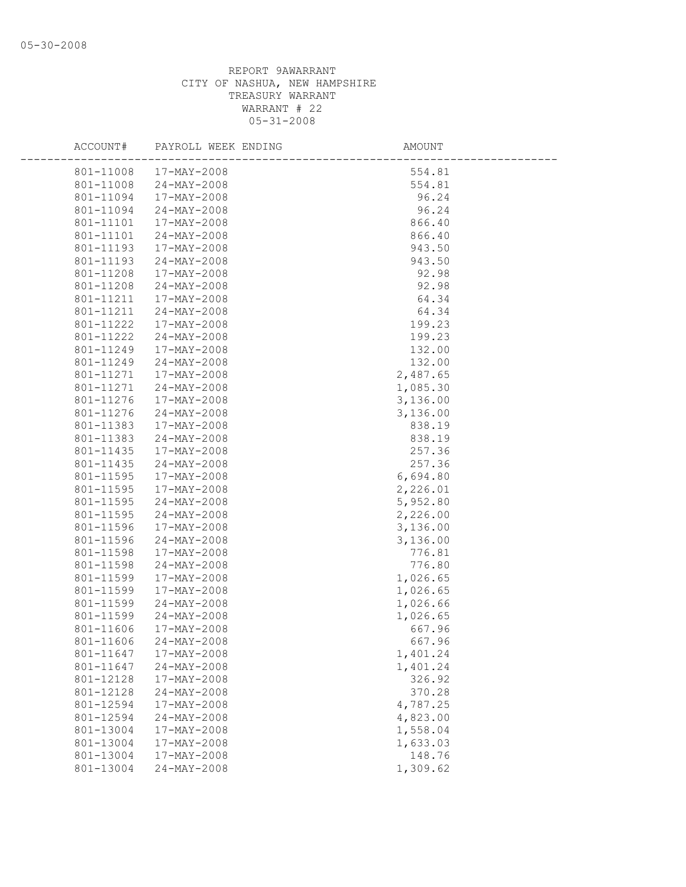| ACCOUNT#  | PAYROLL WEEK ENDING      | AMOUNT   |
|-----------|--------------------------|----------|
|           | 801-11008 17-MAY-2008    | 554.81   |
|           | 801-11008 24-MAY-2008    | 554.81   |
| 801-11094 | 17-MAY-2008              | 96.24    |
| 801-11094 | $24 - MAY - 2008$        | 96.24    |
| 801-11101 | $17 - \text{MAX} - 2008$ | 866.40   |
| 801-11101 | 24-MAY-2008              | 866.40   |
| 801-11193 | 17-MAY-2008              | 943.50   |
| 801-11193 | 24-MAY-2008              | 943.50   |
| 801-11208 | 17-MAY-2008              | 92.98    |
| 801-11208 | 24-MAY-2008              | 92.98    |
|           | 801-11211  17-MAY-2008   | 64.34    |
| 801-11211 | $24 - \text{MAX} - 2008$ | 64.34    |
| 801-11222 | 17-MAY-2008              | 199.23   |
| 801-11222 | $24 - MAY - 2008$        | 199.23   |
| 801-11249 | 17-MAY-2008              | 132.00   |
| 801-11249 | 24-MAY-2008              | 132.00   |
| 801-11271 | 17-MAY-2008              | 2,487.65 |
| 801-11271 | 24-MAY-2008              | 1,085.30 |
| 801-11276 | 17-MAY-2008              | 3,136.00 |
| 801-11276 | 24-MAY-2008              | 3,136.00 |
| 801-11383 | 17-MAY-2008              | 838.19   |
| 801-11383 | $24 - MAY - 2008$        | 838.19   |
| 801-11435 | $17 - \text{MAX} - 2008$ | 257.36   |
| 801-11435 | 24-MAY-2008              | 257.36   |
| 801-11595 | 17-MAY-2008              | 6,694.80 |
| 801-11595 | 17-MAY-2008              | 2,226.01 |
| 801-11595 | $24 - MAY - 2008$        | 5,952.80 |
| 801-11595 | 24-MAY-2008              | 2,226.00 |
| 801-11596 | 17-MAY-2008              | 3,136.00 |
| 801-11596 | 24-MAY-2008              | 3,136.00 |
| 801-11598 | 17-MAY-2008              | 776.81   |
| 801-11598 | 24-MAY-2008              | 776.80   |
| 801-11599 | 17-MAY-2008              | 1,026.65 |
| 801-11599 | 17-MAY-2008              | 1,026.65 |
| 801-11599 | 24-MAY-2008              | 1,026.66 |
| 801-11599 | 24-MAY-2008              | 1,026.65 |
| 801-11606 | 17-MAY-2008              | 667.96   |
|           | 801-11606 24-MAY-2008    | 667.96   |
| 801-11647 | 17-MAY-2008              | 1,401.24 |
| 801-11647 | $24 - MAY - 2008$        | 1,401.24 |
| 801-12128 | 17-MAY-2008              | 326.92   |
| 801-12128 | 24-MAY-2008              | 370.28   |
| 801-12594 | 17-MAY-2008              | 4,787.25 |
| 801-12594 | 24-MAY-2008              | 4,823.00 |
| 801-13004 | 17-MAY-2008              | 1,558.04 |
| 801-13004 | 17-MAY-2008              | 1,633.03 |
| 801-13004 | 17-MAY-2008              | 148.76   |
| 801-13004 | 24-MAY-2008              | 1,309.62 |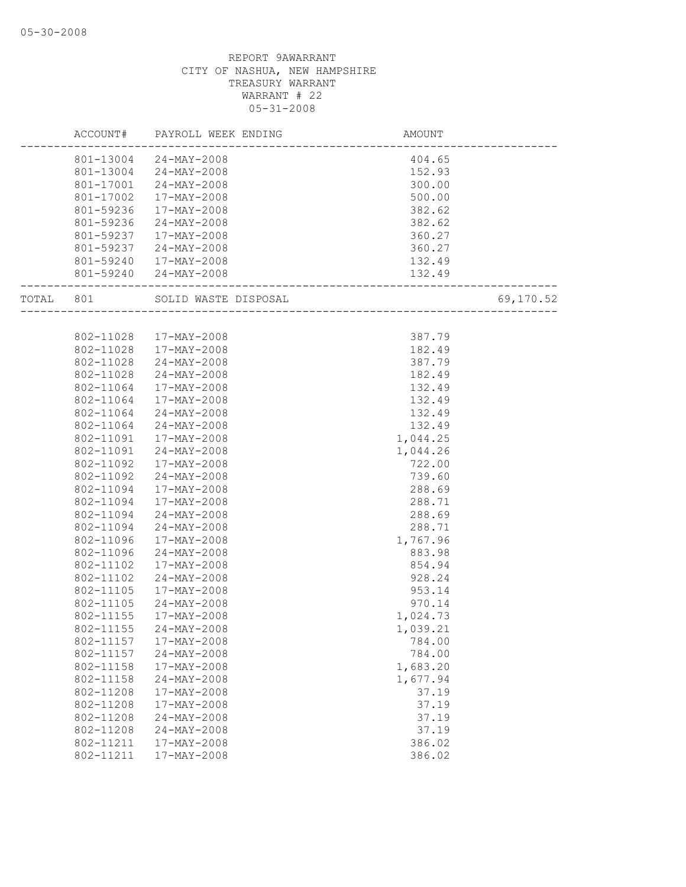|       | ACCOUNT#  | PAYROLL WEEK ENDING    | AMOUNT   |           |
|-------|-----------|------------------------|----------|-----------|
|       |           | 801-13004 24-MAY-2008  | 404.65   |           |
|       |           | 801-13004 24-MAY-2008  | 152.93   |           |
|       | 801-17001 | 24-MAY-2008            | 300.00   |           |
|       | 801-17002 | 17-MAY-2008            | 500.00   |           |
|       | 801-59236 | 17-MAY-2008            | 382.62   |           |
|       | 801-59236 | $24 - MAY - 2008$      | 382.62   |           |
|       | 801-59237 | 17-MAY-2008            | 360.27   |           |
|       | 801-59237 | 24-MAY-2008            | 360.27   |           |
|       |           | 801-59240  17-MAY-2008 | 132.49   |           |
|       |           | 801-59240 24-MAY-2008  | 132.49   |           |
| TOTAL | 801       | SOLID WASTE DISPOSAL   |          | 69,170.52 |
|       |           |                        |          |           |
|       | 802-11028 | 17-MAY-2008            | 387.79   |           |
|       | 802-11028 | 17-MAY-2008            | 182.49   |           |
|       | 802-11028 | $24 - MAX - 2008$      | 387.79   |           |
|       | 802-11028 | 24-MAY-2008            | 182.49   |           |
|       | 802-11064 | 17-MAY-2008            | 132.49   |           |
|       | 802-11064 | 17-MAY-2008            | 132.49   |           |
|       | 802-11064 | $24 - MAX - 2008$      | 132.49   |           |
|       | 802-11064 | $24 - MAX - 2008$      | 132.49   |           |
|       | 802-11091 | 17-MAY-2008            | 1,044.25 |           |
|       | 802-11091 | $24 - MAX - 2008$      | 1,044.26 |           |
|       | 802-11092 | 17-MAY-2008            | 722.00   |           |
|       | 802-11092 | $24 - MAX - 2008$      | 739.60   |           |
|       | 802-11094 | 17-MAY-2008            | 288.69   |           |
|       | 802-11094 | 17-MAY-2008            | 288.71   |           |
|       | 802-11094 | 24-MAY-2008            | 288.69   |           |
|       | 802-11094 | $24 - MAY - 2008$      | 288.71   |           |
|       | 802-11096 | 17-MAY-2008            | 1,767.96 |           |
|       | 802-11096 | $24 - MAX - 2008$      | 883.98   |           |
|       | 802-11102 | 17-MAY-2008            | 854.94   |           |
|       | 802-11102 | $24 - MAY - 2008$      | 928.24   |           |
|       | 802-11105 | 17-MAY-2008            | 953.14   |           |
|       | 802-11105 | $24 - MAX - 2008$      | 970.14   |           |
|       | 802-11155 | 17-MAY-2008            | 1,024.73 |           |
|       | 802-11155 | $24 - MAY - 2008$      | 1,039.21 |           |
|       | 802-11157 | 17-MAY-2008            | 784.00   |           |
|       | 802-11157 | $24 - MAY - 2008$      | 784.00   |           |
|       | 802-11158 | $17 - MAX - 2008$      | 1,683.20 |           |
|       | 802-11158 | $24 - MAY - 2008$      | 1,677.94 |           |
|       | 802-11208 | 17-MAY-2008            | 37.19    |           |
|       | 802-11208 | 17-MAY-2008            | 37.19    |           |
|       | 802-11208 | $24 - MAY - 2008$      | 37.19    |           |
|       | 802-11208 | $24 - MAX - 2008$      | 37.19    |           |
|       | 802-11211 | $17 - MAX - 2008$      | 386.02   |           |
|       | 802-11211 | 17-MAY-2008            | 386.02   |           |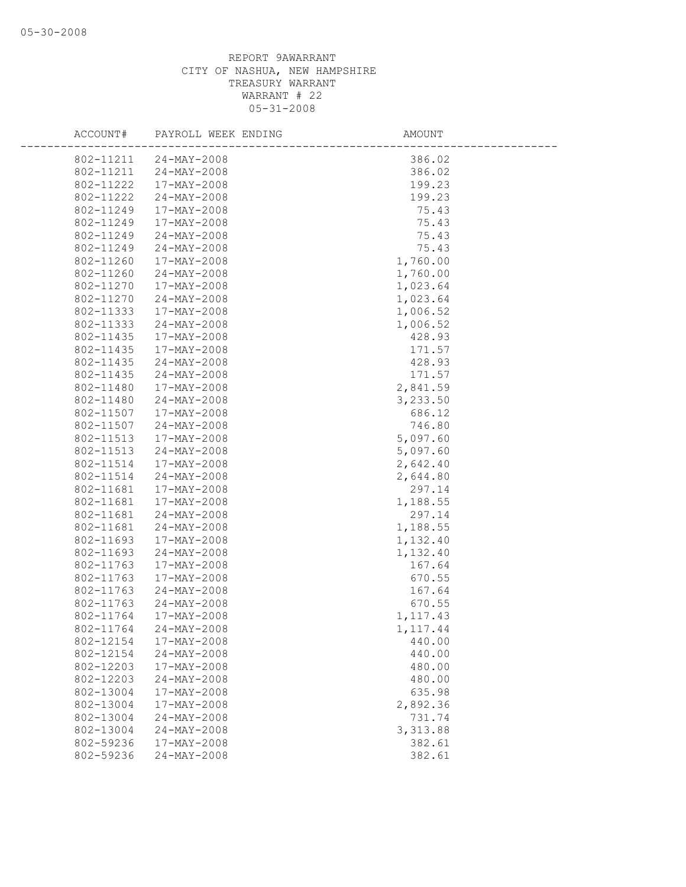| ACCOUNT#  | PAYROLL WEEK ENDING | AMOUNT    |
|-----------|---------------------|-----------|
| 802-11211 | $24 - MAX - 2008$   | 386.02    |
| 802-11211 | $24 - MAX - 2008$   | 386.02    |
| 802-11222 | 17-MAY-2008         | 199.23    |
| 802-11222 | 24-MAY-2008         | 199.23    |
| 802-11249 | 17-MAY-2008         | 75.43     |
| 802-11249 | 17-MAY-2008         | 75.43     |
| 802-11249 | $24 - MAX - 2008$   | 75.43     |
| 802-11249 | $24 - MAX - 2008$   | 75.43     |
| 802-11260 | 17-MAY-2008         | 1,760.00  |
| 802-11260 | $24 - MAX - 2008$   | 1,760.00  |
| 802-11270 | 17-MAY-2008         | 1,023.64  |
| 802-11270 | $24 - MAX - 2008$   | 1,023.64  |
| 802-11333 | 17-MAY-2008         | 1,006.52  |
| 802-11333 | $24 - MAX - 2008$   | 1,006.52  |
| 802-11435 | 17-MAY-2008         | 428.93    |
| 802-11435 | 17-MAY-2008         | 171.57    |
| 802-11435 | $24 - MAX - 2008$   | 428.93    |
| 802-11435 | 24-MAY-2008         | 171.57    |
| 802-11480 | 17-MAY-2008         | 2,841.59  |
| 802-11480 | $24 - MAY - 2008$   | 3,233.50  |
| 802-11507 | 17-MAY-2008         | 686.12    |
| 802-11507 | $24 - MAX - 2008$   | 746.80    |
| 802-11513 | 17-MAY-2008         | 5,097.60  |
| 802-11513 | 24-MAY-2008         | 5,097.60  |
| 802-11514 | 17-MAY-2008         | 2,642.40  |
| 802-11514 | $24 - MAX - 2008$   | 2,644.80  |
| 802-11681 | 17-MAY-2008         | 297.14    |
| 802-11681 | 17-MAY-2008         | 1,188.55  |
| 802-11681 | $24 - MAY - 2008$   | 297.14    |
| 802-11681 | $24 - MAX - 2008$   | 1,188.55  |
| 802-11693 | 17-MAY-2008         | 1,132.40  |
| 802-11693 | $24 - MAY - 2008$   | 1,132.40  |
| 802-11763 | 17-MAY-2008         | 167.64    |
| 802-11763 | 17-MAY-2008         | 670.55    |
| 802-11763 | $24 - MAX - 2008$   | 167.64    |
| 802-11763 | 24-MAY-2008         | 670.55    |
| 802-11764 | 17-MAY-2008         | 1, 117.43 |
| 802-11764 | 24-MAY-2008         | 1,117.44  |
| 802-12154 | 17-MAY-2008         | 440.00    |
| 802-12154 | $24 - MAY - 2008$   | 440.00    |
| 802-12203 | 17-MAY-2008         | 480.00    |
| 802-12203 | 24-MAY-2008         | 480.00    |
| 802-13004 | 17-MAY-2008         | 635.98    |
| 802-13004 | $17 - MAX - 2008$   | 2,892.36  |
| 802-13004 | $24 - MAX - 2008$   | 731.74    |
| 802-13004 | $24 - MAX - 2008$   | 3,313.88  |
| 802-59236 | 17-MAY-2008         | 382.61    |
| 802-59236 | $24 - MAX - 2008$   | 382.61    |